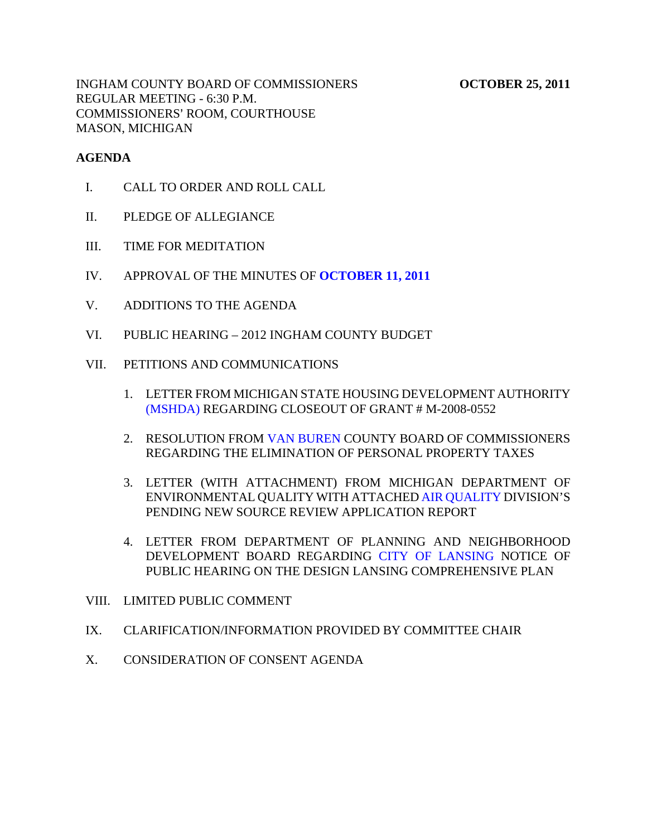INGHAM COUNTY BOARD OF COMMISSIONERS **OCTOBER 25, 2011** REGULAR MEETING - 6:30 P.M. COMMISSIONERS' ROOM, COURTHOUSE MASON, MICHIGAN

#### **AGENDA**

- I. CALL TO ORDER AND ROLL CALL
- II. PLEDGE OF ALLEGIANCE
- III. TIME FOR MEDITATION
- IV. APPROVAL OF THE MINUTES OF **[OCTOBER 11, 2011](#page-3-0)**
- V. ADDITIONS TO THE AGENDA
- VI. PUBLIC HEARING 2012 INGHAM COUNTY BUDGET
- VII. PETITIONS AND COMMUNICATIONS
	- 1. LETTER FROM MICHIGAN STATE HOUSING DEVELOPMENT AUTHORITY [\(MSHDA\) REG](#page-41-0)ARDING CLOSEOUT OF GRANT # M-2008-0552
	- 2. RESOLUTION FRO[M VAN BUREN CO](#page-42-0)UNTY BOARD OF COMMISSIONERS REGARDING THE ELIMINATION OF PERSONAL PROPERTY TAXES
	- 3. LETTER (WITH ATTACHMENT) FROM MICHIGAN DEPARTMENT OF ENVIRONMENTAL QUALITY WITH ATTACHE[D AIR QUALITY DIVI](#page-43-0)SION'S PENDING NEW SOURCE REVIEW APPLICATION REPORT
	- 4. LETTER FROM DEPARTMENT OF PLANNING AND NEIGHBORHOOD DEVELOPMENT BOARD REGARD[ING CITY OF LANSING N](#page-45-0)OTICE OF PUBLIC HEARING ON THE DESIGN LANSING COMPREHENSIVE PLAN
- VIII. LIMITED PUBLIC COMMENT
- IX. CLARIFICATION/INFORMATION PROVIDED BY COMMITTEE CHAIR
- X. CONSIDERATION OF CONSENT AGENDA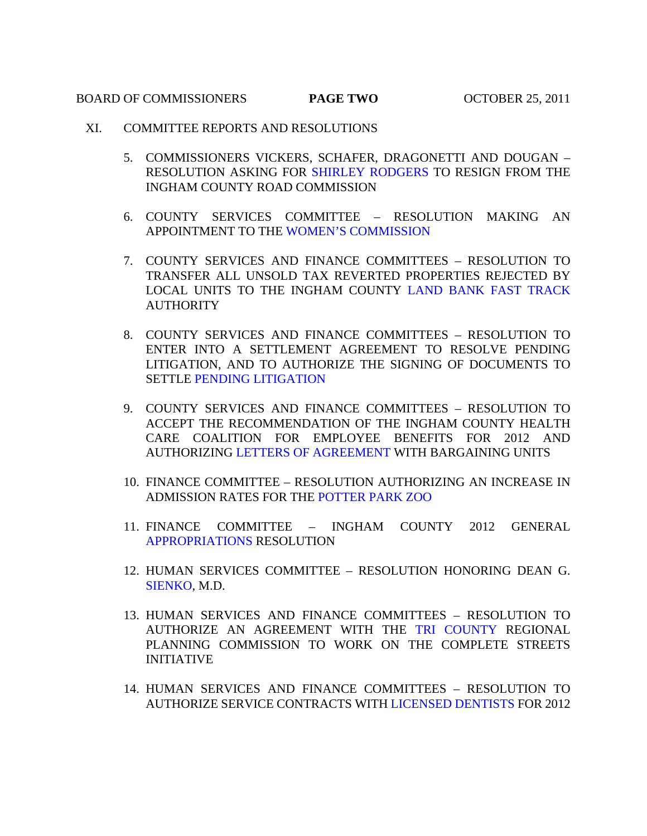#### BOARD OF COMMISSIONERS **PAGE TWO** OCTOBER 25, 2011

- XI. COMMITTEE REPORTS AND RESOLUTIONS
	- 5. COMMISSIONERS VICKERS, SCHAFER, DRAGONETTI AND DOUGAN RESOLUTION ASKING FO[R SHIRLEY RODGERS TO R](#page-46-0)ESIGN FROM THE INGHAM COUNTY ROAD COMMISSION
	- 6. COUNTY SERVICES [COMMITTEE RESOLUTION](#page-47-0) MAKING AN APPOINTMENT TO THE WOMEN'S COMMISSION
	- 7. COUNTY SERVICES AND FINANCE COMMITTEES RESOLUTION TO TRANSFER ALL UNSOLD TAX REVERTE[D PROPERTIES REJECTED BY](#page-48-0)  LOCAL UNITS TO THE INGHAM COUNTY LAND BANK FAST TRACK AUTHORITY
	- 8. COUNTY SERVICES AND FINANCE COMMITTEES RESOLUTION TO ENTER INTO A SETTLEMENT AGREEMENT TO RESOLVE PENDING LITIGATION, AND TO AUTHORIZE THE SIGNING OF DOCUMENTS TO SETT[LE PENDING LITIGATION](#page-49-0)
	- 9. COUNTY SERVICES AND FINANCE COMMITTEES RESOLUTION TO ACCEPT THE RECOMMENDATION OF THE INGHAM COUNTY HEALTH CARE COALITION FOR EMPLOYEE BENEFITS FOR 2012 AND AUTHORIZING [LETTERS OF AGREEMENT WIT](#page-50-0)H BARGAINING UNITS
	- 10. FINANCE COMMITTEE RESOLUTION AUTHORIZING AN INCREASE IN ADMISSION RATES FOR TH[E POTTER PARK ZOO](#page-52-0)
	- 11. FINANCE COMMITTEE INGHAM COUNTY 2012 GENERAL [APPROPRIATIONS RESOLUTI](#page-54-0)ON
	- 12. HUMAN SERVICES COMMITTEE RESOLUTION HONORING DEAN G. [SIENKO, M.](#page-58-0)D.
	- 13. HUMAN SERVICES AND FINANCE COMMITTEES RESOLUTION TO AUTHORIZE AN AGREEMENT WITH T[HE TRI COUNTY R](#page-59-0)EGIONAL PLANNING COMMISSION TO WORK ON THE COMPLETE STREETS INITIATIVE
	- 14. HUMAN SERVICES AND FINANCE C[OMMITTEES RESOLUTION](#page-60-0) TO AUTHORIZE SERVICE CONTRACTS WITH LICENSED DENTISTS FOR 2012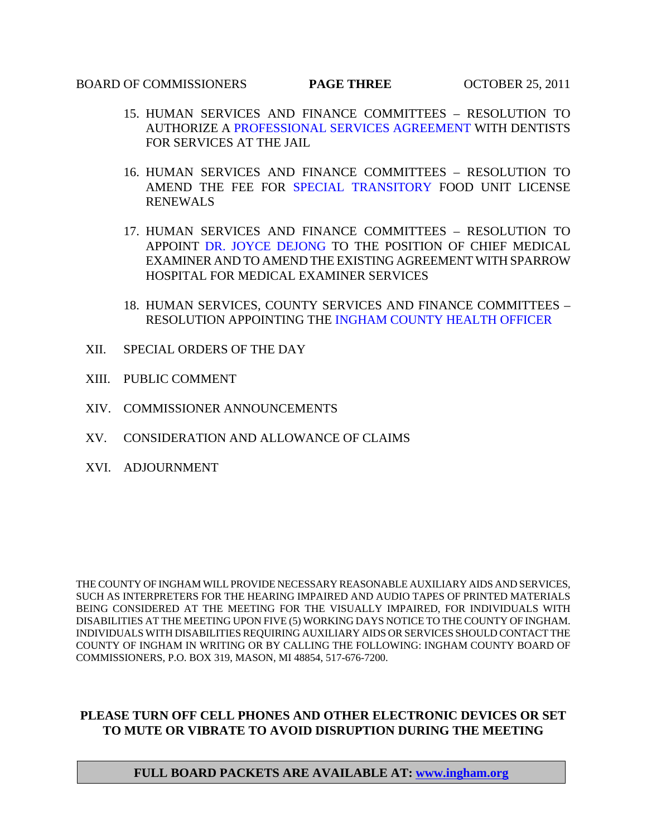#### BOARD OF COMMISSIONERS **PAGE THREE** OCTOBER 25, 2011

- 15. HUMAN SE[RVICES AND FINANCE COMMITTEES RESO](#page-61-0)LUTION TO AUTHORIZE A PROFESSIONAL SERVICES AGREEMENT WITH DENTISTS FOR SERVICES AT THE JAIL
- 16. HUMAN SERVICES [AND FINANCE COMMITTEES](#page-62-0) RESOLUTION TO AMEND THE FEE FOR SPECIAL TRANSITORY FOOD UNIT LICENSE RENEWALS
- 17. HUMAN [SERVICES AND FINANCE](#page-63-0) COMMITTEES RESOLUTION TO APPOINT DR. JOYCE DEJONG TO THE POSITION OF CHIEF MEDICAL EXAMINER AND TO AMEND THE EXISTING AGREEMENT WITH SPARROW HOSPITAL FOR MEDICAL EXAMINER SERVICES
- 18. HUMAN SERVICES, COUNTY SERVICES AND FINANCE COMMITTEES RESOLUTION APPOINTING [THE INGHAM COUNTY HEALTH OFFICER](#page-65-0)
- XII. SPECIAL ORDERS OF THE DAY
- XIII. PUBLIC COMMENT
- XIV. COMMISSIONER ANNOUNCEMENTS
- XV. CONSIDERATION AND ALLOWANCE OF CLAIMS
- XVI. ADJOURNMENT

THE COUNTY OF INGHAM WILL PROVIDE NECESSARY REASONABLE AUXILIARY AIDS AND SERVICES, SUCH AS INTERPRETERS FOR THE HEARING IMPAIRED AND AUDIO TAPES OF PRINTED MATERIALS BEING CONSIDERED AT THE MEETING FOR THE VISUALLY IMPAIRED, FOR INDIVIDUALS WITH DISABILITIES AT THE MEETING UPON FIVE (5) WORKING DAYS NOTICE TO THE COUNTY OF INGHAM. INDIVIDUALS WITH DISABILITIES REQUIRING AUXILIARY AIDS OR SERVICES SHOULD CONTACT THE COUNTY OF INGHAM IN WRITING OR BY CALLING THE FOLLOWING: INGHAM COUNTY BOARD OF COMMISSIONERS, P.O. BOX 319, MASON, MI 48854, 517-676-7200.

## **PLEASE TURN OFF CELL PHONES AND OTHER ELECTRONIC DEVICES OR SET TO MUTE OR VIBRATE TO AVOID DISRUPTION DURING THE MEETING**

## **FULL BOARD PACKETS ARE AVAILABLE AT: www.ingham.org**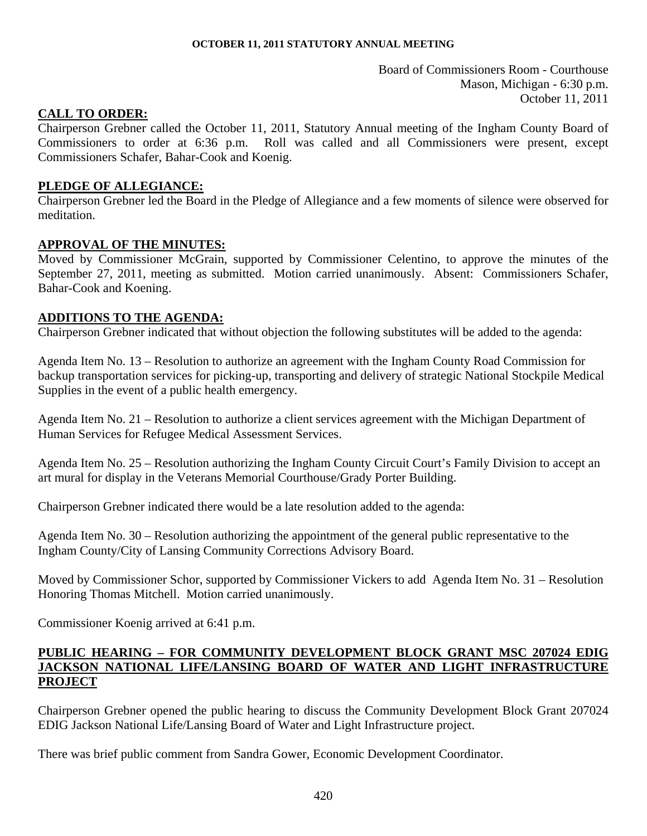Board of Commissioners Room - Courthouse Mason, Michigan - 6:30 p.m. October 11, 2011

# <span id="page-3-0"></span>**CALL TO ORDER:**

Chairperson Grebner called the October 11, 2011, Statutory Annual meeting of the Ingham County Board of Commissioners to order at 6:36 p.m. Roll was called and all Commissioners were present, except Commissioners Schafer, Bahar-Cook and Koenig.

# **PLEDGE OF ALLEGIANCE:**

Chairperson Grebner led the Board in the Pledge of Allegiance and a few moments of silence were observed for meditation.

# **APPROVAL OF THE MINUTES:**

Moved by Commissioner McGrain, supported by Commissioner Celentino, to approve the minutes of the September 27, 2011, meeting as submitted. Motion carried unanimously. Absent: Commissioners Schafer, Bahar-Cook and Koening.

# **ADDITIONS TO THE AGENDA:**

Chairperson Grebner indicated that without objection the following substitutes will be added to the agenda:

Agenda Item No. 13 – Resolution to authorize an agreement with the Ingham County Road Commission for backup transportation services for picking-up, transporting and delivery of strategic National Stockpile Medical Supplies in the event of a public health emergency.

Agenda Item No. 21 – Resolution to authorize a client services agreement with the Michigan Department of Human Services for Refugee Medical Assessment Services.

Agenda Item No. 25 – Resolution authorizing the Ingham County Circuit Court's Family Division to accept an art mural for display in the Veterans Memorial Courthouse/Grady Porter Building.

Chairperson Grebner indicated there would be a late resolution added to the agenda:

Agenda Item No. 30 – Resolution authorizing the appointment of the general public representative to the Ingham County/City of Lansing Community Corrections Advisory Board.

Moved by Commissioner Schor, supported by Commissioner Vickers to add Agenda Item No. 31 – Resolution Honoring Thomas Mitchell. Motion carried unanimously.

Commissioner Koenig arrived at 6:41 p.m.

# **PUBLIC HEARING – FOR COMMUNITY DEVELOPMENT BLOCK GRANT MSC 207024 EDIG JACKSON NATIONAL LIFE/LANSING BOARD OF WATER AND LIGHT INFRASTRUCTURE PROJECT**

Chairperson Grebner opened the public hearing to discuss the Community Development Block Grant 207024 EDIG Jackson National Life/Lansing Board of Water and Light Infrastructure project.

There was brief public comment from Sandra Gower, Economic Development Coordinator.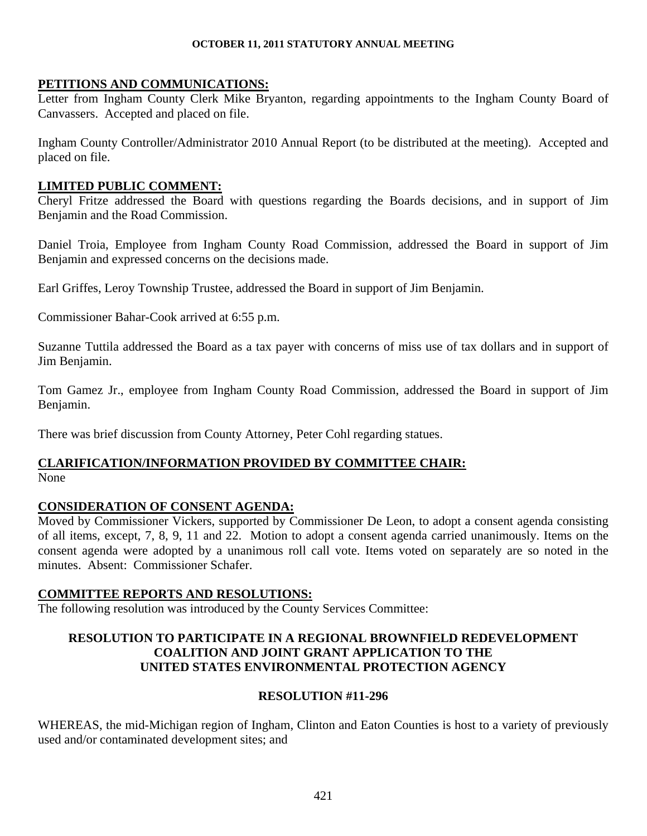# **PETITIONS AND COMMUNICATIONS:**

Letter from Ingham County Clerk Mike Bryanton, regarding appointments to the Ingham County Board of Canvassers. Accepted and placed on file.

Ingham County Controller/Administrator 2010 Annual Report (to be distributed at the meeting). Accepted and placed on file.

# **LIMITED PUBLIC COMMENT:**

Cheryl Fritze addressed the Board with questions regarding the Boards decisions, and in support of Jim Benjamin and the Road Commission.

Daniel Troia, Employee from Ingham County Road Commission, addressed the Board in support of Jim Benjamin and expressed concerns on the decisions made.

Earl Griffes, Leroy Township Trustee, addressed the Board in support of Jim Benjamin.

Commissioner Bahar-Cook arrived at 6:55 p.m.

Suzanne Tuttila addressed the Board as a tax payer with concerns of miss use of tax dollars and in support of Jim Benjamin.

Tom Gamez Jr., employee from Ingham County Road Commission, addressed the Board in support of Jim Benjamin.

There was brief discussion from County Attorney, Peter Cohl regarding statues.

# **CLARIFICATION/INFORMATION PROVIDED BY COMMITTEE CHAIR:**  None

# **CONSIDERATION OF CONSENT AGENDA:**

Moved by Commissioner Vickers, supported by Commissioner De Leon, to adopt a consent agenda consisting of all items, except, 7, 8, 9, 11 and 22. Motion to adopt a consent agenda carried unanimously. Items on the consent agenda were adopted by a unanimous roll call vote. Items voted on separately are so noted in the minutes. Absent: Commissioner Schafer.

# **COMMITTEE REPORTS AND RESOLUTIONS:**

The following resolution was introduced by the County Services Committee:

# **RESOLUTION TO PARTICIPATE IN A REGIONAL BROWNFIELD REDEVELOPMENT COALITION AND JOINT GRANT APPLICATION TO THE UNITED STATES ENVIRONMENTAL PROTECTION AGENCY**

# **RESOLUTION #11-296**

WHEREAS, the mid-Michigan region of Ingham, Clinton and Eaton Counties is host to a variety of previously used and/or contaminated development sites; and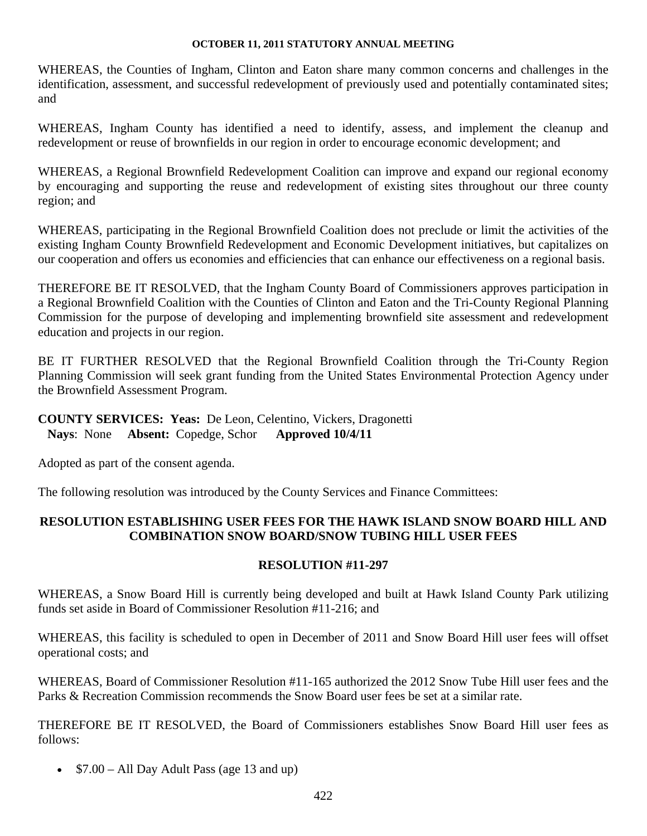WHEREAS, the Counties of Ingham, Clinton and Eaton share many common concerns and challenges in the identification, assessment, and successful redevelopment of previously used and potentially contaminated sites; and

WHEREAS, Ingham County has identified a need to identify, assess, and implement the cleanup and redevelopment or reuse of brownfields in our region in order to encourage economic development; and

WHEREAS, a Regional Brownfield Redevelopment Coalition can improve and expand our regional economy by encouraging and supporting the reuse and redevelopment of existing sites throughout our three county region; and

WHEREAS, participating in the Regional Brownfield Coalition does not preclude or limit the activities of the existing Ingham County Brownfield Redevelopment and Economic Development initiatives, but capitalizes on our cooperation and offers us economies and efficiencies that can enhance our effectiveness on a regional basis.

THEREFORE BE IT RESOLVED, that the Ingham County Board of Commissioners approves participation in a Regional Brownfield Coalition with the Counties of Clinton and Eaton and the Tri-County Regional Planning Commission for the purpose of developing and implementing brownfield site assessment and redevelopment education and projects in our region.

BE IT FURTHER RESOLVED that the Regional Brownfield Coalition through the Tri-County Region Planning Commission will seek grant funding from the United States Environmental Protection Agency under the Brownfield Assessment Program.

## **COUNTY SERVICES: Yeas:** De Leon, Celentino, Vickers, Dragonetti  **Nays**: None **Absent:** Copedge, Schor **Approved 10/4/11**

Adopted as part of the consent agenda.

The following resolution was introduced by the County Services and Finance Committees:

# **RESOLUTION ESTABLISHING USER FEES FOR THE HAWK ISLAND SNOW BOARD HILL AND COMBINATION SNOW BOARD/SNOW TUBING HILL USER FEES**

# **RESOLUTION #11-297**

WHEREAS, a Snow Board Hill is currently being developed and built at Hawk Island County Park utilizing funds set aside in Board of Commissioner Resolution #11-216; and

WHEREAS, this facility is scheduled to open in December of 2011 and Snow Board Hill user fees will offset operational costs; and

WHEREAS, Board of Commissioner Resolution #11-165 authorized the 2012 Snow Tube Hill user fees and the Parks & Recreation Commission recommends the Snow Board user fees be set at a similar rate.

THEREFORE BE IT RESOLVED, the Board of Commissioners establishes Snow Board Hill user fees as follows:

•  $$7.00 - All$  Day Adult Pass (age 13 and up)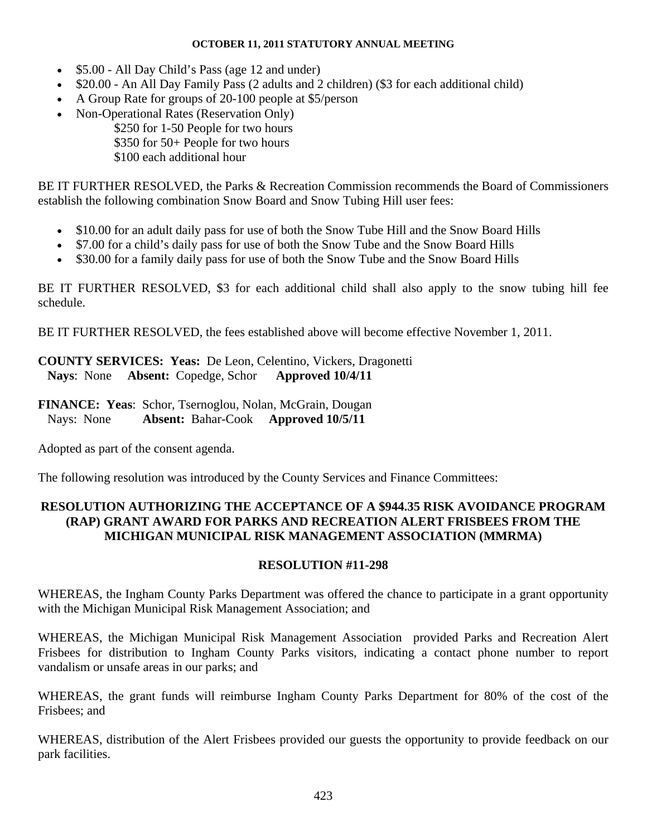- \$5.00 All Day Child's Pass (age 12 and under)
- \$20.00 An All Day Family Pass (2 adults and 2 children) (\$3 for each additional child)
- A Group Rate for groups of 20-100 people at \$5/person
- Non-Operational Rates (Reservation Only) \$250 for 1-50 People for two hours \$350 for 50+ People for two hours \$100 each additional hour

BE IT FURTHER RESOLVED, the Parks & Recreation Commission recommends the Board of Commissioners establish the following combination Snow Board and Snow Tubing Hill user fees:

- \$10.00 for an adult daily pass for use of both the Snow Tube Hill and the Snow Board Hills
- \$7.00 for a child's daily pass for use of both the Snow Tube and the Snow Board Hills
- \$30.00 for a family daily pass for use of both the Snow Tube and the Snow Board Hills

BE IT FURTHER RESOLVED, \$3 for each additional child shall also apply to the snow tubing hill fee schedule.

BE IT FURTHER RESOLVED, the fees established above will become effective November 1, 2011.

**COUNTY SERVICES: Yeas:** De Leon, Celentino, Vickers, Dragonetti  **Nays**: None **Absent:** Copedge, Schor **Approved 10/4/11** 

**FINANCE: Yeas**: Schor, Tsernoglou, Nolan, McGrain, Dougan Nays: None **Absent:** Bahar-Cook **Approved 10/5/11** 

Adopted as part of the consent agenda.

The following resolution was introduced by the County Services and Finance Committees:

# **RESOLUTION AUTHORIZING THE ACCEPTANCE OF A \$944.35 RISK AVOIDANCE PROGRAM (RAP) GRANT AWARD FOR PARKS AND RECREATION ALERT FRISBEES FROM THE MICHIGAN MUNICIPAL RISK MANAGEMENT ASSOCIATION (MMRMA)**

# **RESOLUTION #11-298**

WHEREAS, the Ingham County Parks Department was offered the chance to participate in a grant opportunity with the Michigan Municipal Risk Management Association; and

WHEREAS, the Michigan Municipal Risk Management Association provided Parks and Recreation Alert Frisbees for distribution to Ingham County Parks visitors, indicating a contact phone number to report vandalism or unsafe areas in our parks; and

WHEREAS, the grant funds will reimburse Ingham County Parks Department for 80% of the cost of the Frisbees; and

WHEREAS, distribution of the Alert Frisbees provided our guests the opportunity to provide feedback on our park facilities.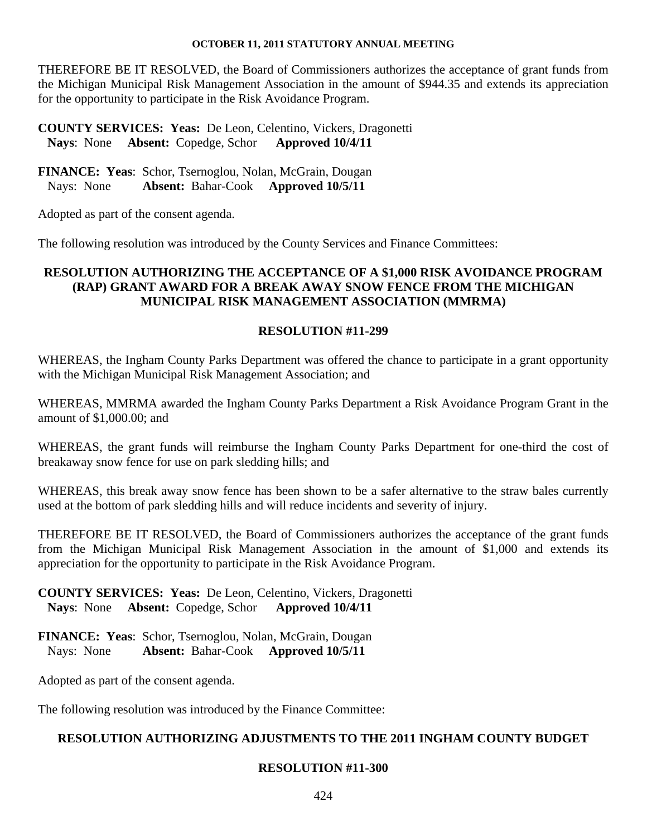THEREFORE BE IT RESOLVED, the Board of Commissioners authorizes the acceptance of grant funds from the Michigan Municipal Risk Management Association in the amount of \$944.35 and extends its appreciation for the opportunity to participate in the Risk Avoidance Program.

**COUNTY SERVICES: Yeas:** De Leon, Celentino, Vickers, Dragonetti **Nays:** None **Absent:** Copedge, Schor

**FINANCE: Yeas**: Schor, Tsernoglou, Nolan, McGrain, Dougan Nays: None **Absent:** Bahar-Cook **Approved 10/5/11** 

Adopted as part of the consent agenda.

The following resolution was introduced by the County Services and Finance Committees:

# **RESOLUTION AUTHORIZING THE ACCEPTANCE OF A \$1,000 RISK AVOIDANCE PROGRAM (RAP) GRANT AWARD FOR A BREAK AWAY SNOW FENCE FROM THE MICHIGAN MUNICIPAL RISK MANAGEMENT ASSOCIATION (MMRMA)**

## **RESOLUTION #11-299**

WHEREAS, the Ingham County Parks Department was offered the chance to participate in a grant opportunity with the Michigan Municipal Risk Management Association; and

WHEREAS, MMRMA awarded the Ingham County Parks Department a Risk Avoidance Program Grant in the amount of \$1,000.00; and

WHEREAS, the grant funds will reimburse the Ingham County Parks Department for one-third the cost of breakaway snow fence for use on park sledding hills; and

WHEREAS, this break away snow fence has been shown to be a safer alternative to the straw bales currently used at the bottom of park sledding hills and will reduce incidents and severity of injury.

THEREFORE BE IT RESOLVED, the Board of Commissioners authorizes the acceptance of the grant funds from the Michigan Municipal Risk Management Association in the amount of \$1,000 and extends its appreciation for the opportunity to participate in the Risk Avoidance Program.

**COUNTY SERVICES: Yeas:** De Leon, Celentino, Vickers, Dragonetti  **Nays**: None **Absent:** Copedge, Schor **Approved 10/4/11** 

**FINANCE: Yeas**: Schor, Tsernoglou, Nolan, McGrain, Dougan Nays: None **Absent:** Bahar-Cook **Approved 10/5/11** 

Adopted as part of the consent agenda.

The following resolution was introduced by the Finance Committee:

## **RESOLUTION AUTHORIZING ADJUSTMENTS TO THE 2011 INGHAM COUNTY BUDGET**

## **RESOLUTION #11-300**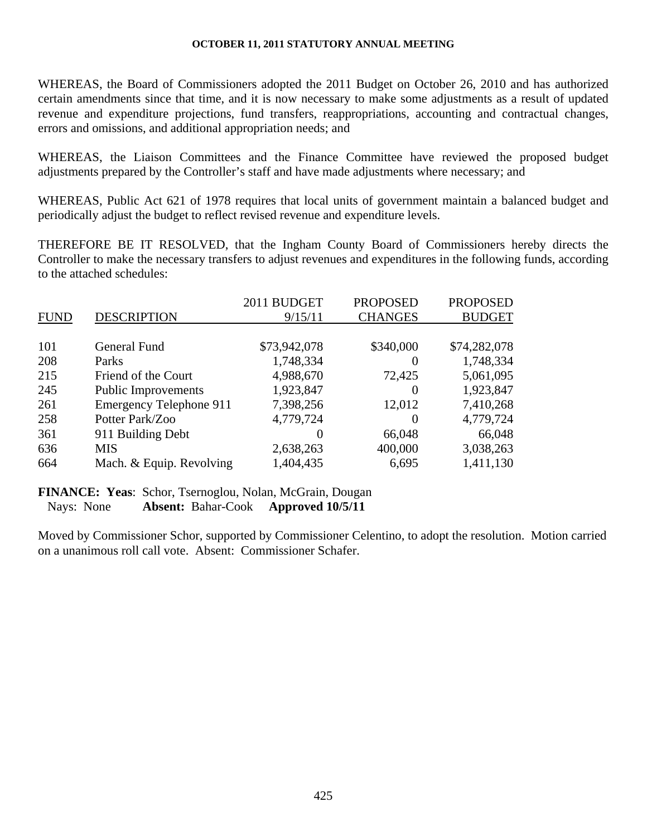WHEREAS, the Board of Commissioners adopted the 2011 Budget on October 26, 2010 and has authorized certain amendments since that time, and it is now necessary to make some adjustments as a result of updated revenue and expenditure projections, fund transfers, reappropriations, accounting and contractual changes, errors and omissions, and additional appropriation needs; and

WHEREAS, the Liaison Committees and the Finance Committee have reviewed the proposed budget adjustments prepared by the Controller's staff and have made adjustments where necessary; and

WHEREAS, Public Act 621 of 1978 requires that local units of government maintain a balanced budget and periodically adjust the budget to reflect revised revenue and expenditure levels.

THEREFORE BE IT RESOLVED, that the Ingham County Board of Commissioners hereby directs the Controller to make the necessary transfers to adjust revenues and expenditures in the following funds, according to the attached schedules:

|             |                                | 2011 BUDGET  | <b>PROPOSED</b> | <b>PROPOSED</b> |
|-------------|--------------------------------|--------------|-----------------|-----------------|
| <b>FUND</b> | <b>DESCRIPTION</b>             | 9/15/11      | <b>CHANGES</b>  | <b>BUDGET</b>   |
|             |                                |              |                 |                 |
| 101         | General Fund                   | \$73,942,078 | \$340,000       | \$74,282,078    |
| 208         | Parks                          | 1,748,334    | $\theta$        | 1,748,334       |
| 215         | Friend of the Court            | 4,988,670    | 72,425          | 5,061,095       |
| 245         | <b>Public Improvements</b>     | 1,923,847    | $\theta$        | 1,923,847       |
| 261         | <b>Emergency Telephone 911</b> | 7,398,256    | 12,012          | 7,410,268       |
| 258         | Potter Park/Zoo                | 4,779,724    | $\theta$        | 4,779,724       |
| 361         | 911 Building Debt              | $\Omega$     | 66,048          | 66,048          |
| 636         | <b>MIS</b>                     | 2,638,263    | 400,000         | 3,038,263       |
| 664         | Mach. & Equip. Revolving       | 1,404,435    | 6,695           | 1,411,130       |

**FINANCE: Yeas**: Schor, Tsernoglou, Nolan, McGrain, Dougan

Nays: None **Absent:** Bahar-Cook **Approved 10/5/11** 

Moved by Commissioner Schor, supported by Commissioner Celentino, to adopt the resolution. Motion carried on a unanimous roll call vote. Absent: Commissioner Schafer.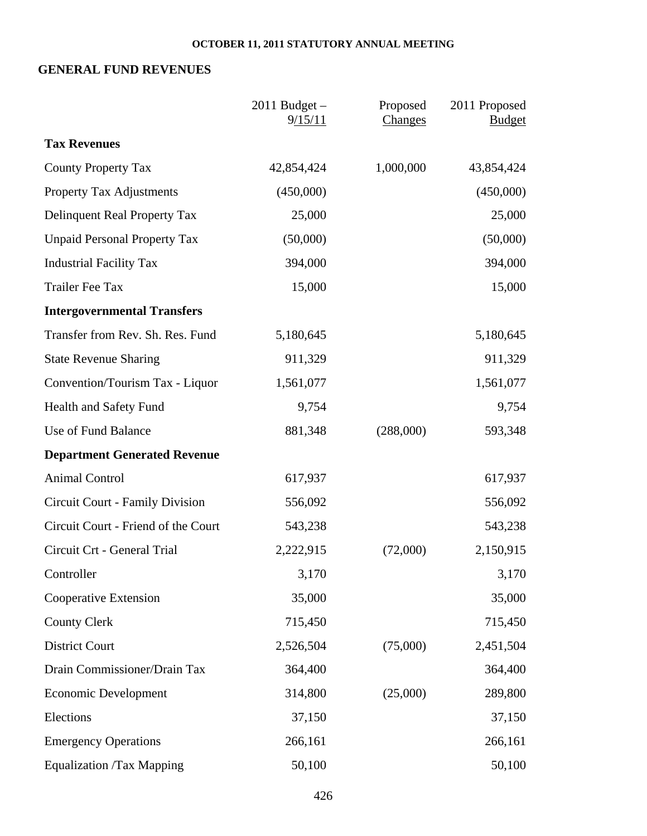# **GENERAL FUND REVENUES**

|                                     | $2011$ Budget $-$<br>9/15/11 | Proposed<br>Changes | 2011 Proposed<br><b>Budget</b> |
|-------------------------------------|------------------------------|---------------------|--------------------------------|
| <b>Tax Revenues</b>                 |                              |                     |                                |
| <b>County Property Tax</b>          | 42,854,424                   | 1,000,000           | 43,854,424                     |
| <b>Property Tax Adjustments</b>     | (450,000)                    |                     | (450,000)                      |
| Delinquent Real Property Tax        | 25,000                       |                     | 25,000                         |
| <b>Unpaid Personal Property Tax</b> | (50,000)                     |                     | (50,000)                       |
| <b>Industrial Facility Tax</b>      | 394,000                      |                     | 394,000                        |
| <b>Trailer Fee Tax</b>              | 15,000                       |                     | 15,000                         |
| <b>Intergovernmental Transfers</b>  |                              |                     |                                |
| Transfer from Rev. Sh. Res. Fund    | 5,180,645                    |                     | 5,180,645                      |
| <b>State Revenue Sharing</b>        | 911,329                      |                     | 911,329                        |
| Convention/Tourism Tax - Liquor     | 1,561,077                    |                     | 1,561,077                      |
| Health and Safety Fund              | 9,754                        |                     | 9,754                          |
| Use of Fund Balance                 | 881,348                      | (288,000)           | 593,348                        |
| <b>Department Generated Revenue</b> |                              |                     |                                |
| <b>Animal Control</b>               | 617,937                      |                     | 617,937                        |
| Circuit Court - Family Division     | 556,092                      |                     | 556,092                        |
| Circuit Court - Friend of the Court | 543,238                      |                     | 543,238                        |
| Circuit Crt - General Trial         | 2,222,915                    | (72,000)            | 2,150,915                      |
| Controller                          | 3,170                        |                     | 3,170                          |
| Cooperative Extension               | 35,000                       |                     | 35,000                         |
| <b>County Clerk</b>                 | 715,450                      |                     | 715,450                        |
| <b>District Court</b>               | 2,526,504                    | (75,000)            | 2,451,504                      |
| Drain Commissioner/Drain Tax        | 364,400                      |                     | 364,400                        |
| <b>Economic Development</b>         | 314,800                      | (25,000)            | 289,800                        |
| Elections                           | 37,150                       |                     | 37,150                         |
| <b>Emergency Operations</b>         | 266,161                      |                     | 266,161                        |
| <b>Equalization /Tax Mapping</b>    | 50,100                       |                     | 50,100                         |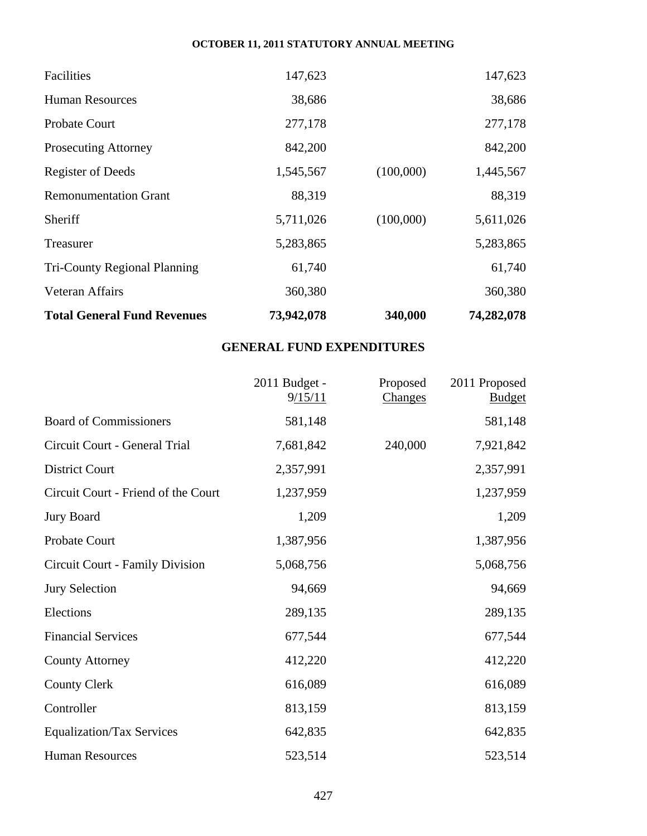| Facilities                          | 147,623    |           | 147,623    |
|-------------------------------------|------------|-----------|------------|
| <b>Human Resources</b>              | 38,686     |           | 38,686     |
| <b>Probate Court</b>                | 277,178    |           | 277,178    |
| <b>Prosecuting Attorney</b>         | 842,200    |           | 842,200    |
| <b>Register of Deeds</b>            | 1,545,567  | (100,000) | 1,445,567  |
| <b>Remonumentation Grant</b>        | 88,319     |           | 88,319     |
| Sheriff                             | 5,711,026  | (100,000) | 5,611,026  |
| Treasurer                           | 5,283,865  |           | 5,283,865  |
| <b>Tri-County Regional Planning</b> | 61,740     |           | 61,740     |
| Veteran Affairs                     | 360,380    |           | 360,380    |
| <b>Total General Fund Revenues</b>  | 73,942,078 | 340,000   | 74,282,078 |

# **GENERAL FUND EXPENDITURES**

|                                     | 2011 Budget -<br>9/15/11 | Proposed<br>Changes | 2011 Proposed<br><b>Budget</b> |
|-------------------------------------|--------------------------|---------------------|--------------------------------|
| <b>Board of Commissioners</b>       | 581,148                  |                     | 581,148                        |
| Circuit Court - General Trial       | 7,681,842                | 240,000             | 7,921,842                      |
| <b>District Court</b>               | 2,357,991                |                     | 2,357,991                      |
| Circuit Court - Friend of the Court | 1,237,959                |                     | 1,237,959                      |
| <b>Jury Board</b>                   | 1,209                    |                     | 1,209                          |
| Probate Court                       | 1,387,956                |                     | 1,387,956                      |
| Circuit Court - Family Division     | 5,068,756                |                     | 5,068,756                      |
| <b>Jury Selection</b>               | 94,669                   |                     | 94,669                         |
| Elections                           | 289,135                  |                     | 289,135                        |
| <b>Financial Services</b>           | 677,544                  |                     | 677,544                        |
| <b>County Attorney</b>              | 412,220                  |                     | 412,220                        |
| <b>County Clerk</b>                 | 616,089                  |                     | 616,089                        |
| Controller                          | 813,159                  |                     | 813,159                        |
| <b>Equalization/Tax Services</b>    | 642,835                  |                     | 642,835                        |
| <b>Human Resources</b>              | 523,514                  |                     | 523,514                        |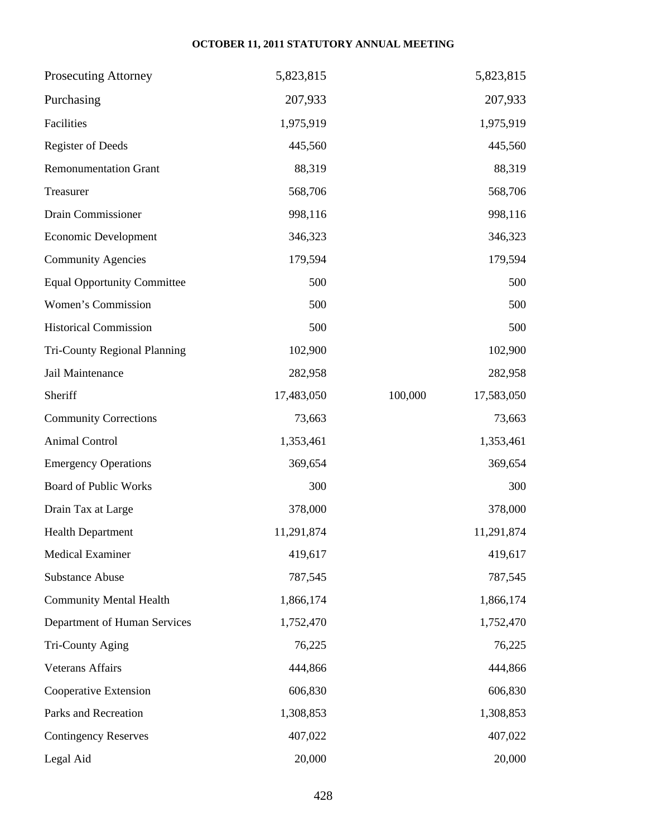| <b>Prosecuting Attorney</b>        | 5,823,815  | 5,823,815             |
|------------------------------------|------------|-----------------------|
| Purchasing                         | 207,933    | 207,933               |
| Facilities                         | 1,975,919  | 1,975,919             |
| <b>Register of Deeds</b>           | 445,560    | 445,560               |
| <b>Remonumentation Grant</b>       | 88,319     | 88,319                |
| Treasurer                          | 568,706    | 568,706               |
| Drain Commissioner                 | 998,116    | 998,116               |
| Economic Development               | 346,323    | 346,323               |
| <b>Community Agencies</b>          | 179,594    | 179,594               |
| <b>Equal Opportunity Committee</b> | 500        | 500                   |
| Women's Commission                 | 500        | 500                   |
| <b>Historical Commission</b>       | 500        | 500                   |
| Tri-County Regional Planning       | 102,900    | 102,900               |
| Jail Maintenance                   | 282,958    | 282,958               |
| Sheriff                            | 17,483,050 | 100,000<br>17,583,050 |
| <b>Community Corrections</b>       | 73,663     | 73,663                |
| Animal Control                     | 1,353,461  | 1,353,461             |
| <b>Emergency Operations</b>        | 369,654    | 369,654               |
| <b>Board of Public Works</b>       | 300        | 300                   |
| Drain Tax at Large                 | 378,000    | 378,000               |
| <b>Health Department</b>           | 11,291,874 | 11,291,874            |
| <b>Medical Examiner</b>            | 419,617    | 419,617               |
| <b>Substance Abuse</b>             | 787,545    | 787,545               |
| <b>Community Mental Health</b>     | 1,866,174  | 1,866,174             |
| Department of Human Services       | 1,752,470  | 1,752,470             |
| Tri-County Aging                   | 76,225     | 76,225                |
| <b>Veterans Affairs</b>            | 444,866    | 444,866               |
| Cooperative Extension              | 606,830    | 606,830               |
| Parks and Recreation               | 1,308,853  | 1,308,853             |
| <b>Contingency Reserves</b>        | 407,022    | 407,022               |
| Legal Aid                          | 20,000     | 20,000                |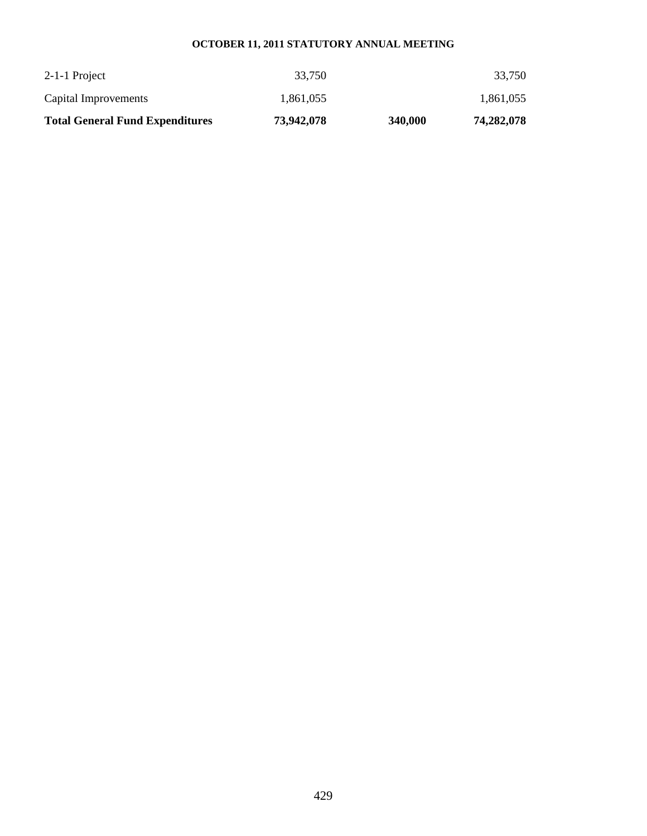| <b>Total General Fund Expenditures</b> | 73,942,078 | 340,000 | 74,282,078 |
|----------------------------------------|------------|---------|------------|
| Capital Improvements                   | 1.861.055  |         | 1,861,055  |
| 2-1-1 Project                          | 33,750     |         | 33.750     |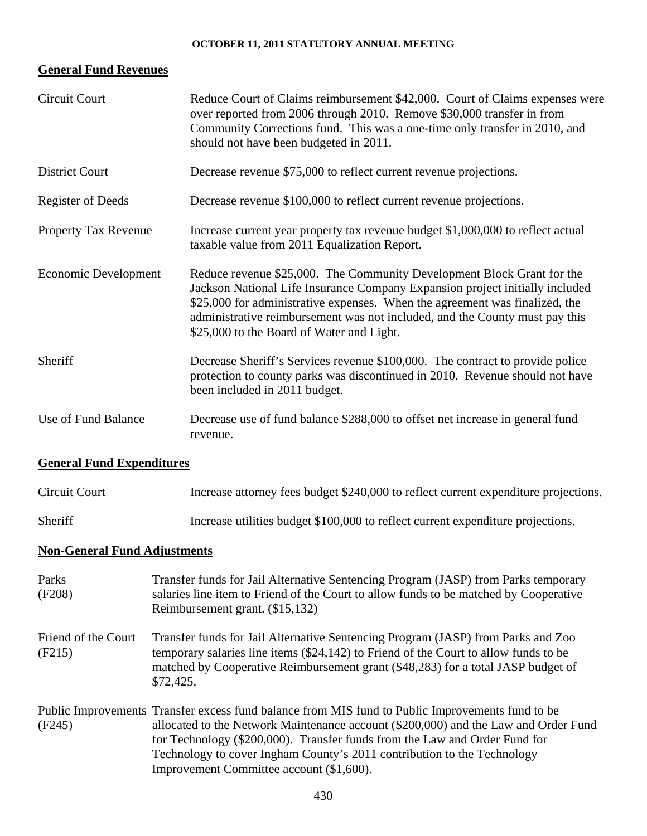# **General Fund Revenues**

| <b>Circuit Court</b>                | Reduce Court of Claims reimbursement \$42,000. Court of Claims expenses were<br>over reported from 2006 through 2010. Remove \$30,000 transfer in from<br>Community Corrections fund. This was a one-time only transfer in 2010, and<br>should not have been budgeted in 2011.                                                                                    |  |  |
|-------------------------------------|-------------------------------------------------------------------------------------------------------------------------------------------------------------------------------------------------------------------------------------------------------------------------------------------------------------------------------------------------------------------|--|--|
| <b>District Court</b>               | Decrease revenue \$75,000 to reflect current revenue projections.                                                                                                                                                                                                                                                                                                 |  |  |
| <b>Register of Deeds</b>            | Decrease revenue \$100,000 to reflect current revenue projections.                                                                                                                                                                                                                                                                                                |  |  |
| Property Tax Revenue                | Increase current year property tax revenue budget \$1,000,000 to reflect actual<br>taxable value from 2011 Equalization Report.                                                                                                                                                                                                                                   |  |  |
| <b>Economic Development</b>         | Reduce revenue \$25,000. The Community Development Block Grant for the<br>Jackson National Life Insurance Company Expansion project initially included<br>\$25,000 for administrative expenses. When the agreement was finalized, the<br>administrative reimbursement was not included, and the County must pay this<br>\$25,000 to the Board of Water and Light. |  |  |
| Sheriff                             | Decrease Sheriff's Services revenue \$100,000. The contract to provide police<br>protection to county parks was discontinued in 2010. Revenue should not have<br>been included in 2011 budget.                                                                                                                                                                    |  |  |
| Use of Fund Balance                 | Decrease use of fund balance \$288,000 to offset net increase in general fund<br>revenue.                                                                                                                                                                                                                                                                         |  |  |
| <b>General Fund Expenditures</b>    |                                                                                                                                                                                                                                                                                                                                                                   |  |  |
| <b>Circuit Court</b>                | Increase attorney fees budget \$240,000 to reflect current expenditure projections.                                                                                                                                                                                                                                                                               |  |  |
| Sheriff                             | Increase utilities budget \$100,000 to reflect current expenditure projections.                                                                                                                                                                                                                                                                                   |  |  |
| <b>Non-General Fund Adjustments</b> |                                                                                                                                                                                                                                                                                                                                                                   |  |  |
| Parks<br>(F208)                     | Transfer funds for Jail Alternative Sentencing Program (JASP) from Parks temporary<br>salaries line item to Friend of the Court to allow funds to be matched by Cooperative<br>Reimbursement grant. (\$15,132)                                                                                                                                                    |  |  |
| Friend of the Court<br>(F215)       | Transfer funds for Jail Alternative Sentencing Program (JASP) from Parks and Zoo<br>temporary salaries line items (\$24,142) to Friend of the Court to allow funds to be<br>matched by Cooperative Reimbursement grant (\$48,283) for a total JASP budget of<br>\$72,425.                                                                                         |  |  |
| (F245)                              | Public Improvements Transfer excess fund balance from MIS fund to Public Improvements fund to be<br>allocated to the Network Maintenance account (\$200,000) and the Law and Order Fund<br>for Technology (\$200,000). Transfer funds from the Law and Order Fund for                                                                                             |  |  |

Improvement Committee account (\$1,600).

Technology to cover Ingham County's 2011 contribution to the Technology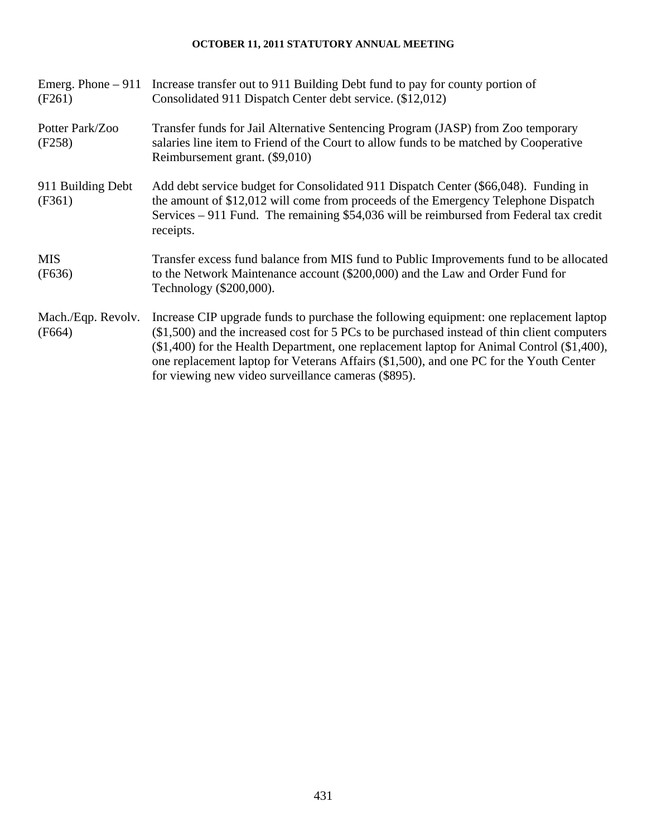| (F261)                       | Emerg. Phone – 911 Increase transfer out to 911 Building Debt fund to pay for county portion of<br>Consolidated 911 Dispatch Center debt service. (\$12,012)                                                                                                                                                                                                                                                                          |
|------------------------------|---------------------------------------------------------------------------------------------------------------------------------------------------------------------------------------------------------------------------------------------------------------------------------------------------------------------------------------------------------------------------------------------------------------------------------------|
| Potter Park/Zoo<br>(F258)    | Transfer funds for Jail Alternative Sentencing Program (JASP) from Zoo temporary<br>salaries line item to Friend of the Court to allow funds to be matched by Cooperative<br>Reimbursement grant. (\$9,010)                                                                                                                                                                                                                           |
| 911 Building Debt<br>(F361)  | Add debt service budget for Consolidated 911 Dispatch Center (\$66,048). Funding in<br>the amount of \$12,012 will come from proceeds of the Emergency Telephone Dispatch<br>Services – 911 Fund. The remaining \$54,036 will be reimbursed from Federal tax credit<br>receipts.                                                                                                                                                      |
| <b>MIS</b><br>(F636)         | Transfer excess fund balance from MIS fund to Public Improvements fund to be allocated<br>to the Network Maintenance account (\$200,000) and the Law and Order Fund for<br>Technology (\$200,000).                                                                                                                                                                                                                                    |
| Mach./Eqp. Revolv.<br>(F664) | Increase CIP upgrade funds to purchase the following equipment: one replacement laptop<br>$(\$1,500)$ and the increased cost for 5 PCs to be purchased instead of thin client computers<br>(\$1,400) for the Health Department, one replacement laptop for Animal Control (\$1,400),<br>one replacement laptop for Veterans Affairs (\$1,500), and one PC for the Youth Center<br>for viewing new video surveillance cameras (\$895). |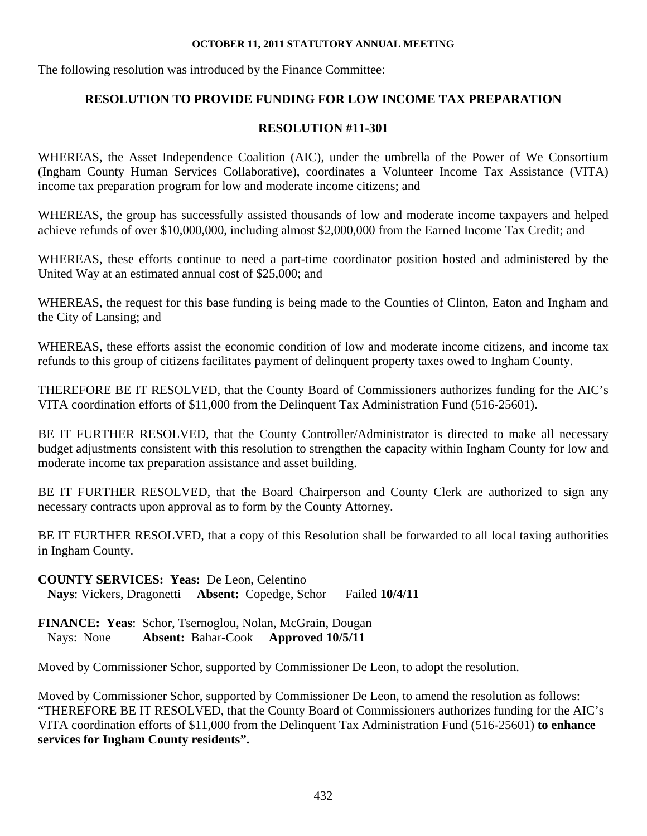The following resolution was introduced by the Finance Committee:

# **RESOLUTION TO PROVIDE FUNDING FOR LOW INCOME TAX PREPARATION**

# **RESOLUTION #11-301**

WHEREAS, the Asset Independence Coalition (AIC), under the umbrella of the Power of We Consortium (Ingham County Human Services Collaborative), coordinates a Volunteer Income Tax Assistance (VITA) income tax preparation program for low and moderate income citizens; and

WHEREAS, the group has successfully assisted thousands of low and moderate income taxpayers and helped achieve refunds of over \$10,000,000, including almost \$2,000,000 from the Earned Income Tax Credit; and

WHEREAS, these efforts continue to need a part-time coordinator position hosted and administered by the United Way at an estimated annual cost of \$25,000; and

WHEREAS, the request for this base funding is being made to the Counties of Clinton, Eaton and Ingham and the City of Lansing; and

WHEREAS, these efforts assist the economic condition of low and moderate income citizens, and income tax refunds to this group of citizens facilitates payment of delinquent property taxes owed to Ingham County.

THEREFORE BE IT RESOLVED, that the County Board of Commissioners authorizes funding for the AIC's VITA coordination efforts of \$11,000 from the Delinquent Tax Administration Fund (516-25601).

BE IT FURTHER RESOLVED, that the County Controller/Administrator is directed to make all necessary budget adjustments consistent with this resolution to strengthen the capacity within Ingham County for low and moderate income tax preparation assistance and asset building.

BE IT FURTHER RESOLVED, that the Board Chairperson and County Clerk are authorized to sign any necessary contracts upon approval as to form by the County Attorney.

BE IT FURTHER RESOLVED, that a copy of this Resolution shall be forwarded to all local taxing authorities in Ingham County.

**COUNTY SERVICES: Yeas:** De Leon, Celentino

 **Nays**: Vickers, Dragonetti **Absent:** Copedge, Schor Failed **10/4/11** 

**FINANCE: Yeas**: Schor, Tsernoglou, Nolan, McGrain, Dougan Nays: None **Absent:** Bahar-Cook **Approved 10/5/11** 

Moved by Commissioner Schor, supported by Commissioner De Leon, to adopt the resolution.

Moved by Commissioner Schor, supported by Commissioner De Leon, to amend the resolution as follows: "THEREFORE BE IT RESOLVED, that the County Board of Commissioners authorizes funding for the AIC's VITA coordination efforts of \$11,000 from the Delinquent Tax Administration Fund (516-25601) **to enhance services for Ingham County residents".**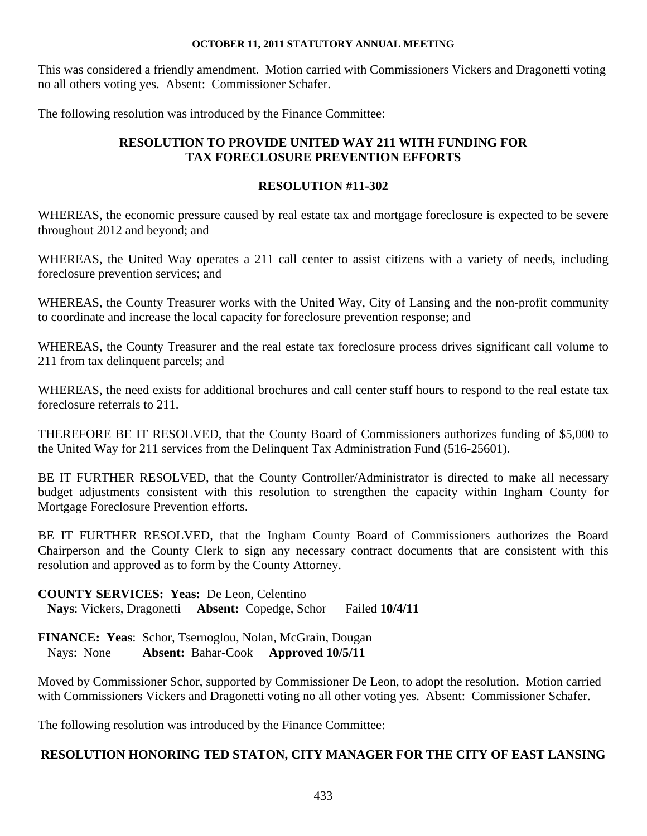This was considered a friendly amendment. Motion carried with Commissioners Vickers and Dragonetti voting no all others voting yes. Absent: Commissioner Schafer.

The following resolution was introduced by the Finance Committee:

# **RESOLUTION TO PROVIDE UNITED WAY 211 WITH FUNDING FOR TAX FORECLOSURE PREVENTION EFFORTS**

## **RESOLUTION #11-302**

WHEREAS, the economic pressure caused by real estate tax and mortgage foreclosure is expected to be severe throughout 2012 and beyond; and

WHEREAS, the United Way operates a 211 call center to assist citizens with a variety of needs, including foreclosure prevention services; and

WHEREAS, the County Treasurer works with the United Way, City of Lansing and the non-profit community to coordinate and increase the local capacity for foreclosure prevention response; and

WHEREAS, the County Treasurer and the real estate tax foreclosure process drives significant call volume to 211 from tax delinquent parcels; and

WHEREAS, the need exists for additional brochures and call center staff hours to respond to the real estate tax foreclosure referrals to 211.

THEREFORE BE IT RESOLVED, that the County Board of Commissioners authorizes funding of \$5,000 to the United Way for 211 services from the Delinquent Tax Administration Fund (516-25601).

BE IT FURTHER RESOLVED, that the County Controller/Administrator is directed to make all necessary budget adjustments consistent with this resolution to strengthen the capacity within Ingham County for Mortgage Foreclosure Prevention efforts.

BE IT FURTHER RESOLVED, that the Ingham County Board of Commissioners authorizes the Board Chairperson and the County Clerk to sign any necessary contract documents that are consistent with this resolution and approved as to form by the County Attorney.

## **COUNTY SERVICES: Yeas:** De Leon, Celentino

 **Nays**: Vickers, Dragonetti **Absent:** Copedge, Schor Failed **10/4/11** 

**FINANCE: Yeas**: Schor, Tsernoglou, Nolan, McGrain, Dougan Nays: None **Absent:** Bahar-Cook **Approved 10/5/11** 

Moved by Commissioner Schor, supported by Commissioner De Leon, to adopt the resolution. Motion carried with Commissioners Vickers and Dragonetti voting no all other voting yes. Absent: Commissioner Schafer.

The following resolution was introduced by the Finance Committee:

# **RESOLUTION HONORING TED STATON, CITY MANAGER FOR THE CITY OF EAST LANSING**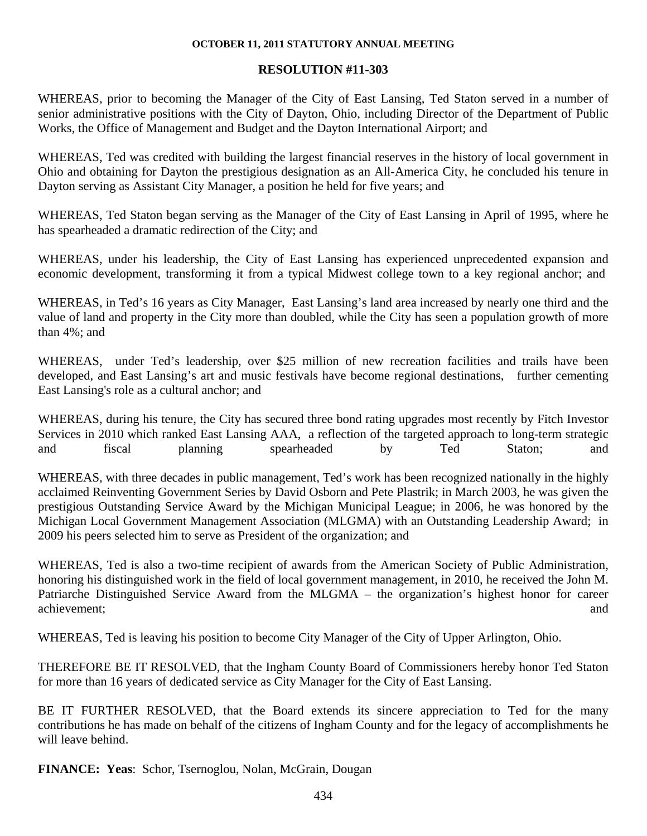# **RESOLUTION #11-303**

WHEREAS, prior to becoming the Manager of the City of East Lansing, Ted Staton served in a number of senior administrative positions with the City of Dayton, Ohio, including Director of the Department of Public Works, the Office of Management and Budget and the Dayton International Airport; and

WHEREAS, Ted was credited with building the largest financial reserves in the history of local government in Ohio and obtaining for Dayton the prestigious designation as an All-America City, he concluded his tenure in Dayton serving as Assistant City Manager, a position he held for five years; and

WHEREAS, Ted Staton began serving as the Manager of the City of East Lansing in April of 1995, where he has spearheaded a dramatic redirection of the City; and

WHEREAS, under his leadership, the City of East Lansing has experienced unprecedented expansion and economic development, transforming it from a typical Midwest college town to a key regional anchor; and

WHEREAS, in Ted's 16 years as City Manager, East Lansing's land area increased by nearly one third and the value of land and property in the City more than doubled, while the City has seen a population growth of more than 4%; and

WHEREAS, under Ted's leadership, over \$25 million of new recreation facilities and trails have been developed, and East Lansing's art and music festivals have become regional destinations, further cementing East Lansing's role as a cultural anchor; and

WHEREAS, during his tenure, the City has secured three bond rating upgrades most recently by Fitch Investor Services in 2010 which ranked East Lansing AAA, a reflection of the targeted approach to long-term strategic and fiscal planning spearheaded by Ted Staton; and

WHEREAS, with three decades in public management, Ted's work has been recognized nationally in the highly acclaimed Reinventing Government Series by David Osborn and Pete Plastrik; in March 2003, he was given the prestigious Outstanding Service Award by the Michigan Municipal League; in 2006, he was honored by the Michigan Local Government Management Association (MLGMA) with an Outstanding Leadership Award; in 2009 his peers selected him to serve as President of the organization; and

WHEREAS, Ted is also a two-time recipient of awards from the American Society of Public Administration, honoring his distinguished work in the field of local government management, in 2010, he received the John M. Patriarche Distinguished Service Award from the MLGMA – the organization's highest honor for career achievement; and

WHEREAS, Ted is leaving his position to become City Manager of the City of Upper Arlington, Ohio.

THEREFORE BE IT RESOLVED, that the Ingham County Board of Commissioners hereby honor Ted Staton for more than 16 years of dedicated service as City Manager for the City of East Lansing.

BE IT FURTHER RESOLVED, that the Board extends its sincere appreciation to Ted for the many contributions he has made on behalf of the citizens of Ingham County and for the legacy of accomplishments he will leave behind.

**FINANCE: Yeas**: Schor, Tsernoglou, Nolan, McGrain, Dougan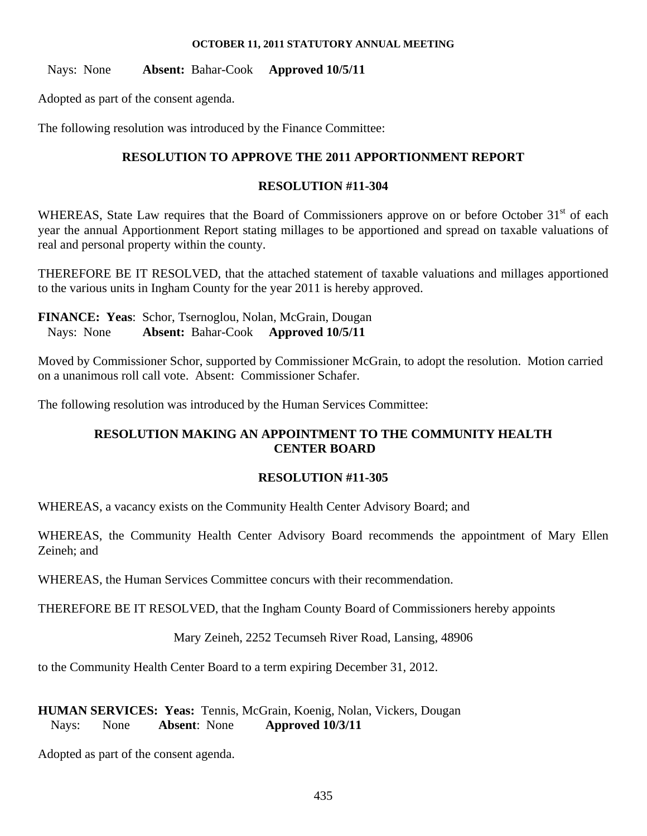Nays: None **Absent:** Bahar-Cook **Approved 10/5/11** 

Adopted as part of the consent agenda.

The following resolution was introduced by the Finance Committee:

# **RESOLUTION TO APPROVE THE 2011 APPORTIONMENT REPORT**

# **RESOLUTION #11-304**

WHEREAS, State Law requires that the Board of Commissioners approve on or before October 31<sup>st</sup> of each year the annual Apportionment Report stating millages to be apportioned and spread on taxable valuations of real and personal property within the county.

THEREFORE BE IT RESOLVED, that the attached statement of taxable valuations and millages apportioned to the various units in Ingham County for the year 2011 is hereby approved.

**FINANCE: Yeas**: Schor, Tsernoglou, Nolan, McGrain, Dougan Nays: None **Absent:** Bahar-Cook **Approved 10/5/11** 

Moved by Commissioner Schor, supported by Commissioner McGrain, to adopt the resolution. Motion carried on a unanimous roll call vote. Absent: Commissioner Schafer.

The following resolution was introduced by the Human Services Committee:

# **RESOLUTION MAKING AN APPOINTMENT TO THE COMMUNITY HEALTH CENTER BOARD**

# **RESOLUTION #11-305**

WHEREAS, a vacancy exists on the Community Health Center Advisory Board; and

WHEREAS, the Community Health Center Advisory Board recommends the appointment of Mary Ellen Zeineh; and

WHEREAS, the Human Services Committee concurs with their recommendation.

THEREFORE BE IT RESOLVED, that the Ingham County Board of Commissioners hereby appoints

Mary Zeineh, 2252 Tecumseh River Road, Lansing, 48906

to the Community Health Center Board to a term expiring December 31, 2012.

**HUMAN SERVICES: Yeas:** Tennis, McGrain, Koenig, Nolan, Vickers, Dougan Nays: None **Absent**: None **Approved 10/3/11** 

Adopted as part of the consent agenda.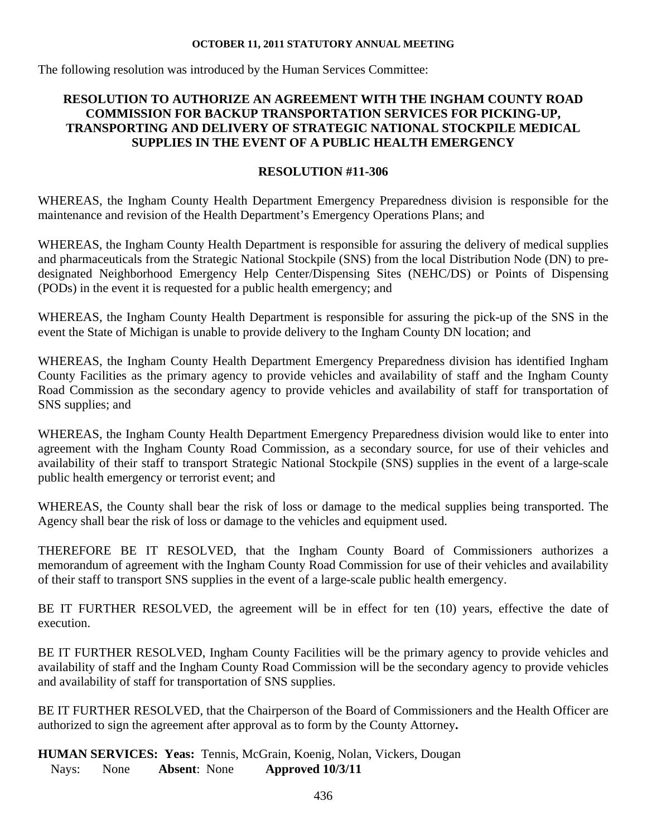The following resolution was introduced by the Human Services Committee:

# **RESOLUTION TO AUTHORIZE AN AGREEMENT WITH THE INGHAM COUNTY ROAD COMMISSION FOR BACKUP TRANSPORTATION SERVICES FOR PICKING-UP, TRANSPORTING AND DELIVERY OF STRATEGIC NATIONAL STOCKPILE MEDICAL SUPPLIES IN THE EVENT OF A PUBLIC HEALTH EMERGENCY**

#### **RESOLUTION #11-306**

WHEREAS, the Ingham County Health Department Emergency Preparedness division is responsible for the maintenance and revision of the Health Department's Emergency Operations Plans; and

WHEREAS, the Ingham County Health Department is responsible for assuring the delivery of medical supplies and pharmaceuticals from the Strategic National Stockpile (SNS) from the local Distribution Node (DN) to predesignated Neighborhood Emergency Help Center/Dispensing Sites (NEHC/DS) or Points of Dispensing (PODs) in the event it is requested for a public health emergency; and

WHEREAS, the Ingham County Health Department is responsible for assuring the pick-up of the SNS in the event the State of Michigan is unable to provide delivery to the Ingham County DN location; and

WHEREAS, the Ingham County Health Department Emergency Preparedness division has identified Ingham County Facilities as the primary agency to provide vehicles and availability of staff and the Ingham County Road Commission as the secondary agency to provide vehicles and availability of staff for transportation of SNS supplies; and

WHEREAS, the Ingham County Health Department Emergency Preparedness division would like to enter into agreement with the Ingham County Road Commission, as a secondary source, for use of their vehicles and availability of their staff to transport Strategic National Stockpile (SNS) supplies in the event of a large-scale public health emergency or terrorist event; and

WHEREAS, the County shall bear the risk of loss or damage to the medical supplies being transported. The Agency shall bear the risk of loss or damage to the vehicles and equipment used.

THEREFORE BE IT RESOLVED, that the Ingham County Board of Commissioners authorizes a memorandum of agreement with the Ingham County Road Commission for use of their vehicles and availability of their staff to transport SNS supplies in the event of a large-scale public health emergency.

BE IT FURTHER RESOLVED, the agreement will be in effect for ten (10) years, effective the date of execution.

BE IT FURTHER RESOLVED, Ingham County Facilities will be the primary agency to provide vehicles and availability of staff and the Ingham County Road Commission will be the secondary agency to provide vehicles and availability of staff for transportation of SNS supplies.

BE IT FURTHER RESOLVED, that the Chairperson of the Board of Commissioners and the Health Officer are authorized to sign the agreement after approval as to form by the County Attorney**.**

**HUMAN SERVICES: Yeas:** Tennis, McGrain, Koenig, Nolan, Vickers, Dougan Nays: None **Absent**: None **Approved 10/3/11**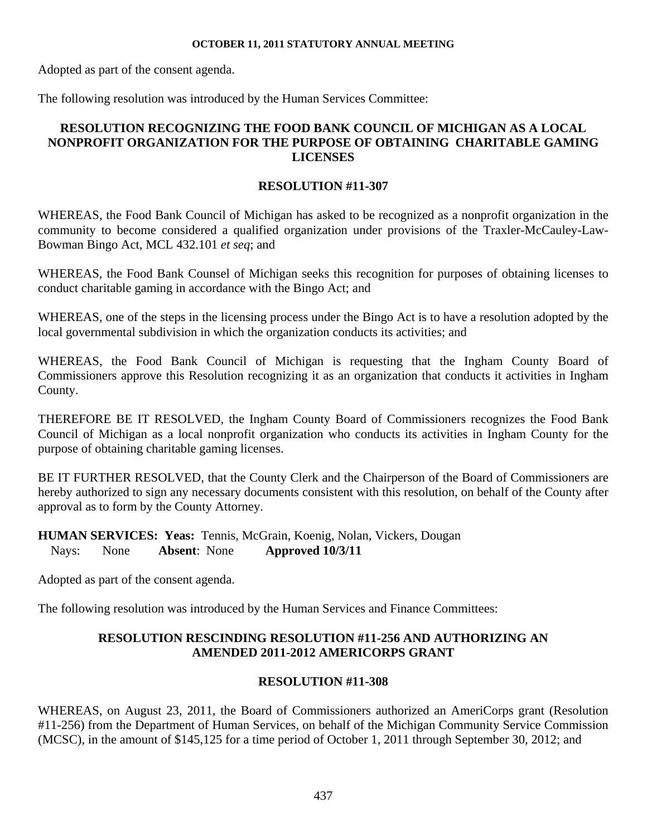Adopted as part of the consent agenda.

The following resolution was introduced by the Human Services Committee:

# **RESOLUTION RECOGNIZING THE FOOD BANK COUNCIL OF MICHIGAN AS A LOCAL NONPROFIT ORGANIZATION FOR THE PURPOSE OF OBTAINING CHARITABLE GAMING LICENSES**

# **RESOLUTION #11-307**

WHEREAS, the Food Bank Council of Michigan has asked to be recognized as a nonprofit organization in the community to become considered a qualified organization under provisions of the Traxler-McCauley-Law-Bowman Bingo Act, MCL 432.101 *et seq*; and

WHEREAS, the Food Bank Counsel of Michigan seeks this recognition for purposes of obtaining licenses to conduct charitable gaming in accordance with the Bingo Act; and

WHEREAS, one of the steps in the licensing process under the Bingo Act is to have a resolution adopted by the local governmental subdivision in which the organization conducts its activities; and

WHEREAS, the Food Bank Council of Michigan is requesting that the Ingham County Board of Commissioners approve this Resolution recognizing it as an organization that conducts it activities in Ingham County.

THEREFORE BE IT RESOLVED, the Ingham County Board of Commissioners recognizes the Food Bank Council of Michigan as a local nonprofit organization who conducts its activities in Ingham County for the purpose of obtaining charitable gaming licenses.

BE IT FURTHER RESOLVED, that the County Clerk and the Chairperson of the Board of Commissioners are hereby authorized to sign any necessary documents consistent with this resolution, on behalf of the County after approval as to form by the County Attorney.

**HUMAN SERVICES: Yeas:** Tennis, McGrain, Koenig, Nolan, Vickers, Dougan Nays: None **Absent**: None **Approved 10/3/11** 

Adopted as part of the consent agenda.

The following resolution was introduced by the Human Services and Finance Committees:

# **RESOLUTION RESCINDING RESOLUTION #11-256 AND AUTHORIZING AN AMENDED 2011-2012 AMERICORPS GRANT**

# **RESOLUTION #11-308**

WHEREAS, on August 23, 2011, the Board of Commissioners authorized an AmeriCorps grant (Resolution #11-256) from the Department of Human Services, on behalf of the Michigan Community Service Commission (MCSC), in the amount of \$145,125 for a time period of October 1, 2011 through September 30, 2012; and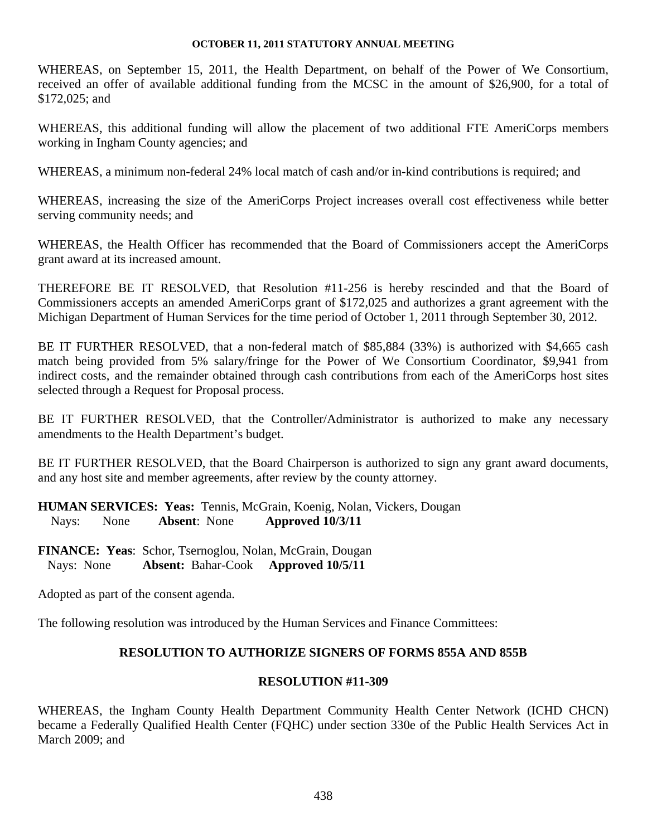WHEREAS, on September 15, 2011, the Health Department, on behalf of the Power of We Consortium, received an offer of available additional funding from the MCSC in the amount of \$26,900, for a total of \$172,025; and

WHEREAS, this additional funding will allow the placement of two additional FTE AmeriCorps members working in Ingham County agencies; and

WHEREAS, a minimum non-federal 24% local match of cash and/or in-kind contributions is required; and

WHEREAS, increasing the size of the AmeriCorps Project increases overall cost effectiveness while better serving community needs; and

WHEREAS, the Health Officer has recommended that the Board of Commissioners accept the AmeriCorps grant award at its increased amount.

THEREFORE BE IT RESOLVED, that Resolution #11-256 is hereby rescinded and that the Board of Commissioners accepts an amended AmeriCorps grant of \$172,025 and authorizes a grant agreement with the Michigan Department of Human Services for the time period of October 1, 2011 through September 30, 2012.

BE IT FURTHER RESOLVED, that a non-federal match of \$85,884 (33%) is authorized with \$4,665 cash match being provided from 5% salary/fringe for the Power of We Consortium Coordinator, \$9,941 from indirect costs, and the remainder obtained through cash contributions from each of the AmeriCorps host sites selected through a Request for Proposal process.

BE IT FURTHER RESOLVED, that the Controller/Administrator is authorized to make any necessary amendments to the Health Department's budget.

BE IT FURTHER RESOLVED, that the Board Chairperson is authorized to sign any grant award documents, and any host site and member agreements, after review by the county attorney.

**HUMAN SERVICES: Yeas:** Tennis, McGrain, Koenig, Nolan, Vickers, Dougan Nays: None **Absent**: None **Approved 10/3/11** 

**FINANCE: Yeas**: Schor, Tsernoglou, Nolan, McGrain, Dougan Nays: None **Absent:** Bahar-Cook **Approved 10/5/11**

Adopted as part of the consent agenda.

The following resolution was introduced by the Human Services and Finance Committees:

# **RESOLUTION TO AUTHORIZE SIGNERS OF FORMS 855A AND 855B**

# **RESOLUTION #11-309**

WHEREAS, the Ingham County Health Department Community Health Center Network (ICHD CHCN) became a Federally Qualified Health Center (FQHC) under section 330e of the Public Health Services Act in March 2009; and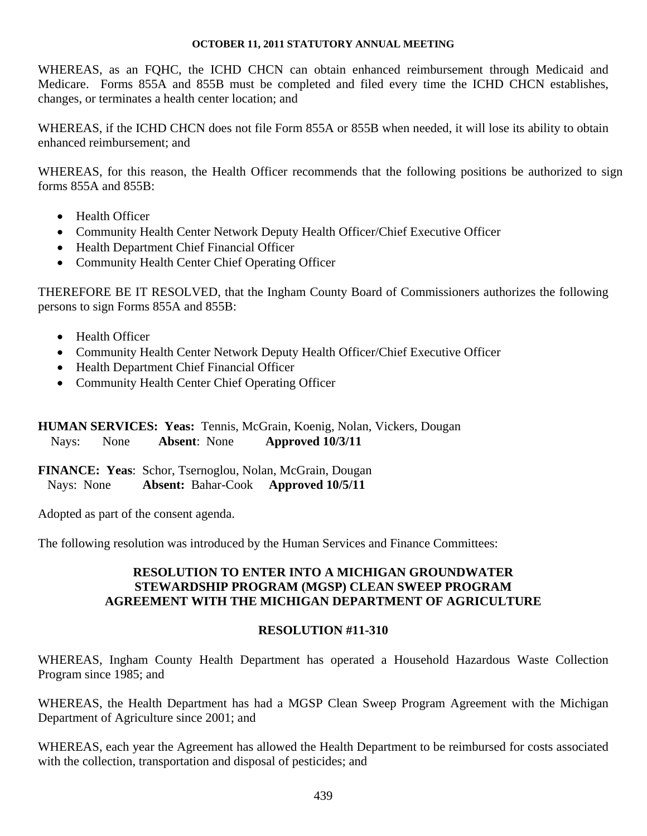WHEREAS, as an FQHC, the ICHD CHCN can obtain enhanced reimbursement through Medicaid and Medicare. Forms 855A and 855B must be completed and filed every time the ICHD CHCN establishes, changes, or terminates a health center location; and

WHEREAS, if the ICHD CHCN does not file Form 855A or 855B when needed, it will lose its ability to obtain enhanced reimbursement; and

WHEREAS, for this reason, the Health Officer recommends that the following positions be authorized to sign forms 855A and 855B:

- Health Officer
- Community Health Center Network Deputy Health Officer/Chief Executive Officer
- Health Department Chief Financial Officer
- Community Health Center Chief Operating Officer

THEREFORE BE IT RESOLVED, that the Ingham County Board of Commissioners authorizes the following persons to sign Forms 855A and 855B:

- Health Officer
- Community Health Center Network Deputy Health Officer/Chief Executive Officer
- Health Department Chief Financial Officer
- Community Health Center Chief Operating Officer

# **HUMAN SERVICES: Yeas:** Tennis, McGrain, Koenig, Nolan, Vickers, Dougan Nays: None **Absent**: None **Approved 10/3/11**

**FINANCE: Yeas**: Schor, Tsernoglou, Nolan, McGrain, Dougan Nays: None **Absent:** Bahar-Cook **Approved 10/5/11** 

Adopted as part of the consent agenda.

The following resolution was introduced by the Human Services and Finance Committees:

# **RESOLUTION TO ENTER INTO A MICHIGAN GROUNDWATER STEWARDSHIP PROGRAM (MGSP) CLEAN SWEEP PROGRAM AGREEMENT WITH THE MICHIGAN DEPARTMENT OF AGRICULTURE**

## **RESOLUTION #11-310**

WHEREAS, Ingham County Health Department has operated a Household Hazardous Waste Collection Program since 1985; and

WHEREAS, the Health Department has had a MGSP Clean Sweep Program Agreement with the Michigan Department of Agriculture since 2001; and

WHEREAS, each year the Agreement has allowed the Health Department to be reimbursed for costs associated with the collection, transportation and disposal of pesticides; and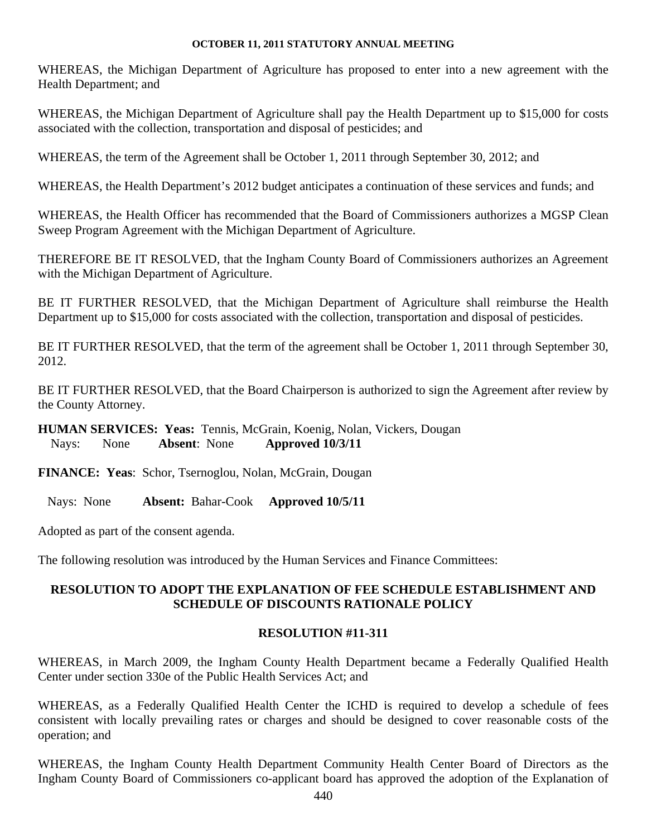WHEREAS, the Michigan Department of Agriculture has proposed to enter into a new agreement with the Health Department; and

WHEREAS, the Michigan Department of Agriculture shall pay the Health Department up to \$15,000 for costs associated with the collection, transportation and disposal of pesticides; and

WHEREAS, the term of the Agreement shall be October 1, 2011 through September 30, 2012; and

WHEREAS, the Health Department's 2012 budget anticipates a continuation of these services and funds; and

WHEREAS, the Health Officer has recommended that the Board of Commissioners authorizes a MGSP Clean Sweep Program Agreement with the Michigan Department of Agriculture.

THEREFORE BE IT RESOLVED, that the Ingham County Board of Commissioners authorizes an Agreement with the Michigan Department of Agriculture.

BE IT FURTHER RESOLVED, that the Michigan Department of Agriculture shall reimburse the Health Department up to \$15,000 for costs associated with the collection, transportation and disposal of pesticides.

BE IT FURTHER RESOLVED, that the term of the agreement shall be October 1, 2011 through September 30, 2012.

BE IT FURTHER RESOLVED, that the Board Chairperson is authorized to sign the Agreement after review by the County Attorney.

**HUMAN SERVICES: Yeas:** Tennis, McGrain, Koenig, Nolan, Vickers, Dougan Nays: None **Absent**: None **Approved 10/3/11** 

**FINANCE: Yeas**: Schor, Tsernoglou, Nolan, McGrain, Dougan

Nays: None **Absent:** Bahar-Cook **Approved 10/5/11** 

Adopted as part of the consent agenda.

The following resolution was introduced by the Human Services and Finance Committees:

# **RESOLUTION TO ADOPT THE EXPLANATION OF FEE SCHEDULE ESTABLISHMENT AND SCHEDULE OF DISCOUNTS RATIONALE POLICY**

# **RESOLUTION #11-311**

WHEREAS, in March 2009, the Ingham County Health Department became a Federally Qualified Health Center under section 330e of the Public Health Services Act; and

WHEREAS, as a Federally Qualified Health Center the ICHD is required to develop a schedule of fees consistent with locally prevailing rates or charges and should be designed to cover reasonable costs of the operation; and

WHEREAS, the Ingham County Health Department Community Health Center Board of Directors as the Ingham County Board of Commissioners co-applicant board has approved the adoption of the Explanation of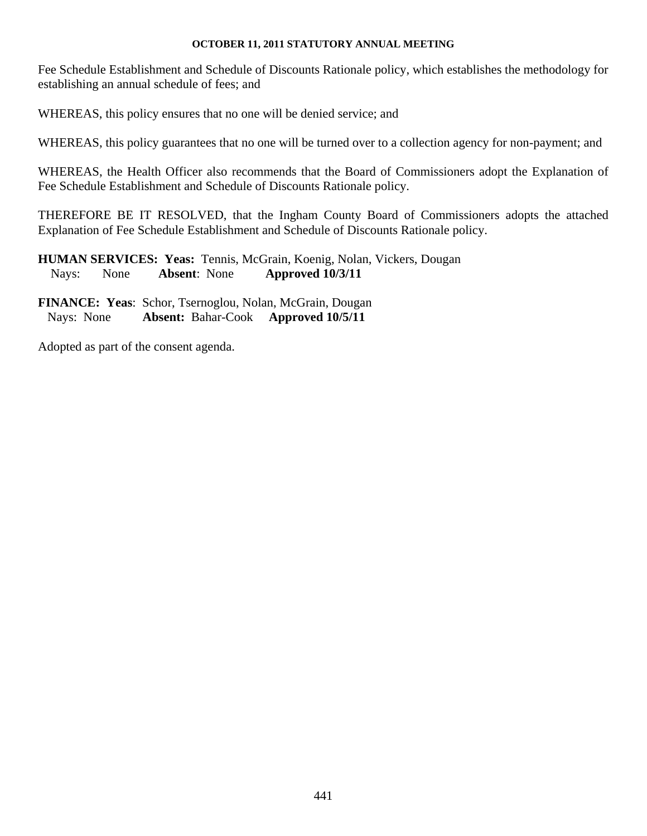Fee Schedule Establishment and Schedule of Discounts Rationale policy, which establishes the methodology for establishing an annual schedule of fees; and

WHEREAS, this policy ensures that no one will be denied service; and

WHEREAS, this policy guarantees that no one will be turned over to a collection agency for non-payment; and

WHEREAS, the Health Officer also recommends that the Board of Commissioners adopt the Explanation of Fee Schedule Establishment and Schedule of Discounts Rationale policy.

THEREFORE BE IT RESOLVED, that the Ingham County Board of Commissioners adopts the attached Explanation of Fee Schedule Establishment and Schedule of Discounts Rationale policy.

**HUMAN SERVICES: Yeas:** Tennis, McGrain, Koenig, Nolan, Vickers, Dougan Nays: None **Absent**: None **Approved 10/3/11** 

**FINANCE: Yeas**: Schor, Tsernoglou, Nolan, McGrain, Dougan Nays: None **Absent:** Bahar-Cook **Approved 10/5/11** 

Adopted as part of the consent agenda.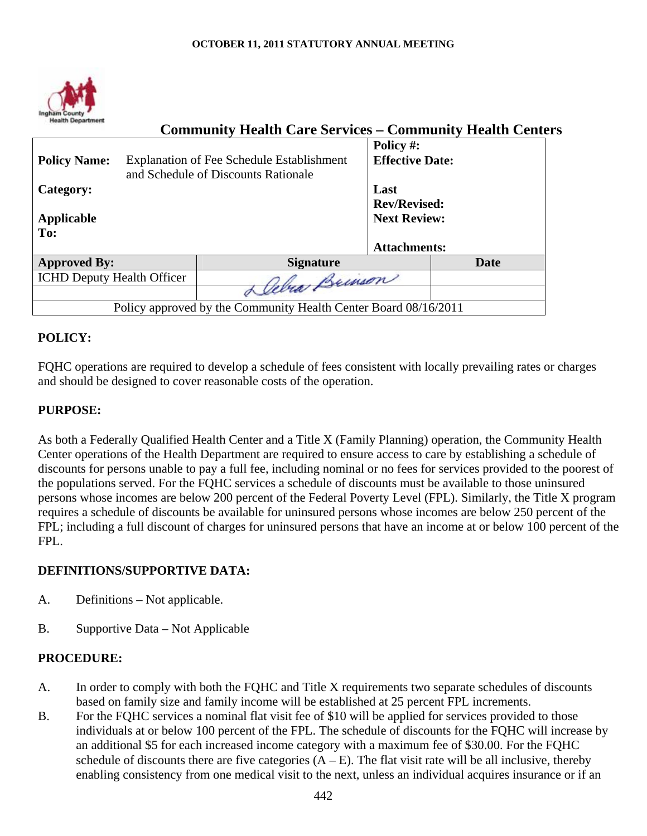

| <b>Health Department</b><br><b>Community Health Care Services – Community Health Centers</b> |                                                                                                                              |                                                                           |  |
|----------------------------------------------------------------------------------------------|------------------------------------------------------------------------------------------------------------------------------|---------------------------------------------------------------------------|--|
|                                                                                              | Policy #:<br><b>Effective Date:</b>                                                                                          |                                                                           |  |
|                                                                                              | Last                                                                                                                         |                                                                           |  |
|                                                                                              | <b>Rev/Revised:</b>                                                                                                          |                                                                           |  |
|                                                                                              | <b>Next Review:</b>                                                                                                          |                                                                           |  |
|                                                                                              |                                                                                                                              |                                                                           |  |
|                                                                                              | <b>Attachments:</b>                                                                                                          |                                                                           |  |
| <b>Signature</b>                                                                             | Date                                                                                                                         |                                                                           |  |
|                                                                                              |                                                                                                                              |                                                                           |  |
|                                                                                              |                                                                                                                              |                                                                           |  |
|                                                                                              |                                                                                                                              |                                                                           |  |
|                                                                                              | <b>Explanation of Fee Schedule Establishment</b><br>and Schedule of Discounts Rationale<br><b>ICHD Deputy Health Officer</b> | Lymson<br>Policy approved by the Community Health Center Board 08/16/2011 |  |

# **POLICY:**

FQHC operations are required to develop a schedule of fees consistent with locally prevailing rates or charges and should be designed to cover reasonable costs of the operation.

## **PURPOSE:**

As both a Federally Qualified Health Center and a Title X (Family Planning) operation, the Community Health Center operations of the Health Department are required to ensure access to care by establishing a schedule of discounts for persons unable to pay a full fee, including nominal or no fees for services provided to the poorest of the populations served. For the FQHC services a schedule of discounts must be available to those uninsured persons whose incomes are below 200 percent of the Federal Poverty Level (FPL). Similarly, the Title X program requires a schedule of discounts be available for uninsured persons whose incomes are below 250 percent of the FPL; including a full discount of charges for uninsured persons that have an income at or below 100 percent of the FPL.

## **DEFINITIONS/SUPPORTIVE DATA:**

- A. Definitions Not applicable.
- B. Supportive Data Not Applicable

#### **PROCEDURE:**

- A. In order to comply with both the FQHC and Title X requirements two separate schedules of discounts based on family size and family income will be established at 25 percent FPL increments.
- B. For the FQHC services a nominal flat visit fee of \$10 will be applied for services provided to those individuals at or below 100 percent of the FPL. The schedule of discounts for the FQHC will increase by an additional \$5 for each increased income category with a maximum fee of \$30.00. For the FQHC schedule of discounts there are five categories  $(A - E)$ . The flat visit rate will be all inclusive, thereby enabling consistency from one medical visit to the next, unless an individual acquires insurance or if an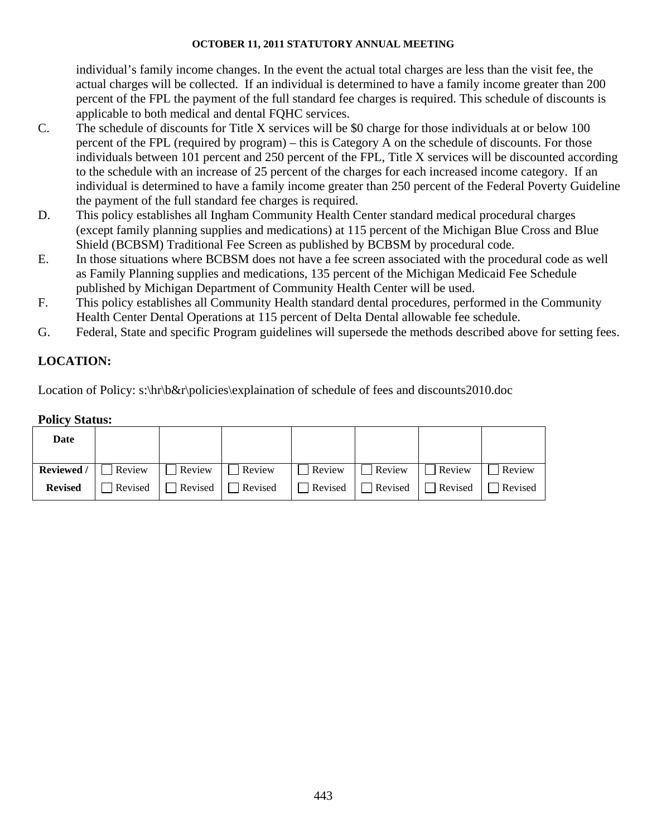individual's family income changes. In the event the actual total charges are less than the visit fee, the actual charges will be collected. If an individual is determined to have a family income greater than 200 percent of the FPL the payment of the full standard fee charges is required. This schedule of discounts is applicable to both medical and dental FQHC services.

- C. The schedule of discounts for Title X services will be \$0 charge for those individuals at or below 100 percent of the FPL (required by program) – this is Category A on the schedule of discounts. For those individuals between 101 percent and 250 percent of the FPL, Title X services will be discounted according to the schedule with an increase of 25 percent of the charges for each increased income category. If an individual is determined to have a family income greater than 250 percent of the Federal Poverty Guideline the payment of the full standard fee charges is required.
- D. This policy establishes all Ingham Community Health Center standard medical procedural charges (except family planning supplies and medications) at 115 percent of the Michigan Blue Cross and Blue Shield (BCBSM) Traditional Fee Screen as published by BCBSM by procedural code.
- E. In those situations where BCBSM does not have a fee screen associated with the procedural code as well as Family Planning supplies and medications, 135 percent of the Michigan Medicaid Fee Schedule published by Michigan Department of Community Health Center will be used.
- F. This policy establishes all Community Health standard dental procedures, performed in the Community Health Center Dental Operations at 115 percent of Delta Dental allowable fee schedule.
- G. Federal, State and specific Program guidelines will supersede the methods described above for setting fees.

# **LOCATION:**

Location of Policy: s:\hr\b&r\policies\explaination of schedule of fees and discounts2010.doc

#### **Policy Status:**

| Date           |  |                                                                                                                     |  |  |
|----------------|--|---------------------------------------------------------------------------------------------------------------------|--|--|
|                |  | <b>Reviewed</b> / $\Box$ Review $\Box$ Review $\Box$ Review $\Box$ Review $\Box$ Review $\Box$ Review $\Box$ Review |  |  |
| <b>Revised</b> |  | $\Box$ Revised $\Box$ Revised $\Box$ Revised $\Box$ Revised $\Box$ Revised $\Box$ Revised $\Box$ Revised            |  |  |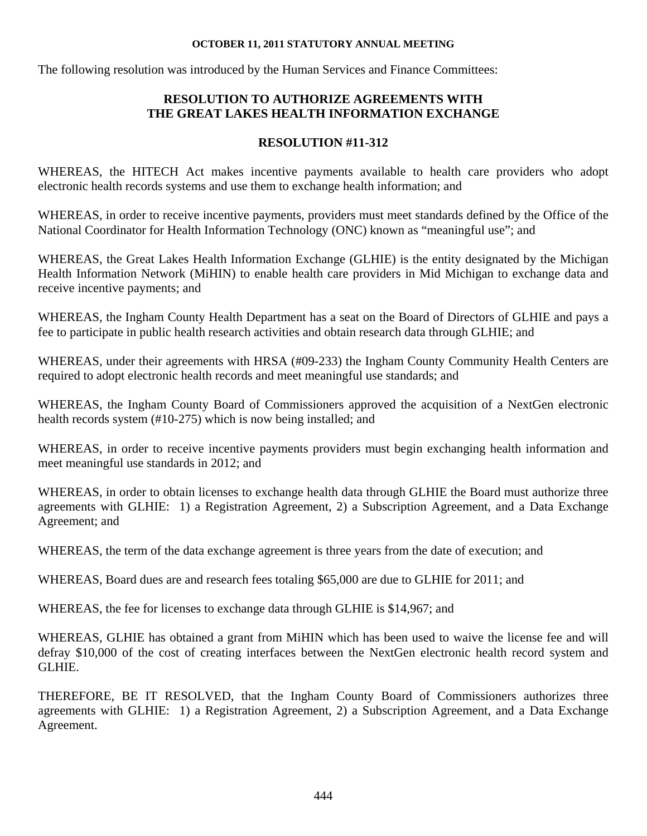The following resolution was introduced by the Human Services and Finance Committees:

# **RESOLUTION TO AUTHORIZE AGREEMENTS WITH THE GREAT LAKES HEALTH INFORMATION EXCHANGE**

## **RESOLUTION #11-312**

WHEREAS, the HITECH Act makes incentive payments available to health care providers who adopt electronic health records systems and use them to exchange health information; and

WHEREAS, in order to receive incentive payments, providers must meet standards defined by the Office of the National Coordinator for Health Information Technology (ONC) known as "meaningful use"; and

WHEREAS, the Great Lakes Health Information Exchange (GLHIE) is the entity designated by the Michigan Health Information Network (MiHIN) to enable health care providers in Mid Michigan to exchange data and receive incentive payments; and

WHEREAS, the Ingham County Health Department has a seat on the Board of Directors of GLHIE and pays a fee to participate in public health research activities and obtain research data through GLHIE; and

WHEREAS, under their agreements with HRSA (#09-233) the Ingham County Community Health Centers are required to adopt electronic health records and meet meaningful use standards; and

WHEREAS, the Ingham County Board of Commissioners approved the acquisition of a NextGen electronic health records system (#10-275) which is now being installed; and

WHEREAS, in order to receive incentive payments providers must begin exchanging health information and meet meaningful use standards in 2012; and

WHEREAS, in order to obtain licenses to exchange health data through GLHIE the Board must authorize three agreements with GLHIE: 1) a Registration Agreement, 2) a Subscription Agreement, and a Data Exchange Agreement; and

WHEREAS, the term of the data exchange agreement is three years from the date of execution; and

WHEREAS, Board dues are and research fees totaling \$65,000 are due to GLHIE for 2011; and

WHEREAS, the fee for licenses to exchange data through GLHIE is \$14,967; and

WHEREAS, GLHIE has obtained a grant from MiHIN which has been used to waive the license fee and will defray \$10,000 of the cost of creating interfaces between the NextGen electronic health record system and GLHIE.

THEREFORE, BE IT RESOLVED, that the Ingham County Board of Commissioners authorizes three agreements with GLHIE: 1) a Registration Agreement, 2) a Subscription Agreement, and a Data Exchange Agreement.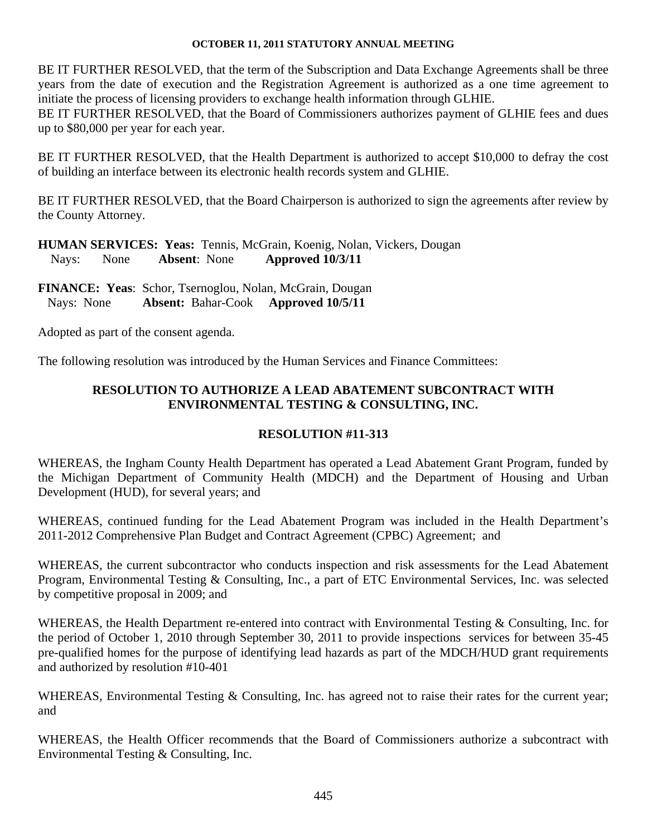BE IT FURTHER RESOLVED, that the term of the Subscription and Data Exchange Agreements shall be three years from the date of execution and the Registration Agreement is authorized as a one time agreement to initiate the process of licensing providers to exchange health information through GLHIE.

BE IT FURTHER RESOLVED, that the Board of Commissioners authorizes payment of GLHIE fees and dues up to \$80,000 per year for each year.

BE IT FURTHER RESOLVED, that the Health Department is authorized to accept \$10,000 to defray the cost of building an interface between its electronic health records system and GLHIE.

BE IT FURTHER RESOLVED, that the Board Chairperson is authorized to sign the agreements after review by the County Attorney.

**HUMAN SERVICES: Yeas:** Tennis, McGrain, Koenig, Nolan, Vickers, Dougan Nays: None **Absent**: None **Approved 10/3/11** 

**FINANCE: Yeas**: Schor, Tsernoglou, Nolan, McGrain, Dougan Nays: None **Absent:** Bahar-Cook **Approved 10/5/11** 

Adopted as part of the consent agenda.

The following resolution was introduced by the Human Services and Finance Committees:

# **RESOLUTION TO AUTHORIZE A LEAD ABATEMENT SUBCONTRACT WITH ENVIRONMENTAL TESTING & CONSULTING, INC.**

# **RESOLUTION #11-313**

WHEREAS, the Ingham County Health Department has operated a Lead Abatement Grant Program, funded by the Michigan Department of Community Health (MDCH) and the Department of Housing and Urban Development (HUD), for several years; and

WHEREAS, continued funding for the Lead Abatement Program was included in the Health Department's 2011-2012 Comprehensive Plan Budget and Contract Agreement (CPBC) Agreement; and

WHEREAS, the current subcontractor who conducts inspection and risk assessments for the Lead Abatement Program, Environmental Testing & Consulting, Inc., a part of ETC Environmental Services, Inc. was selected by competitive proposal in 2009; and

WHEREAS, the Health Department re-entered into contract with Environmental Testing & Consulting, Inc. for the period of October 1, 2010 through September 30, 2011 to provide inspections services for between 35-45 pre-qualified homes for the purpose of identifying lead hazards as part of the MDCH/HUD grant requirements and authorized by resolution #10-401

WHEREAS, Environmental Testing & Consulting, Inc. has agreed not to raise their rates for the current year; and

WHEREAS, the Health Officer recommends that the Board of Commissioners authorize a subcontract with Environmental Testing & Consulting, Inc.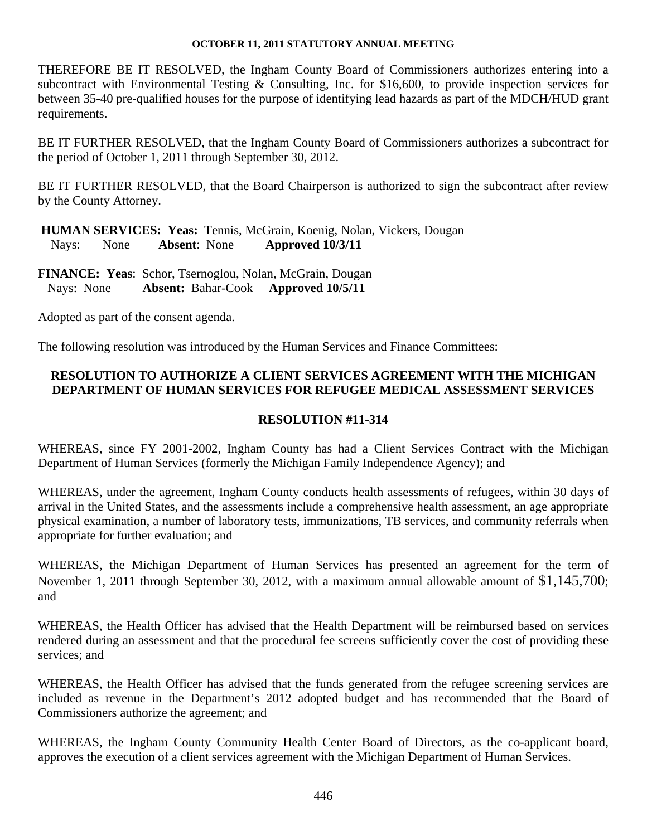THEREFORE BE IT RESOLVED, the Ingham County Board of Commissioners authorizes entering into a subcontract with Environmental Testing & Consulting, Inc. for \$16,600, to provide inspection services for between 35-40 pre-qualified houses for the purpose of identifying lead hazards as part of the MDCH/HUD grant requirements.

BE IT FURTHER RESOLVED, that the Ingham County Board of Commissioners authorizes a subcontract for the period of October 1, 2011 through September 30, 2012.

BE IT FURTHER RESOLVED, that the Board Chairperson is authorized to sign the subcontract after review by the County Attorney.

 **HUMAN SERVICES: Yeas:** Tennis, McGrain, Koenig, Nolan, Vickers, Dougan Nays: None **Absent**: None **Approved 10/3/11** 

**FINANCE: Yeas**: Schor, Tsernoglou, Nolan, McGrain, Dougan Nays: None **Absent:** Bahar-Cook **Approved 10/5/11**

Adopted as part of the consent agenda.

The following resolution was introduced by the Human Services and Finance Committees:

# **RESOLUTION TO AUTHORIZE A CLIENT SERVICES AGREEMENT WITH THE MICHIGAN DEPARTMENT OF HUMAN SERVICES FOR REFUGEE MEDICAL ASSESSMENT SERVICES**

# **RESOLUTION #11-314**

WHEREAS, since FY 2001-2002, Ingham County has had a Client Services Contract with the Michigan Department of Human Services (formerly the Michigan Family Independence Agency); and

WHEREAS, under the agreement, Ingham County conducts health assessments of refugees, within 30 days of arrival in the United States, and the assessments include a comprehensive health assessment, an age appropriate physical examination, a number of laboratory tests, immunizations, TB services, and community referrals when appropriate for further evaluation; and

WHEREAS, the Michigan Department of Human Services has presented an agreement for the term of November 1, 2011 through September 30, 2012, with a maximum annual allowable amount of \$1,145,700; and

WHEREAS, the Health Officer has advised that the Health Department will be reimbursed based on services rendered during an assessment and that the procedural fee screens sufficiently cover the cost of providing these services; and

WHEREAS, the Health Officer has advised that the funds generated from the refugee screening services are included as revenue in the Department's 2012 adopted budget and has recommended that the Board of Commissioners authorize the agreement; and

WHEREAS, the Ingham County Community Health Center Board of Directors, as the co-applicant board, approves the execution of a client services agreement with the Michigan Department of Human Services.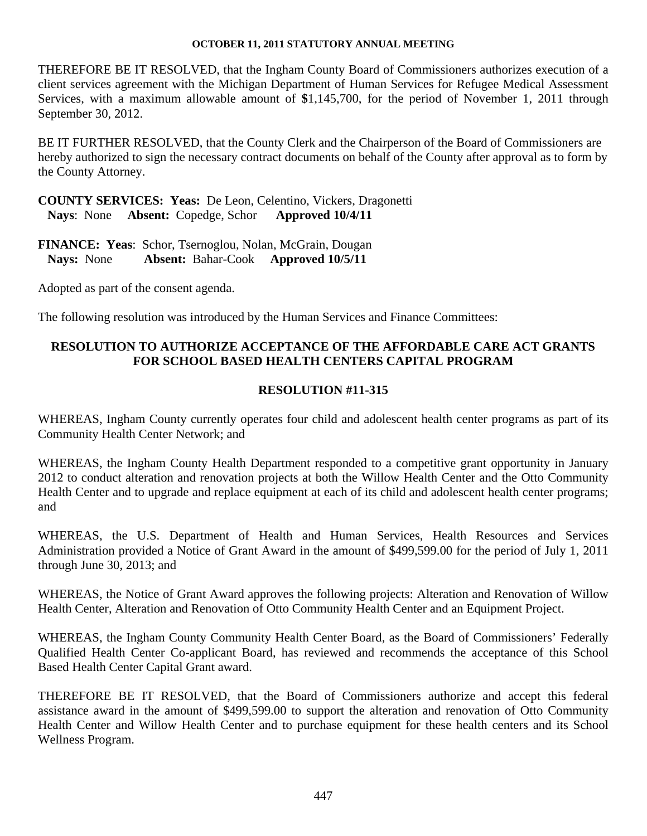THEREFORE BE IT RESOLVED, that the Ingham County Board of Commissioners authorizes execution of a client services agreement with the Michigan Department of Human Services for Refugee Medical Assessment Services, with a maximum allowable amount of **\$**1,145,700, for the period of November 1, 2011 through September 30, 2012.

BE IT FURTHER RESOLVED, that the County Clerk and the Chairperson of the Board of Commissioners are hereby authorized to sign the necessary contract documents on behalf of the County after approval as to form by the County Attorney.

**COUNTY SERVICES: Yeas:** De Leon, Celentino, Vickers, Dragonetti  **Nays**: None **Absent:** Copedge, Schor **Approved 10/4/11** 

**FINANCE: Yeas**: Schor, Tsernoglou, Nolan, McGrain, Dougan **Nays:** None **Absent:** Bahar-Cook **Approved 10/5/11** 

Adopted as part of the consent agenda.

The following resolution was introduced by the Human Services and Finance Committees:

# **RESOLUTION TO AUTHORIZE ACCEPTANCE OF THE AFFORDABLE CARE ACT GRANTS FOR SCHOOL BASED HEALTH CENTERS CAPITAL PROGRAM**

# **RESOLUTION #11-315**

WHEREAS, Ingham County currently operates four child and adolescent health center programs as part of its Community Health Center Network; and

WHEREAS, the Ingham County Health Department responded to a competitive grant opportunity in January 2012 to conduct alteration and renovation projects at both the Willow Health Center and the Otto Community Health Center and to upgrade and replace equipment at each of its child and adolescent health center programs; and

WHEREAS, the U.S. Department of Health and Human Services, Health Resources and Services Administration provided a Notice of Grant Award in the amount of \$499,599.00 for the period of July 1, 2011 through June 30, 2013; and

WHEREAS, the Notice of Grant Award approves the following projects: Alteration and Renovation of Willow Health Center, Alteration and Renovation of Otto Community Health Center and an Equipment Project.

WHEREAS, the Ingham County Community Health Center Board, as the Board of Commissioners' Federally Qualified Health Center Co-applicant Board, has reviewed and recommends the acceptance of this School Based Health Center Capital Grant award.

THEREFORE BE IT RESOLVED, that the Board of Commissioners authorize and accept this federal assistance award in the amount of \$499,599.00 to support the alteration and renovation of Otto Community Health Center and Willow Health Center and to purchase equipment for these health centers and its School Wellness Program.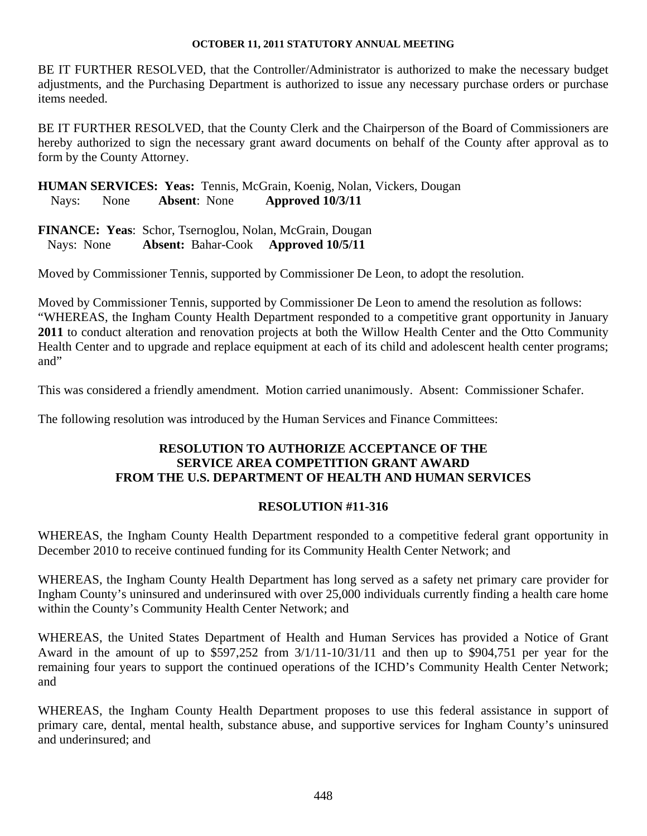BE IT FURTHER RESOLVED, that the Controller/Administrator is authorized to make the necessary budget adjustments, and the Purchasing Department is authorized to issue any necessary purchase orders or purchase items needed.

BE IT FURTHER RESOLVED, that the County Clerk and the Chairperson of the Board of Commissioners are hereby authorized to sign the necessary grant award documents on behalf of the County after approval as to form by the County Attorney.

**HUMAN SERVICES: Yeas:** Tennis, McGrain, Koenig, Nolan, Vickers, Dougan Nays: None **Absent**: None **Approved 10/3/11** 

**FINANCE: Yeas**: Schor, Tsernoglou, Nolan, McGrain, Dougan Nays: None **Absent:** Bahar-Cook **Approved 10/5/11** 

Moved by Commissioner Tennis, supported by Commissioner De Leon, to adopt the resolution.

Moved by Commissioner Tennis, supported by Commissioner De Leon to amend the resolution as follows: "WHEREAS, the Ingham County Health Department responded to a competitive grant opportunity in January **2011** to conduct alteration and renovation projects at both the Willow Health Center and the Otto Community Health Center and to upgrade and replace equipment at each of its child and adolescent health center programs; and"

This was considered a friendly amendment. Motion carried unanimously. Absent: Commissioner Schafer.

The following resolution was introduced by the Human Services and Finance Committees:

# **RESOLUTION TO AUTHORIZE ACCEPTANCE OF THE SERVICE AREA COMPETITION GRANT AWARD FROM THE U.S. DEPARTMENT OF HEALTH AND HUMAN SERVICES**

## **RESOLUTION #11-316**

WHEREAS, the Ingham County Health Department responded to a competitive federal grant opportunity in December 2010 to receive continued funding for its Community Health Center Network; and

WHEREAS, the Ingham County Health Department has long served as a safety net primary care provider for Ingham County's uninsured and underinsured with over 25,000 individuals currently finding a health care home within the County's Community Health Center Network; and

WHEREAS, the United States Department of Health and Human Services has provided a Notice of Grant Award in the amount of up to \$597,252 from 3/1/11-10/31/11 and then up to \$904,751 per year for the remaining four years to support the continued operations of the ICHD's Community Health Center Network; and

WHEREAS, the Ingham County Health Department proposes to use this federal assistance in support of primary care, dental, mental health, substance abuse, and supportive services for Ingham County's uninsured and underinsured; and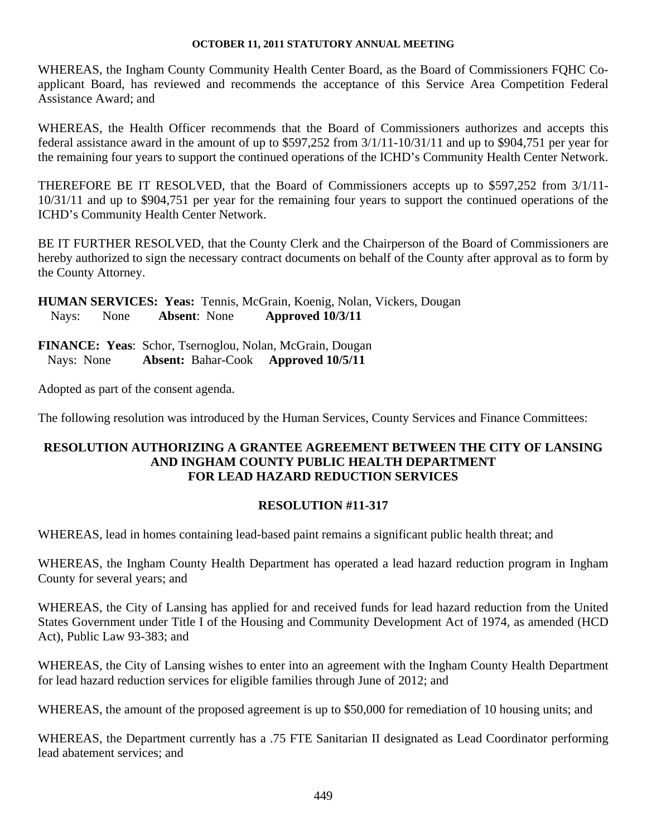WHEREAS, the Ingham County Community Health Center Board, as the Board of Commissioners FQHC Coapplicant Board, has reviewed and recommends the acceptance of this Service Area Competition Federal Assistance Award; and

WHEREAS, the Health Officer recommends that the Board of Commissioners authorizes and accepts this federal assistance award in the amount of up to \$597,252 from 3/1/11-10/31/11 and up to \$904,751 per year for the remaining four years to support the continued operations of the ICHD's Community Health Center Network.

THEREFORE BE IT RESOLVED, that the Board of Commissioners accepts up to \$597,252 from 3/1/11- 10/31/11 and up to \$904,751 per year for the remaining four years to support the continued operations of the ICHD's Community Health Center Network.

BE IT FURTHER RESOLVED, that the County Clerk and the Chairperson of the Board of Commissioners are hereby authorized to sign the necessary contract documents on behalf of the County after approval as to form by the County Attorney.

**HUMAN SERVICES: Yeas:** Tennis, McGrain, Koenig, Nolan, Vickers, Dougan Nays: None **Absent**: None **Approved 10/3/11** 

**FINANCE: Yeas**: Schor, Tsernoglou, Nolan, McGrain, Dougan Nays: None **Absent:** Bahar-Cook **Approved 10/5/11** 

Adopted as part of the consent agenda.

The following resolution was introduced by the Human Services, County Services and Finance Committees:

# **RESOLUTION AUTHORIZING A GRANTEE AGREEMENT BETWEEN THE CITY OF LANSING AND INGHAM COUNTY PUBLIC HEALTH DEPARTMENT FOR LEAD HAZARD REDUCTION SERVICES**

# **RESOLUTION #11-317**

WHEREAS, lead in homes containing lead-based paint remains a significant public health threat; and

WHEREAS, the Ingham County Health Department has operated a lead hazard reduction program in Ingham County for several years; and

WHEREAS, the City of Lansing has applied for and received funds for lead hazard reduction from the United States Government under Title I of the Housing and Community Development Act of 1974, as amended (HCD Act), Public Law 93-383; and

WHEREAS, the City of Lansing wishes to enter into an agreement with the Ingham County Health Department for lead hazard reduction services for eligible families through June of 2012; and

WHEREAS, the amount of the proposed agreement is up to \$50,000 for remediation of 10 housing units; and

WHEREAS, the Department currently has a .75 FTE Sanitarian II designated as Lead Coordinator performing lead abatement services; and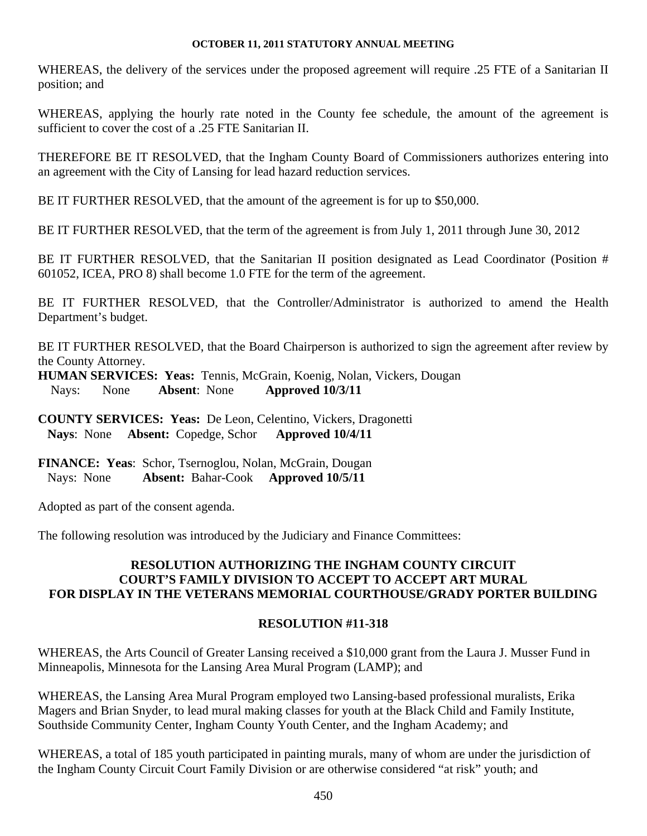WHEREAS, the delivery of the services under the proposed agreement will require .25 FTE of a Sanitarian II position; and

WHEREAS, applying the hourly rate noted in the County fee schedule, the amount of the agreement is sufficient to cover the cost of a .25 FTE Sanitarian II.

THEREFORE BE IT RESOLVED, that the Ingham County Board of Commissioners authorizes entering into an agreement with the City of Lansing for lead hazard reduction services.

BE IT FURTHER RESOLVED, that the amount of the agreement is for up to \$50,000.

BE IT FURTHER RESOLVED, that the term of the agreement is from July 1, 2011 through June 30, 2012

BE IT FURTHER RESOLVED, that the Sanitarian II position designated as Lead Coordinator (Position # 601052, ICEA, PRO 8) shall become 1.0 FTE for the term of the agreement.

BE IT FURTHER RESOLVED, that the Controller/Administrator is authorized to amend the Health Department's budget.

BE IT FURTHER RESOLVED, that the Board Chairperson is authorized to sign the agreement after review by the County Attorney.

**HUMAN SERVICES: Yeas:** Tennis, McGrain, Koenig, Nolan, Vickers, Dougan Nays: None **Absent**: None **Approved 10/3/11** 

**COUNTY SERVICES: Yeas:** De Leon, Celentino, Vickers, Dragonetti  **Nays**: None **Absent:** Copedge, Schor **Approved 10/4/11** 

**FINANCE: Yeas**: Schor, Tsernoglou, Nolan, McGrain, Dougan Nays: None **Absent:** Bahar-Cook **Approved 10/5/11** 

Adopted as part of the consent agenda.

The following resolution was introduced by the Judiciary and Finance Committees:

# **RESOLUTION AUTHORIZING THE INGHAM COUNTY CIRCUIT COURT'S FAMILY DIVISION TO ACCEPT TO ACCEPT ART MURAL FOR DISPLAY IN THE VETERANS MEMORIAL COURTHOUSE/GRADY PORTER BUILDING**

# **RESOLUTION #11-318**

WHEREAS, the Arts Council of Greater Lansing received a \$10,000 grant from the Laura J. Musser Fund in Minneapolis, Minnesota for the Lansing Area Mural Program (LAMP); and

WHEREAS, the Lansing Area Mural Program employed two Lansing-based professional muralists, Erika Magers and Brian Snyder, to lead mural making classes for youth at the Black Child and Family Institute, Southside Community Center, Ingham County Youth Center, and the Ingham Academy; and

WHEREAS, a total of 185 youth participated in painting murals, many of whom are under the jurisdiction of the Ingham County Circuit Court Family Division or are otherwise considered "at risk" youth; and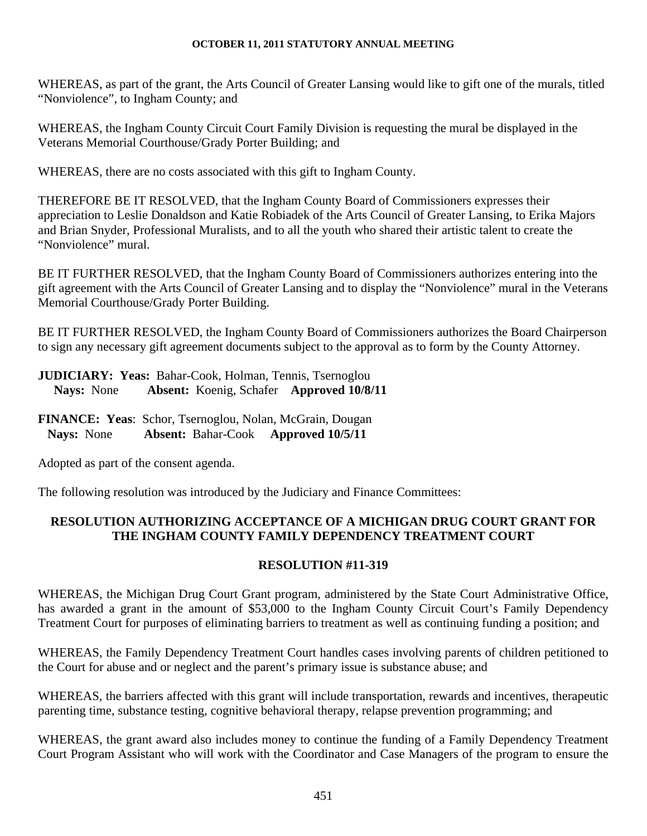WHEREAS, as part of the grant, the Arts Council of Greater Lansing would like to gift one of the murals, titled "Nonviolence", to Ingham County; and

WHEREAS, the Ingham County Circuit Court Family Division is requesting the mural be displayed in the Veterans Memorial Courthouse/Grady Porter Building; and

WHEREAS, there are no costs associated with this gift to Ingham County.

THEREFORE BE IT RESOLVED, that the Ingham County Board of Commissioners expresses their appreciation to Leslie Donaldson and Katie Robiadek of the Arts Council of Greater Lansing, to Erika Majors and Brian Snyder, Professional Muralists, and to all the youth who shared their artistic talent to create the "Nonviolence" mural.

BE IT FURTHER RESOLVED, that the Ingham County Board of Commissioners authorizes entering into the gift agreement with the Arts Council of Greater Lansing and to display the "Nonviolence" mural in the Veterans Memorial Courthouse/Grady Porter Building.

BE IT FURTHER RESOLVED, the Ingham County Board of Commissioners authorizes the Board Chairperson to sign any necessary gift agreement documents subject to the approval as to form by the County Attorney.

**JUDICIARY: Yeas:** Bahar-Cook, Holman, Tennis, Tsernoglou **Nays:** None **Absent:** Koenig, Schafer **Approved 10/8/11**

**FINANCE: Yeas**: Schor, Tsernoglou, Nolan, McGrain, Dougan **Nays:** None **Absent:** Bahar-Cook **Approved 10/5/11** 

Adopted as part of the consent agenda.

The following resolution was introduced by the Judiciary and Finance Committees:

# **RESOLUTION AUTHORIZING ACCEPTANCE OF A MICHIGAN DRUG COURT GRANT FOR THE INGHAM COUNTY FAMILY DEPENDENCY TREATMENT COURT**

# **RESOLUTION #11-319**

WHEREAS, the Michigan Drug Court Grant program, administered by the State Court Administrative Office, has awarded a grant in the amount of \$53,000 to the Ingham County Circuit Court's Family Dependency Treatment Court for purposes of eliminating barriers to treatment as well as continuing funding a position; and

WHEREAS, the Family Dependency Treatment Court handles cases involving parents of children petitioned to the Court for abuse and or neglect and the parent's primary issue is substance abuse; and

WHEREAS, the barriers affected with this grant will include transportation, rewards and incentives, therapeutic parenting time, substance testing, cognitive behavioral therapy, relapse prevention programming; and

WHEREAS, the grant award also includes money to continue the funding of a Family Dependency Treatment Court Program Assistant who will work with the Coordinator and Case Managers of the program to ensure the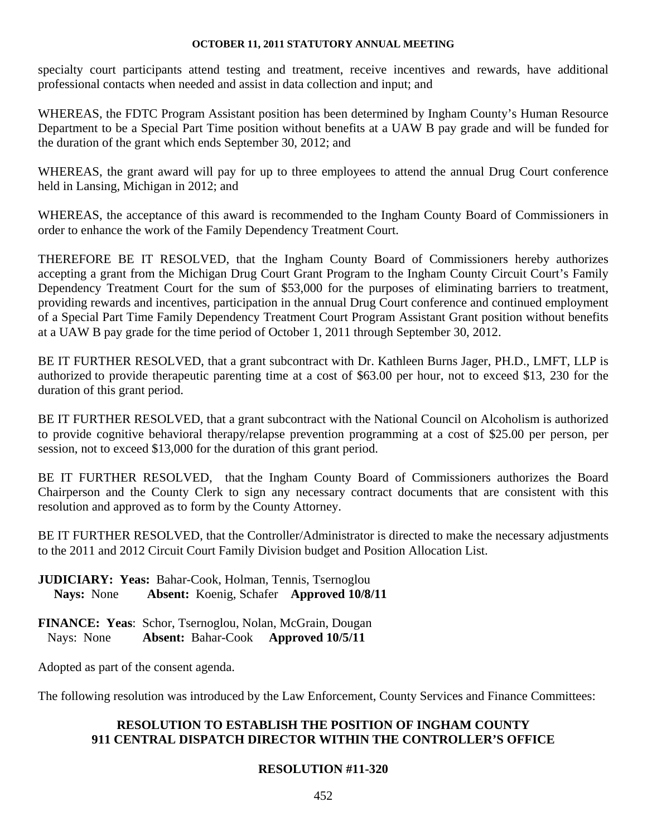specialty court participants attend testing and treatment, receive incentives and rewards, have additional professional contacts when needed and assist in data collection and input; and

WHEREAS, the FDTC Program Assistant position has been determined by Ingham County's Human Resource Department to be a Special Part Time position without benefits at a UAW B pay grade and will be funded for the duration of the grant which ends September 30, 2012; and

WHEREAS, the grant award will pay for up to three employees to attend the annual Drug Court conference held in Lansing, Michigan in 2012; and

WHEREAS, the acceptance of this award is recommended to the Ingham County Board of Commissioners in order to enhance the work of the Family Dependency Treatment Court.

THEREFORE BE IT RESOLVED, that the Ingham County Board of Commissioners hereby authorizes accepting a grant from the Michigan Drug Court Grant Program to the Ingham County Circuit Court's Family Dependency Treatment Court for the sum of \$53,000 for the purposes of eliminating barriers to treatment, providing rewards and incentives, participation in the annual Drug Court conference and continued employment of a Special Part Time Family Dependency Treatment Court Program Assistant Grant position without benefits at a UAW B pay grade for the time period of October 1, 2011 through September 30, 2012.

BE IT FURTHER RESOLVED, that a grant subcontract with Dr. Kathleen Burns Jager, PH.D., LMFT, LLP is authorized to provide therapeutic parenting time at a cost of \$63.00 per hour, not to exceed \$13, 230 for the duration of this grant period.

BE IT FURTHER RESOLVED, that a grant subcontract with the National Council on Alcoholism is authorized to provide cognitive behavioral therapy/relapse prevention programming at a cost of \$25.00 per person, per session, not to exceed \$13,000 for the duration of this grant period.

BE IT FURTHER RESOLVED, that the Ingham County Board of Commissioners authorizes the Board Chairperson and the County Clerk to sign any necessary contract documents that are consistent with this resolution and approved as to form by the County Attorney.

BE IT FURTHER RESOLVED, that the Controller/Administrator is directed to make the necessary adjustments to the 2011 and 2012 Circuit Court Family Division budget and Position Allocation List.

**JUDICIARY: Yeas:** Bahar-Cook, Holman, Tennis, Tsernoglou **Nays:** None **Absent:** Koenig, Schafer **Approved 10/8/11**

**FINANCE: Yeas**: Schor, Tsernoglou, Nolan, McGrain, Dougan Nays: None **Absent:** Bahar-Cook **Approved 10/5/11** 

Adopted as part of the consent agenda.

The following resolution was introduced by the Law Enforcement, County Services and Finance Committees:

# **RESOLUTION TO ESTABLISH THE POSITION OF INGHAM COUNTY 911 CENTRAL DISPATCH DIRECTOR WITHIN THE CONTROLLER'S OFFICE**

# **RESOLUTION #11-320**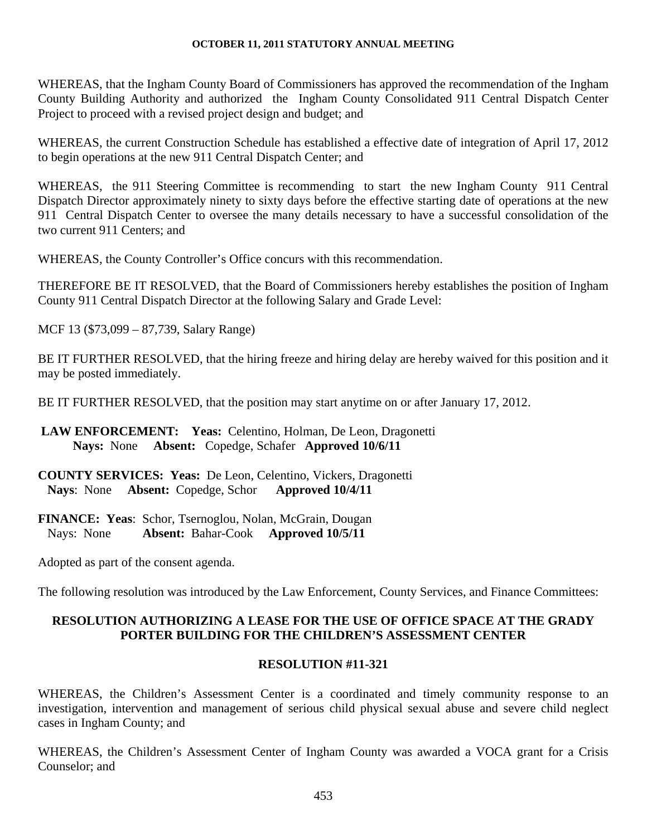WHEREAS, that the Ingham County Board of Commissioners has approved the recommendation of the Ingham County Building Authority and authorized the Ingham County Consolidated 911 Central Dispatch Center Project to proceed with a revised project design and budget; and

WHEREAS, the current Construction Schedule has established a effective date of integration of April 17, 2012 to begin operations at the new 911 Central Dispatch Center; and

WHEREAS, the 911 Steering Committee is recommending to start the new Ingham County 911 Central Dispatch Director approximately ninety to sixty days before the effective starting date of operations at the new 911 Central Dispatch Center to oversee the many details necessary to have a successful consolidation of the two current 911 Centers; and

WHEREAS, the County Controller's Office concurs with this recommendation.

THEREFORE BE IT RESOLVED, that the Board of Commissioners hereby establishes the position of Ingham County 911 Central Dispatch Director at the following Salary and Grade Level:

MCF 13 (\$73,099 – 87,739, Salary Range)

BE IT FURTHER RESOLVED, that the hiring freeze and hiring delay are hereby waived for this position and it may be posted immediately.

BE IT FURTHER RESOLVED, that the position may start anytime on or after January 17, 2012.

**LAW ENFORCEMENT: Yeas:** Celentino, Holman, De Leon, Dragonetti **Nays:** None **Absent:** Copedge, Schafer **Approved 10/6/11** 

**COUNTY SERVICES: Yeas:** De Leon, Celentino, Vickers, Dragonetti  **Nays**: None **Absent:** Copedge, Schor **Approved 10/4/11** 

**FINANCE: Yeas**: Schor, Tsernoglou, Nolan, McGrain, Dougan Nays: None **Absent:** Bahar-Cook **Approved 10/5/11** 

Adopted as part of the consent agenda.

The following resolution was introduced by the Law Enforcement, County Services, and Finance Committees:

# **RESOLUTION AUTHORIZING A LEASE FOR THE USE OF OFFICE SPACE AT THE GRADY PORTER BUILDING FOR THE CHILDREN'S ASSESSMENT CENTER**

# **RESOLUTION #11-321**

WHEREAS, the Children's Assessment Center is a coordinated and timely community response to an investigation, intervention and management of serious child physical sexual abuse and severe child neglect cases in Ingham County; and

WHEREAS, the Children's Assessment Center of Ingham County was awarded a VOCA grant for a Crisis Counselor; and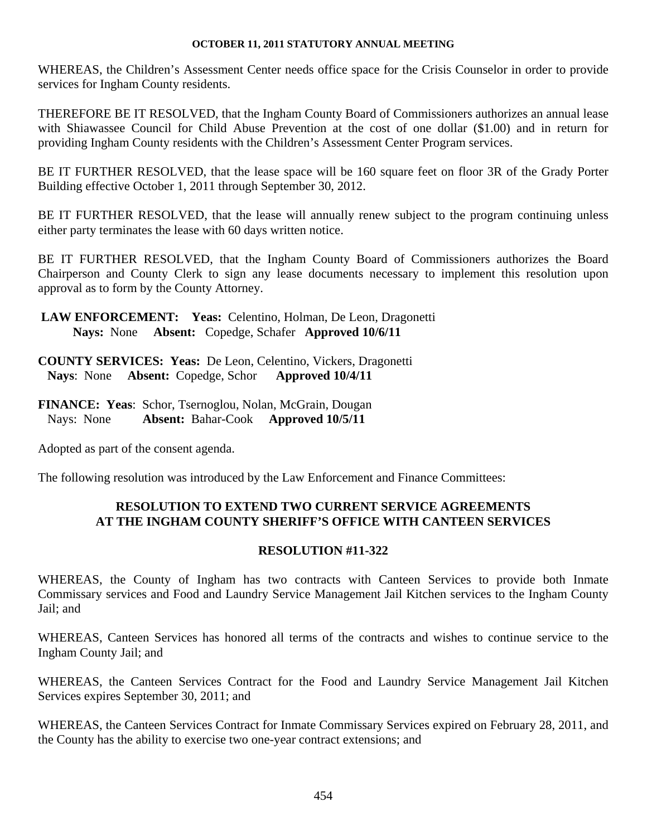WHEREAS, the Children's Assessment Center needs office space for the Crisis Counselor in order to provide services for Ingham County residents.

THEREFORE BE IT RESOLVED, that the Ingham County Board of Commissioners authorizes an annual lease with Shiawassee Council for Child Abuse Prevention at the cost of one dollar (\$1.00) and in return for providing Ingham County residents with the Children's Assessment Center Program services.

BE IT FURTHER RESOLVED, that the lease space will be 160 square feet on floor 3R of the Grady Porter Building effective October 1, 2011 through September 30, 2012.

BE IT FURTHER RESOLVED, that the lease will annually renew subject to the program continuing unless either party terminates the lease with 60 days written notice.

BE IT FURTHER RESOLVED, that the Ingham County Board of Commissioners authorizes the Board Chairperson and County Clerk to sign any lease documents necessary to implement this resolution upon approval as to form by the County Attorney.

**LAW ENFORCEMENT: Yeas:** Celentino, Holman, De Leon, Dragonetti **Nays:** None **Absent:** Copedge, Schafer **Approved 10/6/11** 

**COUNTY SERVICES: Yeas:** De Leon, Celentino, Vickers, Dragonetti  **Nays**: None **Absent:** Copedge, Schor **Approved 10/4/11** 

**FINANCE: Yeas**: Schor, Tsernoglou, Nolan, McGrain, Dougan Nays: None **Absent:** Bahar-Cook **Approved 10/5/11** 

Adopted as part of the consent agenda.

The following resolution was introduced by the Law Enforcement and Finance Committees:

# **RESOLUTION TO EXTEND TWO CURRENT SERVICE AGREEMENTS AT THE INGHAM COUNTY SHERIFF'S OFFICE WITH CANTEEN SERVICES**

## **RESOLUTION #11-322**

WHEREAS, the County of Ingham has two contracts with Canteen Services to provide both Inmate Commissary services and Food and Laundry Service Management Jail Kitchen services to the Ingham County Jail; and

WHEREAS, Canteen Services has honored all terms of the contracts and wishes to continue service to the Ingham County Jail; and

WHEREAS, the Canteen Services Contract for the Food and Laundry Service Management Jail Kitchen Services expires September 30, 2011; and

WHEREAS, the Canteen Services Contract for Inmate Commissary Services expired on February 28, 2011, and the County has the ability to exercise two one-year contract extensions; and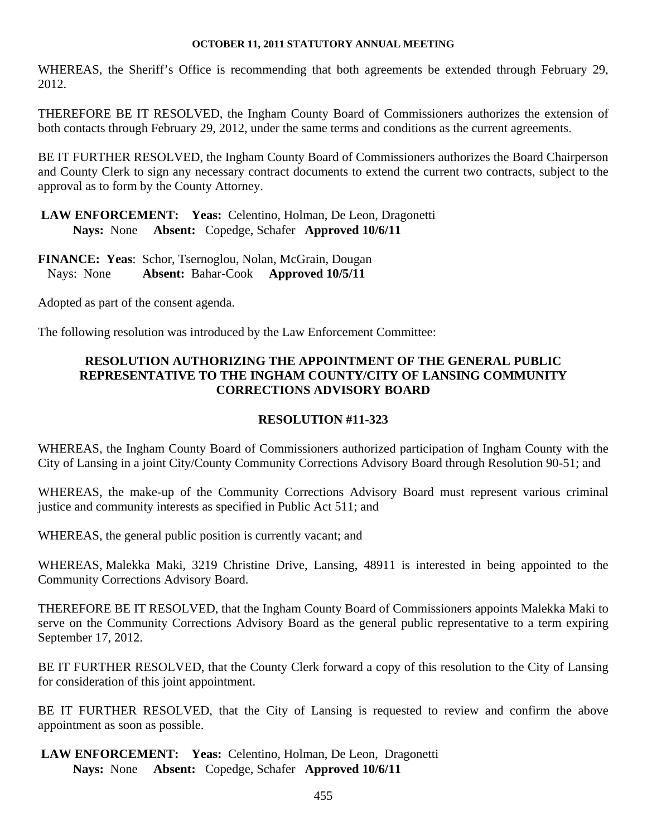WHEREAS, the Sheriff's Office is recommending that both agreements be extended through February 29, 2012.

THEREFORE BE IT RESOLVED, the Ingham County Board of Commissioners authorizes the extension of both contacts through February 29, 2012, under the same terms and conditions as the current agreements.

BE IT FURTHER RESOLVED, the Ingham County Board of Commissioners authorizes the Board Chairperson and County Clerk to sign any necessary contract documents to extend the current two contracts, subject to the approval as to form by the County Attorney.

**LAW ENFORCEMENT: Yeas:** Celentino, Holman, De Leon, Dragonetti **Nays:** None **Absent:** Copedge, Schafer **Approved 10/6/11** 

**FINANCE: Yeas**: Schor, Tsernoglou, Nolan, McGrain, Dougan Nays: None **Absent:** Bahar-Cook **Approved 10/5/11** 

Adopted as part of the consent agenda.

The following resolution was introduced by the Law Enforcement Committee:

# **RESOLUTION AUTHORIZING THE APPOINTMENT OF THE GENERAL PUBLIC REPRESENTATIVE TO THE INGHAM COUNTY/CITY OF LANSING COMMUNITY CORRECTIONS ADVISORY BOARD**

## **RESOLUTION #11-323**

WHEREAS, the Ingham County Board of Commissioners authorized participation of Ingham County with the City of Lansing in a joint City/County Community Corrections Advisory Board through Resolution 90-51; and

WHEREAS, the make-up of the Community Corrections Advisory Board must represent various criminal justice and community interests as specified in Public Act 511; and

WHEREAS, the general public position is currently vacant; and

WHEREAS, Malekka Maki, 3219 Christine Drive, Lansing, 48911 is interested in being appointed to the Community Corrections Advisory Board.

THEREFORE BE IT RESOLVED, that the Ingham County Board of Commissioners appoints Malekka Maki to serve on the Community Corrections Advisory Board as the general public representative to a term expiring September 17, 2012.

BE IT FURTHER RESOLVED, that the County Clerk forward a copy of this resolution to the City of Lansing for consideration of this joint appointment.

BE IT FURTHER RESOLVED, that the City of Lansing is requested to review and confirm the above appointment as soon as possible.

**LAW ENFORCEMENT: Yeas:** Celentino, Holman, De Leon, Dragonetti **Nays:** None **Absent:** Copedge, Schafer **Approved 10/6/11**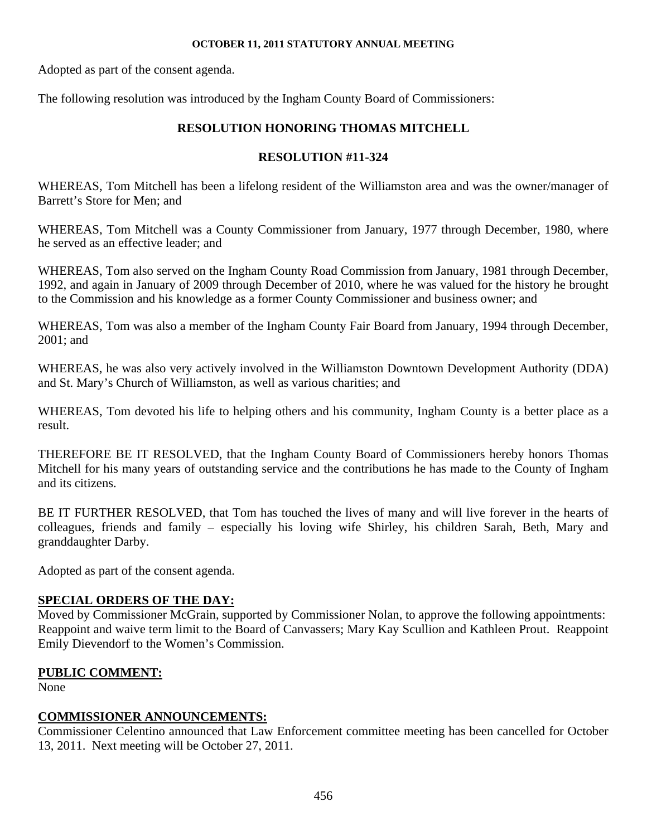Adopted as part of the consent agenda.

The following resolution was introduced by the Ingham County Board of Commissioners:

# **RESOLUTION HONORING THOMAS MITCHELL**

# **RESOLUTION #11-324**

WHEREAS, Tom Mitchell has been a lifelong resident of the Williamston area and was the owner/manager of Barrett's Store for Men; and

WHEREAS, Tom Mitchell was a County Commissioner from January, 1977 through December, 1980, where he served as an effective leader; and

WHEREAS, Tom also served on the Ingham County Road Commission from January, 1981 through December, 1992, and again in January of 2009 through December of 2010, where he was valued for the history he brought to the Commission and his knowledge as a former County Commissioner and business owner; and

WHEREAS, Tom was also a member of the Ingham County Fair Board from January, 1994 through December, 2001; and

WHEREAS, he was also very actively involved in the Williamston Downtown Development Authority (DDA) and St. Mary's Church of Williamston, as well as various charities; and

WHEREAS, Tom devoted his life to helping others and his community, Ingham County is a better place as a result.

THEREFORE BE IT RESOLVED, that the Ingham County Board of Commissioners hereby honors Thomas Mitchell for his many years of outstanding service and the contributions he has made to the County of Ingham and its citizens.

BE IT FURTHER RESOLVED, that Tom has touched the lives of many and will live forever in the hearts of colleagues, friends and family – especially his loving wife Shirley, his children Sarah, Beth, Mary and granddaughter Darby.

Adopted as part of the consent agenda.

# **SPECIAL ORDERS OF THE DAY:**

Moved by Commissioner McGrain, supported by Commissioner Nolan, to approve the following appointments: Reappoint and waive term limit to the Board of Canvassers; Mary Kay Scullion and Kathleen Prout. Reappoint Emily Dievendorf to the Women's Commission.

# **PUBLIC COMMENT:**

None

# **COMMISSIONER ANNOUNCEMENTS:**

Commissioner Celentino announced that Law Enforcement committee meeting has been cancelled for October 13, 2011. Next meeting will be October 27, 2011.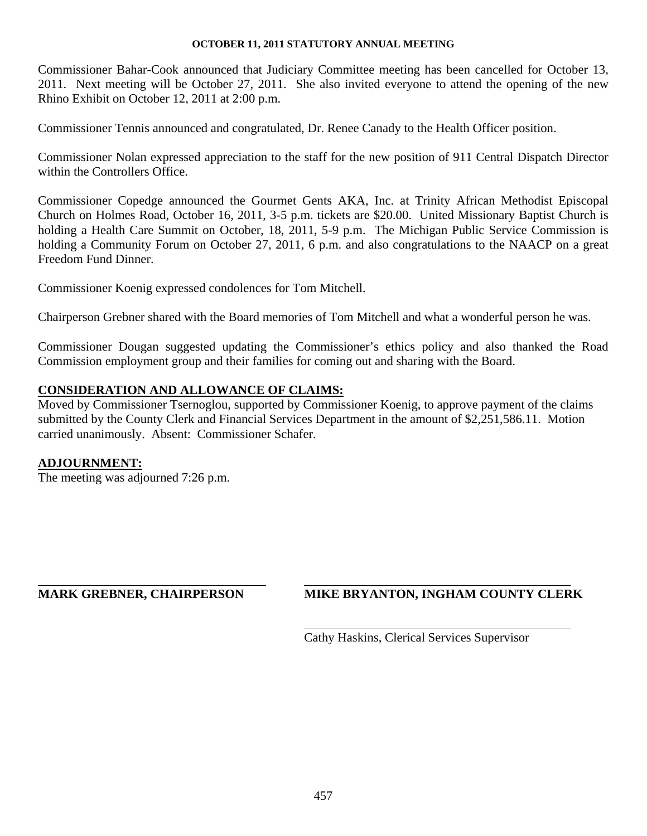Commissioner Bahar-Cook announced that Judiciary Committee meeting has been cancelled for October 13, 2011. Next meeting will be October 27, 2011. She also invited everyone to attend the opening of the new Rhino Exhibit on October 12, 2011 at 2:00 p.m.

Commissioner Tennis announced and congratulated, Dr. Renee Canady to the Health Officer position.

Commissioner Nolan expressed appreciation to the staff for the new position of 911 Central Dispatch Director within the Controllers Office.

Commissioner Copedge announced the Gourmet Gents AKA, Inc. at Trinity African Methodist Episcopal Church on Holmes Road, October 16, 2011, 3-5 p.m. tickets are \$20.00. United Missionary Baptist Church is holding a Health Care Summit on October, 18, 2011, 5-9 p.m. The Michigan Public Service Commission is holding a Community Forum on October 27, 2011, 6 p.m. and also congratulations to the NAACP on a great Freedom Fund Dinner.

Commissioner Koenig expressed condolences for Tom Mitchell.

Chairperson Grebner shared with the Board memories of Tom Mitchell and what a wonderful person he was.

Commissioner Dougan suggested updating the Commissioner's ethics policy and also thanked the Road Commission employment group and their families for coming out and sharing with the Board.

# **CONSIDERATION AND ALLOWANCE OF CLAIMS:**

Moved by Commissioner Tsernoglou, supported by Commissioner Koenig, to approve payment of the claims submitted by the County Clerk and Financial Services Department in the amount of \$2,251,586.11. Motion carried unanimously. Absent: Commissioner Schafer.

## **ADJOURNMENT:**

l

The meeting was adjourned 7:26 p.m.

# **MARK GREBNER, CHAIRPERSON MIKE BRYANTON, INGHAM COUNTY CLERK**

Cathy Haskins, Clerical Services Supervisor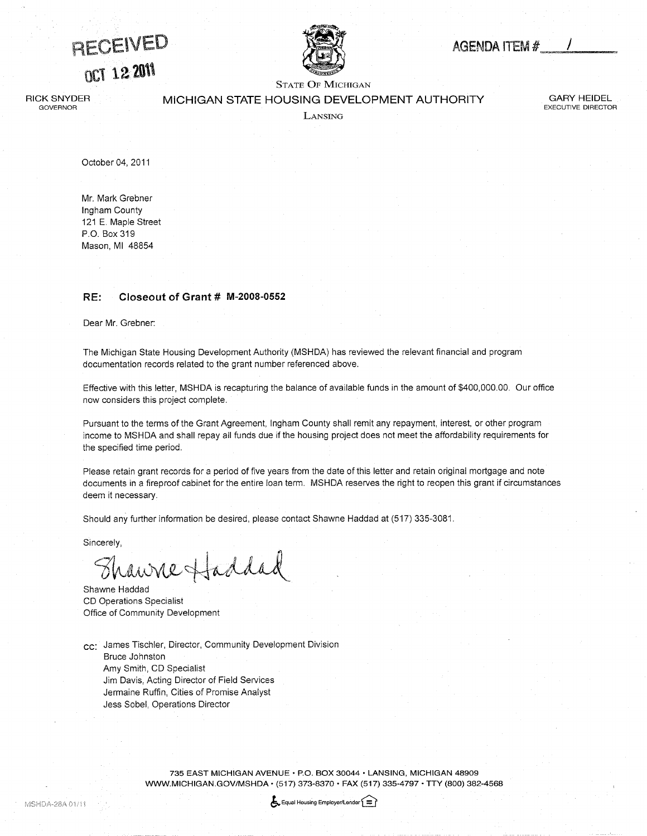<span id="page-41-0"></span>RECEIVED **OCT 12 2011** 



# AGENDA ITEM  $#$  /

STATE OF MICHIGAN

RICK snyder **GOVERNOR** 

MICHIGAN STATE HOUSING DEVELOPMENT AUTHORITY

GARY HEIDEL EXECUTIVE DIRECTOR

**LANSING** 

October 04, 2011

Mr. Mark Grebner Ingham County 121 E. Maple Street P.O. Box 319 Mason, Ml 48854

#### RE: Closeout of Grant # M-2008-0552

Dear Mr. Grebner:

The Michigan State Housing Development Authority (MSHDA) has reviewed the relevant financial and program documentation records related to the grant number referenced above.

Effective with this letter, MSHDA is recapturing the balance of available funds in the amount of \$400,000.00. Our office now considers this project complete.

Pursuant to the terms of the Grant Agreement, Ingham County shall remit any repayment, interest, or other program income to MSHDA and shall repay all funds due if the housing project does not meet the affordabiiity requirements for the specified time period.

Please retain grant records for a period of five years from the date of this letter and retain original mortgage and note documents in a fireproof cabinet for the entire loan term. MSHDA reserves the right to reopen this grant if circumstances deem it necessary.

Should any further information be desired, please contact Shawne Haddad at (517) 335-3081.

Sincerely,

Thanne Haddad

Shawne Haddad CD Operations Specialist Office of Community Development

cc: James Tischler, Director, Community Development Division Bruce Johnston Amy Smith, CD Specialist Jim Davis, Acting Director of Field Services Jermaine Ruffin, Cities of Promise Analyst Jess Sobel, Operations Director

> 735 EAST MICHIGAN AVENUE · P.O. BOX 30044 · LANSING, MICHIGAN 48909 WWW.MICHIGAN.GOV/MSHDA · (517) 373-8370 · FAX (517) 335-4797 · TTY (800) 382-4568

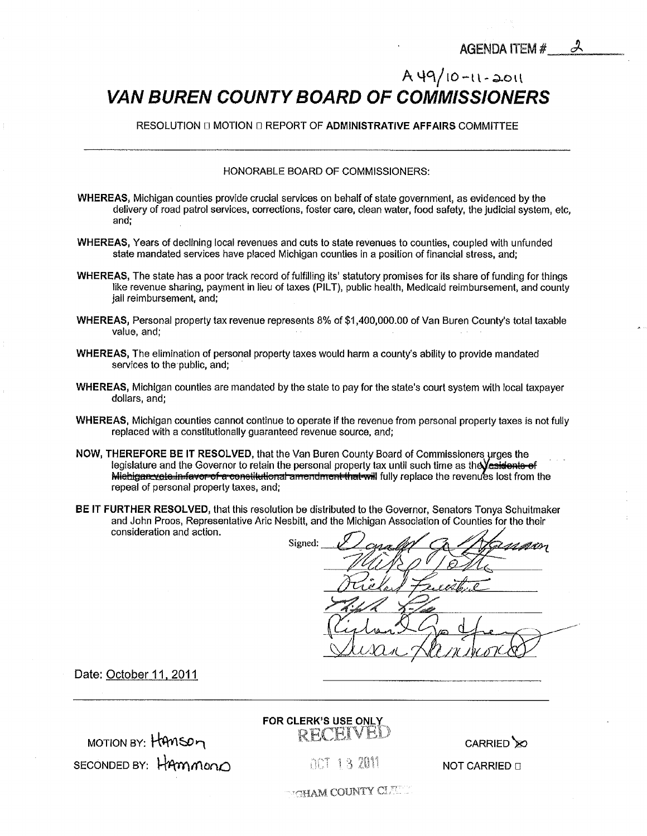# <span id="page-42-0"></span> $A 49/10 - 11 - 2011$ VAN BUREN COUNTY BOARD OF COMMISSIONERS

RESOLUTION II MOTION II REPORT OF ADMINISTRATIVE AFFAIRS COMMITTEE

#### HONORABLE BOARD OF COMMISSIONERS:

- WHEREAS, Michigan counties provide crucial services on behalf of state government, as evidenced by the delivery of road patrol services, corrections, foster care, clean water, food safety, the judicial system, etc, and;
- WHEREAS, Years of declining local revenues and cuts to state revenues to counties, coupled with unfunded state mandated services have placed Michigan counties in a position of financial stress, and;
- WHEREAS, The state has a poor track record of fulfilling its' statutory promises for its share of funding for things like revenue sharing, payment in lieu of taxes (PILT), public health, Medicaid reimbursement, and county jail reimbursement, and;
- WHEREAS, Personal property tax revenue represents 8% of \$1,400,000.00 of Van Buren County's total taxable value, and;
- WHEREAS, The elimination of personal property taxes would harm a county's ability to provide mandated services to the public, and;
- WHEREAS, Michigan counties are mandated by the state to pay for the state's court system with local taxpayer dollars, and;
- WHEREAS, Michigan counties cannot continue to operate if the revenue from personal property taxes is not fully replaced with a constitutionally guaranteed revenue source, and;
- NOW, THEREFORE BE IT RESOLVED, that the Van Buren County Board of Commissioners urges the legislature and the Governor to retain the personal property tax until such time as the Vest tiente-of repeal of personal property taxes, and; Michigan vote in favor of a constitutional amendment that will fully replace the revenues lost from the
- BE IT FURTHER RESOLVED, that this resolution be distributed to the Governor, Senators Tonya Schuitmaker and John Proos, Representative Aric Nesbitt, and the Michigan Association of Counties for the their consideration and action.

Signed: ZH2L

Date: October 11, 2011

MOTION BY: HAMSOM SECONDED BY: HAMMON

# FOR CLERK'S USE ONLY RECEIVE



ACT 13 2011

**NOT CARRIED II** 

**MGHAM COUNTY CLEAR**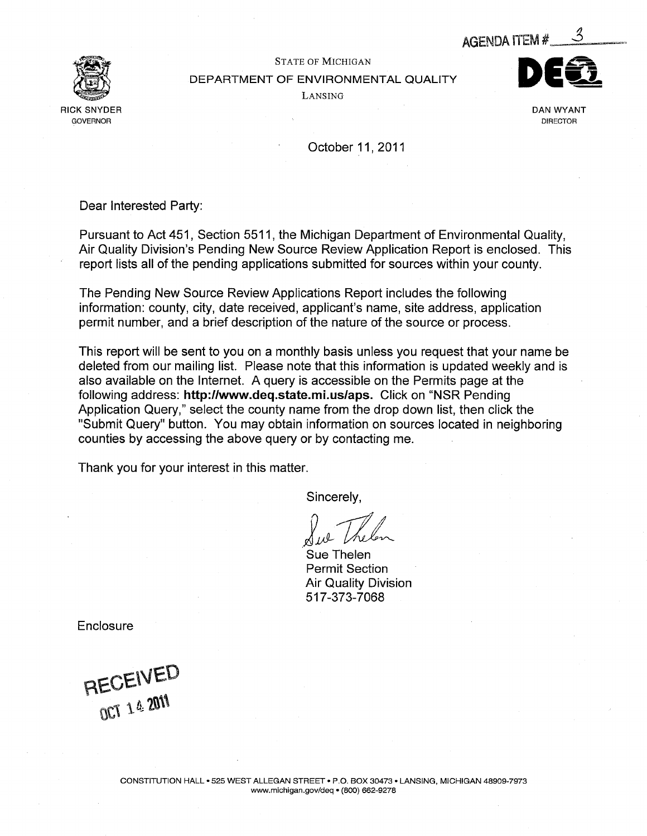

<span id="page-43-0"></span>

## STATE OF MICHIGAN DEPARTMENT OF ENVIRONMENTAL QUALITY Lansing



October 11, 2011

Dear Interested Party:

Pursuant to Act 451, Section 5511, the Michigan Department of Environmental Quality, Air Quality Division's Pending New Source Review Application Report is enclosed. This report lists all of the pending applications submitted for sources within your county.

The Pending New Source Review Applications Report includes the following information: county, city, date received, applicant's name, site address, application permit number, and brief description of the nature of the source or process.

This report will be sent to you on a monthly basis unless you request that your name be deleted from our mailing list. Please note that this information is updated weekly and is also available on the Internet. A query is accessible on the Permits page at the following address: http://www.deq.state.mi.us/aps. Click on "NSR Pending Application Query," select the county name from the drop down list, then click the "Submit Query" button. You may obtain information on sources located in neighboring counties by accessing the above query or by contacting me.

Thank you for your interest in this matter.

Sincerely,

Sue Thelen Permit Section Air Quality Division 517-373-7068

**Enclosure** 

RECEIVED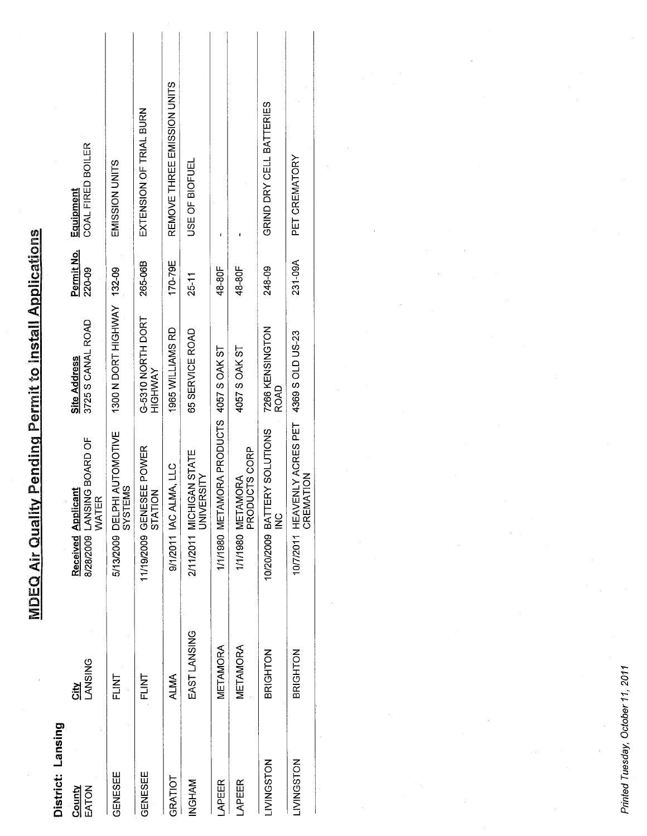| District: Lansing |                          |                                                                  |                                          |                      |                                |
|-------------------|--------------------------|------------------------------------------------------------------|------------------------------------------|----------------------|--------------------------------|
| EATON<br>County   | <b>LANSING</b><br>섭<br>히 | 8/28/2009 LANSING BOARD OF<br><b>Received Applicant</b><br>WATER | 3725 S CANAL ROAD<br><b>Site Address</b> | Permit No.<br>220-09 | COAL FIRED BOILER<br>Equipment |
| GENESEE           | <b>NITE</b>              | 5/13/2009 DELPHI AUTOMOTIVE<br>SYSTEMS                           | 1300 N DORT HIGHWAY 132-09               |                      | EMISSION UNITS                 |
| GENESEE           | <b>TNLI</b>              | 11/19/2009 GENESEE POWER<br>STATION                              | G-5310 NORTH DORT<br>HIGHWAY             | 265-06B              | EXTENSION OF TRIAL BURN        |
| GRATIOT           | ALMA                     | 9/1/2011 IAC ALMA, LLC                                           | 1965 WILLIAMS RD                         | 170-79E              | REMOVE THREE EMISSION UNITS    |
| NGHAM             | EAST LANSING             | 2/11/2011 MICHIGAN STATE<br><b>JNIVERSITY</b>                    | 65 SERVICE ROAD                          | 25-11                | USE OF BIOFUEL                 |
| APEER             | METAMORA                 | 1/1/1980 METAMORA PRODUCTS 4057 SOAK ST                          |                                          | 48-80F               |                                |
| APEER             | METAMORA                 | PRODUCTS CORP<br>1/1/1980 METAMORA                               | 4057 S OAK ST                            | 48-80F               |                                |
| LIVINGSTON        | BRIGHTON                 | 10/20/2009 BATTERY SOLUTIONS<br>$\frac{6}{5}$                    | 7266 KENSINGTON<br>ROAD                  | 248-09               | GRIND DRY CELL BATTERIES       |
| <b>LIVINGSTON</b> | <b>BRIGHTON</b>          | 10/7/2011 HEAVENLY ACRES PET<br>CREMATION                        | 4369 S OLD US-23                         | 231-09A              | PET CREMATORY                  |
|                   |                          |                                                                  |                                          |                      |                                |

**MDEQ Air Quality Pending Permit to Install Applications** 

Printed Tuesday, October 11, 2011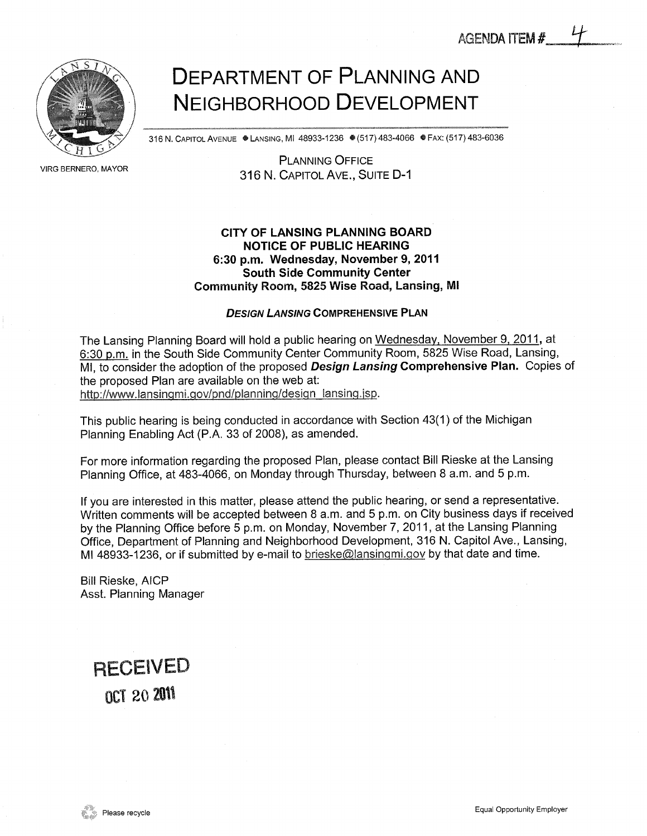<span id="page-45-0"></span>

VIRG BERNERO, MAYOR

# Department of Planning and Neighborhood Development

316 N. CAPITOL AVENUE ● LANSING, MI 48933-1236 ● (517) 483-4066 ● FAX: (517) 483-6036

Planning Office 316 N. CAPITOL AVE., SUITE D-1

## CITY OF LANSING PLANNING BOARD NOTICE OF PUBLIC HEARING 6:30 p.m. Wednesday, November 9, 2011 South Side Community Center Community Room, 5325 Wise Road, Lansing, Ml

#### DESIGN LANSING COMPREHENSIVE PLAN

The Lansing Planning Board will hold a public hearing on Wednesday, November 9, 2011, at 6:30 p.m. in the South Side Community Center Community Room, 5825 Wise Road, Lansing, MI, to consider the adoption of the proposed Design Lansing Comprehensive Plan. Copies of the proposed Plan are available on the web at: http://www.lansingmi.gov/pnd/planning/design\_lansing.isp.

This public hearing is being conducted in accordance with Section 43(1) of the Michigan Planning Enabling Act (P.A. 33 of 2008), as amended.

For more information regarding the proposed Plan, please contact Bill Rieske at the Lansing Planning Office, at 483-4066, on Monday through Thursday, between 8 a.m. and 5 p.m.

If you are interested in this matter, please attend the public hearing, or send a representative. Written comments will be accepted between 8 a.m. and 5 p.m. on City business days if received by the Planning Office before 5 p.m. on Monday, November 7, 2011, at the Lansing Planning Office, Department of Planning and Neighborhood Development, 316 N. Capitol Ave., Lansing, Ml 48933-1236, or if submitted by e-mail to brieske@lansingmi.gov by that date and time.

Bill Rieske, AICP Asst. Planning Manager

# **RECEIVED** oct 20 2011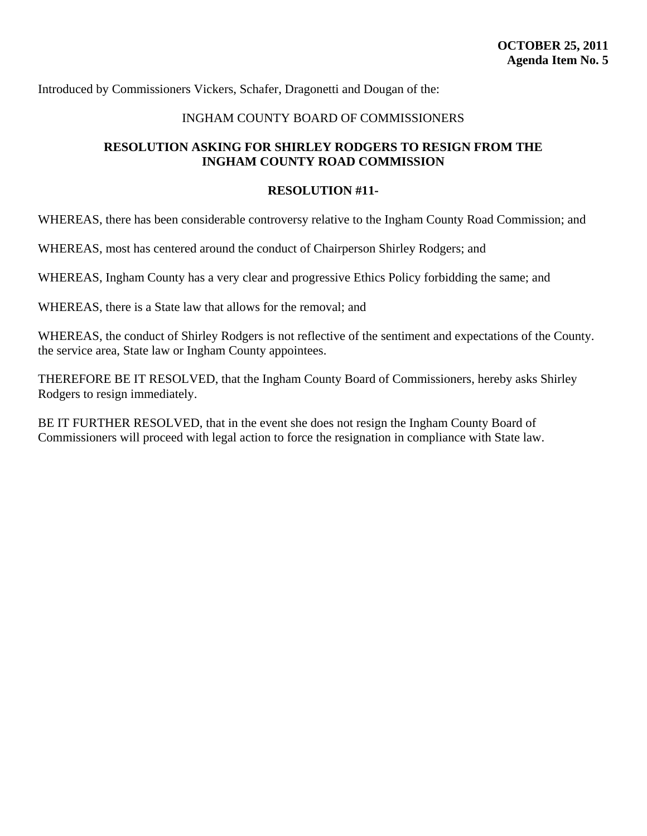<span id="page-46-0"></span>Introduced by Commissioners Vickers, Schafer, Dragonetti and Dougan of the:

# INGHAM COUNTY BOARD OF COMMISSIONERS

# **RESOLUTION ASKING FOR SHIRLEY RODGERS TO RESIGN FROM THE INGHAM COUNTY ROAD COMMISSION**

## **RESOLUTION #11-**

WHEREAS, there has been considerable controversy relative to the Ingham County Road Commission; and

WHEREAS, most has centered around the conduct of Chairperson Shirley Rodgers; and

WHEREAS, Ingham County has a very clear and progressive Ethics Policy forbidding the same; and

WHEREAS, there is a State law that allows for the removal; and

WHEREAS, the conduct of Shirley Rodgers is not reflective of the sentiment and expectations of the County. the service area, State law or Ingham County appointees.

THEREFORE BE IT RESOLVED, that the Ingham County Board of Commissioners, hereby asks Shirley Rodgers to resign immediately.

BE IT FURTHER RESOLVED, that in the event she does not resign the Ingham County Board of Commissioners will proceed with legal action to force the resignation in compliance with State law.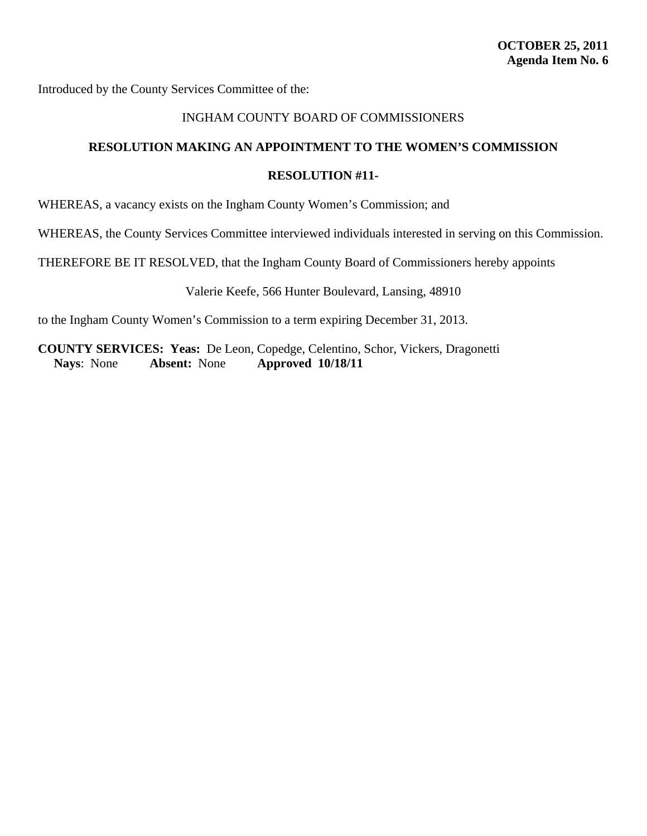<span id="page-47-0"></span>Introduced by the County Services Committee of the:

## INGHAM COUNTY BOARD OF COMMISSIONERS

# **RESOLUTION MAKING AN APPOINTMENT TO THE WOMEN'S COMMISSION**

#### **RESOLUTION #11-**

WHEREAS, a vacancy exists on the Ingham County Women's Commission; and

WHEREAS, the County Services Committee interviewed individuals interested in serving on this Commission.

THEREFORE BE IT RESOLVED, that the Ingham County Board of Commissioners hereby appoints

Valerie Keefe, 566 Hunter Boulevard, Lansing, 48910

to the Ingham County Women's Commission to a term expiring December 31, 2013.

**COUNTY SERVICES: Yeas:** De Leon, Copedge, Celentino, Schor, Vickers, Dragonetti **Nays**: None **Absent:** None **Approved 10/18/11**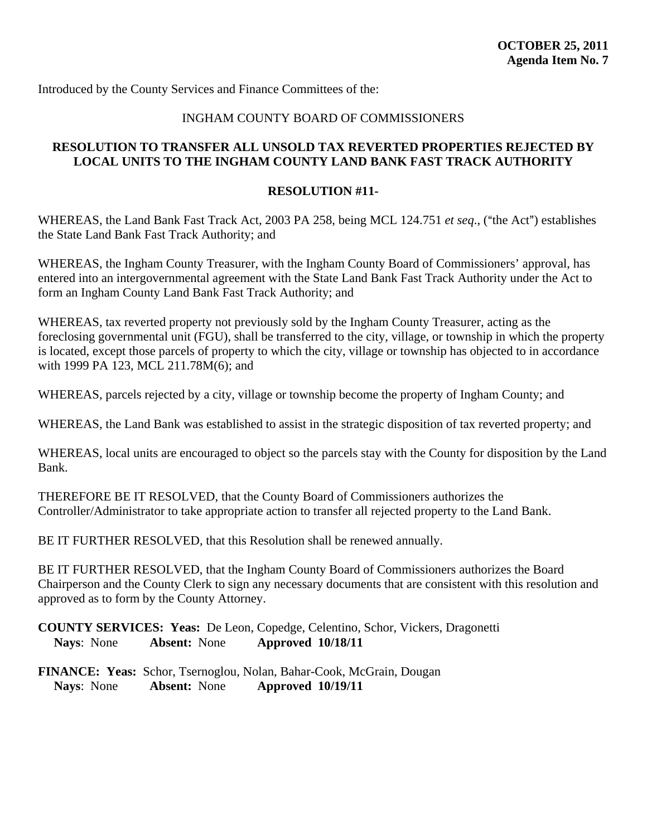# INGHAM COUNTY BOARD OF COMMISSIONERS

# <span id="page-48-0"></span>**RESOLUTION TO TRANSFER ALL UNSOLD TAX REVERTED PROPERTIES REJECTED BY LOCAL UNITS TO THE INGHAM COUNTY LAND BANK FAST TRACK AUTHORITY**

#### **RESOLUTION #11-**

WHEREAS, the Land Bank Fast Track Act, 2003 PA 258, being MCL 124.751 *et seq.*, ("the Act") establishes the State Land Bank Fast Track Authority; and

WHEREAS, the Ingham County Treasurer, with the Ingham County Board of Commissioners' approval, has entered into an intergovernmental agreement with the State Land Bank Fast Track Authority under the Act to form an Ingham County Land Bank Fast Track Authority; and

WHEREAS, tax reverted property not previously sold by the Ingham County Treasurer, acting as the foreclosing governmental unit (FGU), shall be transferred to the city, village, or township in which the property is located, except those parcels of property to which the city, village or township has objected to in accordance with 1999 PA 123, MCL 211.78M(6); and

WHEREAS, parcels rejected by a city, village or township become the property of Ingham County; and

WHEREAS, the Land Bank was established to assist in the strategic disposition of tax reverted property; and

WHEREAS, local units are encouraged to object so the parcels stay with the County for disposition by the Land Bank.

THEREFORE BE IT RESOLVED, that the County Board of Commissioners authorizes the Controller/Administrator to take appropriate action to transfer all rejected property to the Land Bank.

BE IT FURTHER RESOLVED, that this Resolution shall be renewed annually.

BE IT FURTHER RESOLVED, that the Ingham County Board of Commissioners authorizes the Board Chairperson and the County Clerk to sign any necessary documents that are consistent with this resolution and approved as to form by the County Attorney.

**COUNTY SERVICES: Yeas:** De Leon, Copedge, Celentino, Schor, Vickers, Dragonetti **Nays**: None **Absent:** None **Approved 10/18/11**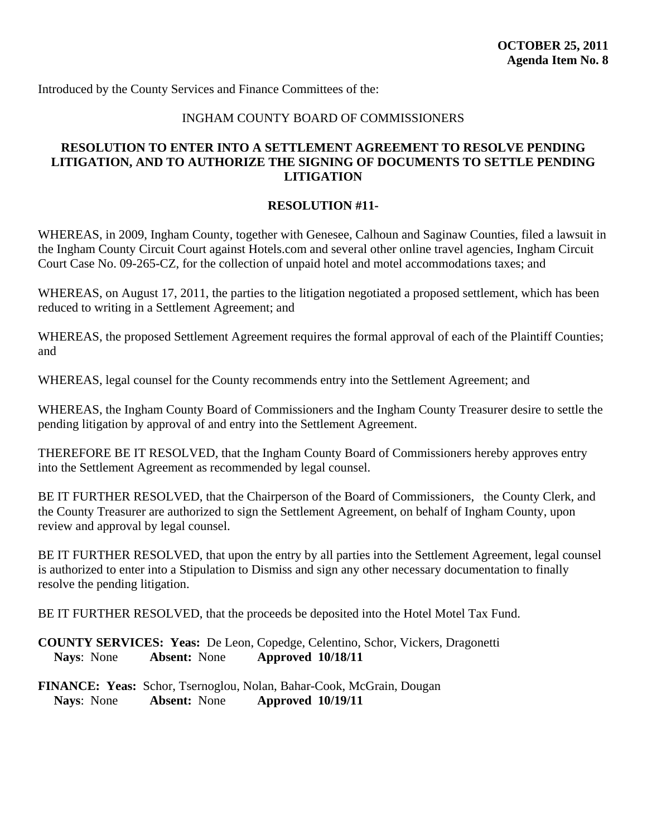## INGHAM COUNTY BOARD OF COMMISSIONERS

# <span id="page-49-0"></span>**RESOLUTION TO ENTER INTO A SETTLEMENT AGREEMENT TO RESOLVE PENDING LITIGATION, AND TO AUTHORIZE THE SIGNING OF DOCUMENTS TO SETTLE PENDING LITIGATION**

## **RESOLUTION #11-**

WHEREAS, in 2009, Ingham County, together with Genesee, Calhoun and Saginaw Counties, filed a lawsuit in the Ingham County Circuit Court against Hotels.com and several other online travel agencies, Ingham Circuit Court Case No. 09-265-CZ, for the collection of unpaid hotel and motel accommodations taxes; and

WHEREAS, on August 17, 2011, the parties to the litigation negotiated a proposed settlement, which has been reduced to writing in a Settlement Agreement; and

WHEREAS, the proposed Settlement Agreement requires the formal approval of each of the Plaintiff Counties; and

WHEREAS, legal counsel for the County recommends entry into the Settlement Agreement; and

WHEREAS, the Ingham County Board of Commissioners and the Ingham County Treasurer desire to settle the pending litigation by approval of and entry into the Settlement Agreement.

THEREFORE BE IT RESOLVED, that the Ingham County Board of Commissioners hereby approves entry into the Settlement Agreement as recommended by legal counsel.

BE IT FURTHER RESOLVED, that the Chairperson of the Board of Commissioners, the County Clerk, and the County Treasurer are authorized to sign the Settlement Agreement, on behalf of Ingham County, upon review and approval by legal counsel.

BE IT FURTHER RESOLVED, that upon the entry by all parties into the Settlement Agreement, legal counsel is authorized to enter into a Stipulation to Dismiss and sign any other necessary documentation to finally resolve the pending litigation.

BE IT FURTHER RESOLVED, that the proceeds be deposited into the Hotel Motel Tax Fund.

**COUNTY SERVICES: Yeas:** De Leon, Copedge, Celentino, Schor, Vickers, Dragonetti **Nays**: None **Absent:** None **Approved 10/18/11**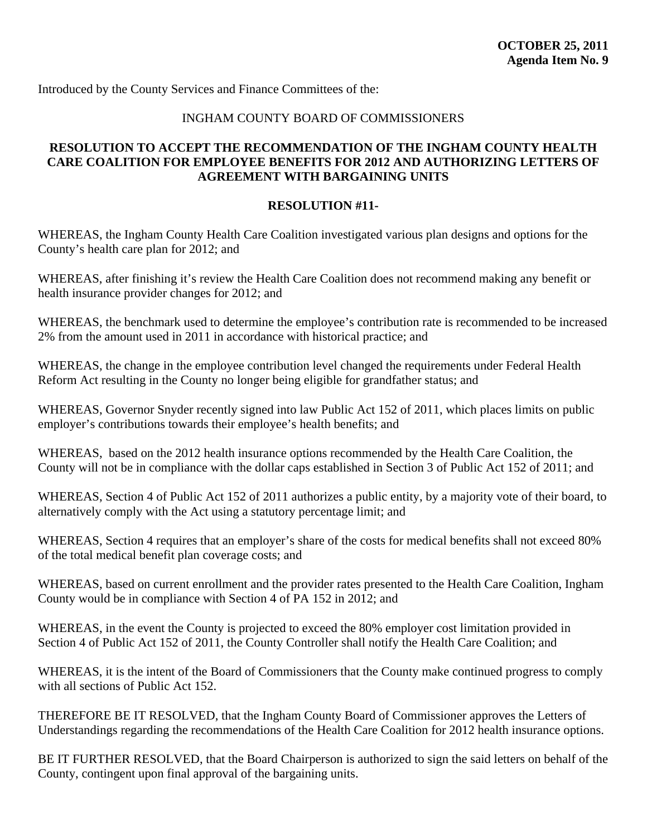# INGHAM COUNTY BOARD OF COMMISSIONERS

# <span id="page-50-0"></span>**RESOLUTION TO ACCEPT THE RECOMMENDATION OF THE INGHAM COUNTY HEALTH CARE COALITION FOR EMPLOYEE BENEFITS FOR 2012 AND AUTHORIZING LETTERS OF AGREEMENT WITH BARGAINING UNITS**

## **RESOLUTION #11-**

WHEREAS, the Ingham County Health Care Coalition investigated various plan designs and options for the County's health care plan for 2012; and

WHEREAS, after finishing it's review the Health Care Coalition does not recommend making any benefit or health insurance provider changes for 2012; and

WHEREAS, the benchmark used to determine the employee's contribution rate is recommended to be increased 2% from the amount used in 2011 in accordance with historical practice; and

WHEREAS, the change in the employee contribution level changed the requirements under Federal Health Reform Act resulting in the County no longer being eligible for grandfather status; and

WHEREAS, Governor Snyder recently signed into law Public Act 152 of 2011, which places limits on public employer's contributions towards their employee's health benefits; and

WHEREAS, based on the 2012 health insurance options recommended by the Health Care Coalition, the County will not be in compliance with the dollar caps established in Section 3 of Public Act 152 of 2011; and

WHEREAS, Section 4 of Public Act 152 of 2011 authorizes a public entity, by a majority vote of their board, to alternatively comply with the Act using a statutory percentage limit; and

WHEREAS, Section 4 requires that an employer's share of the costs for medical benefits shall not exceed 80% of the total medical benefit plan coverage costs; and

WHEREAS, based on current enrollment and the provider rates presented to the Health Care Coalition, Ingham County would be in compliance with Section 4 of PA 152 in 2012; and

WHEREAS, in the event the County is projected to exceed the 80% employer cost limitation provided in Section 4 of Public Act 152 of 2011, the County Controller shall notify the Health Care Coalition; and

WHEREAS, it is the intent of the Board of Commissioners that the County make continued progress to comply with all sections of Public Act 152.

THEREFORE BE IT RESOLVED, that the Ingham County Board of Commissioner approves the Letters of Understandings regarding the recommendations of the Health Care Coalition for 2012 health insurance options.

BE IT FURTHER RESOLVED, that the Board Chairperson is authorized to sign the said letters on behalf of the County, contingent upon final approval of the bargaining units.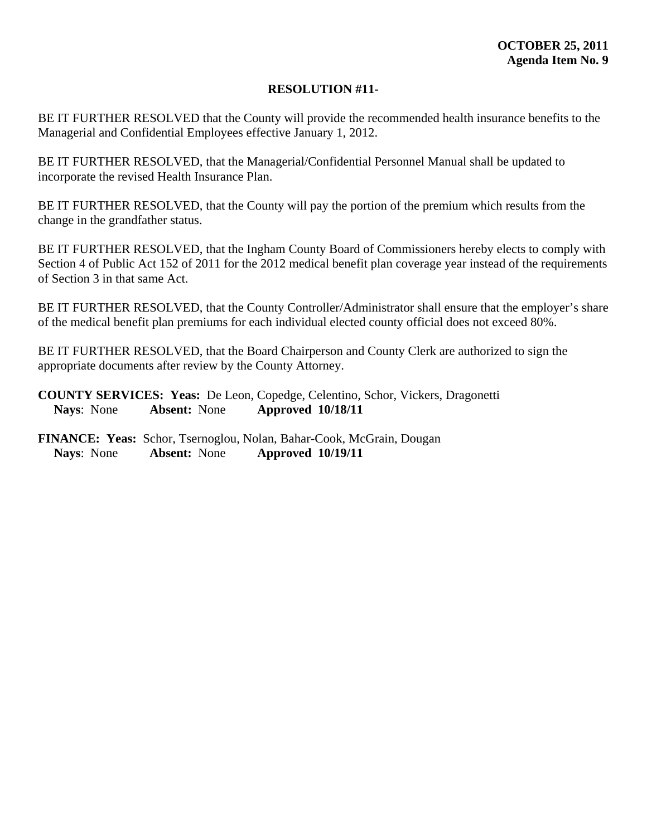BE IT FURTHER RESOLVED that the County will provide the recommended health insurance benefits to the Managerial and Confidential Employees effective January 1, 2012.

BE IT FURTHER RESOLVED, that the Managerial/Confidential Personnel Manual shall be updated to incorporate the revised Health Insurance Plan.

BE IT FURTHER RESOLVED, that the County will pay the portion of the premium which results from the change in the grandfather status.

BE IT FURTHER RESOLVED, that the Ingham County Board of Commissioners hereby elects to comply with Section 4 of Public Act 152 of 2011 for the 2012 medical benefit plan coverage year instead of the requirements of Section 3 in that same Act.

BE IT FURTHER RESOLVED, that the County Controller/Administrator shall ensure that the employer's share of the medical benefit plan premiums for each individual elected county official does not exceed 80%.

BE IT FURTHER RESOLVED, that the Board Chairperson and County Clerk are authorized to sign the appropriate documents after review by the County Attorney.

**COUNTY SERVICES: Yeas:** De Leon, Copedge, Celentino, Schor, Vickers, Dragonetti **Nays**: None **Absent:** None **Approved 10/18/11**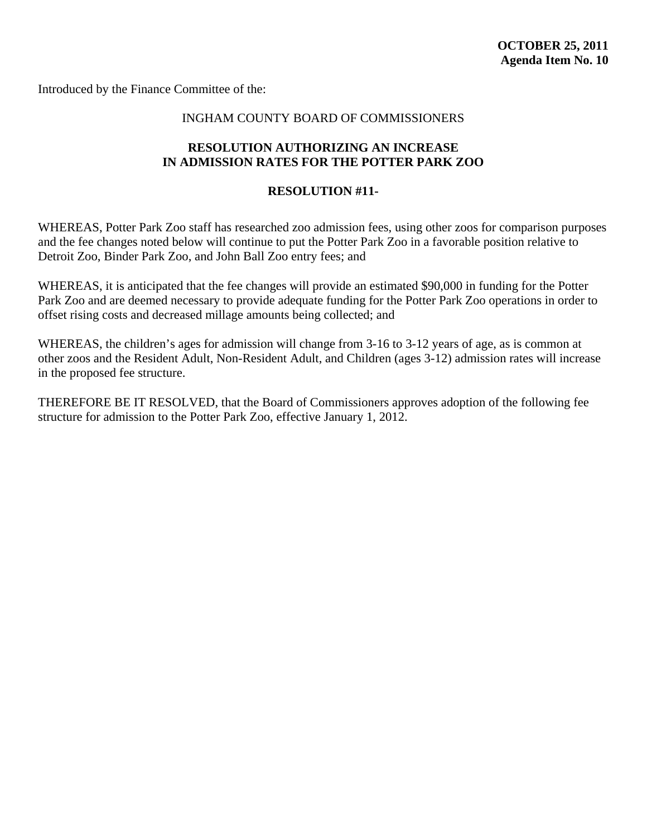<span id="page-52-0"></span>Introduced by the Finance Committee of the:

## INGHAM COUNTY BOARD OF COMMISSIONERS

# **RESOLUTION AUTHORIZING AN INCREASE IN ADMISSION RATES FOR THE POTTER PARK ZOO**

## **RESOLUTION #11-**

WHEREAS, Potter Park Zoo staff has researched zoo admission fees, using other zoos for comparison purposes and the fee changes noted below will continue to put the Potter Park Zoo in a favorable position relative to Detroit Zoo, Binder Park Zoo, and John Ball Zoo entry fees; and

WHEREAS, it is anticipated that the fee changes will provide an estimated \$90,000 in funding for the Potter Park Zoo and are deemed necessary to provide adequate funding for the Potter Park Zoo operations in order to offset rising costs and decreased millage amounts being collected; and

WHEREAS, the children's ages for admission will change from 3-16 to 3-12 years of age, as is common at other zoos and the Resident Adult, Non-Resident Adult, and Children (ages 3-12) admission rates will increase in the proposed fee structure.

THEREFORE BE IT RESOLVED, that the Board of Commissioners approves adoption of the following fee structure for admission to the Potter Park Zoo, effective January 1, 2012.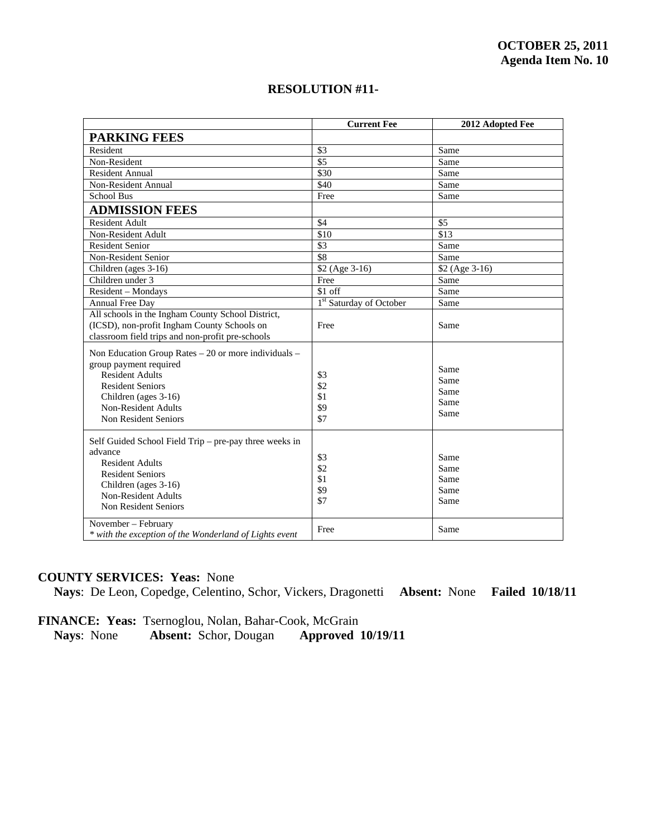|                                                                                                                                                                                                                          | <b>Current Fee</b>                 | 2012 Adopted Fee                     |
|--------------------------------------------------------------------------------------------------------------------------------------------------------------------------------------------------------------------------|------------------------------------|--------------------------------------|
| <b>PARKING FEES</b>                                                                                                                                                                                                      |                                    |                                      |
| Resident                                                                                                                                                                                                                 | \$3                                | Same                                 |
| Non-Resident                                                                                                                                                                                                             | $\overline{\$5}$                   | Same                                 |
| <b>Resident Annual</b>                                                                                                                                                                                                   | \$30                               | Same                                 |
| Non-Resident Annual                                                                                                                                                                                                      | \$40                               | Same                                 |
| <b>School Bus</b>                                                                                                                                                                                                        | Free                               | Same                                 |
| <b>ADMISSION FEES</b>                                                                                                                                                                                                    |                                    |                                      |
| <b>Resident Adult</b>                                                                                                                                                                                                    | \$4                                | $\overline{\$5}$                     |
| Non-Resident Adult                                                                                                                                                                                                       | \$10                               | $\overline{$13}$                     |
| <b>Resident Senior</b>                                                                                                                                                                                                   | $\overline{\$3}$                   | Same                                 |
| Non-Resident Senior                                                                                                                                                                                                      | \$8                                | Same                                 |
| Children (ages 3-16)                                                                                                                                                                                                     | \$2 (Age 3-16)                     | \$2 (Age 3-16)                       |
| Children under 3                                                                                                                                                                                                         | Free                               | Same                                 |
| Resident - Mondays                                                                                                                                                                                                       | \$1 off                            | Same                                 |
| Annual Free Day                                                                                                                                                                                                          | <sup>1st</sup> Saturday of October | Same                                 |
| All schools in the Ingham County School District,<br>(ICSD), non-profit Ingham County Schools on<br>classroom field trips and non-profit pre-schools                                                                     | Free                               | Same                                 |
| Non Education Group Rates - 20 or more individuals -<br>group payment required<br><b>Resident Adults</b><br><b>Resident Seniors</b><br>Children (ages 3-16)<br><b>Non-Resident Adults</b><br><b>Non Resident Seniors</b> | \$3<br>\$2<br>\$1<br>\$9<br>\$7    | Same<br>Same<br>Same<br>Same<br>Same |
| Self Guided School Field Trip – pre-pay three weeks in<br>advance<br><b>Resident Adults</b><br><b>Resident Seniors</b><br>Children (ages 3-16)<br><b>Non-Resident Adults</b><br>Non Resident Seniors                     | \$3<br>\$2<br>\$1<br>\$9<br>\$7    | Same<br>Same<br>Same<br>Same<br>Same |
| November - February<br>* with the exception of the Wonderland of Lights event                                                                                                                                            | Free                               | Same                                 |

# **COUNTY SERVICES: Yeas:** None

**Nays**: De Leon, Copedge, Celentino, Schor, Vickers, Dragonetti **Absent:** None **Failed 10/18/11** 

FINANCE: Yeas: Tsernoglou, Nolan, Bahar-Cook, McGrain<br>Nays: None Absent: Schor, Dougan Approved 10/19/11

**Absent:** Schor, Dougan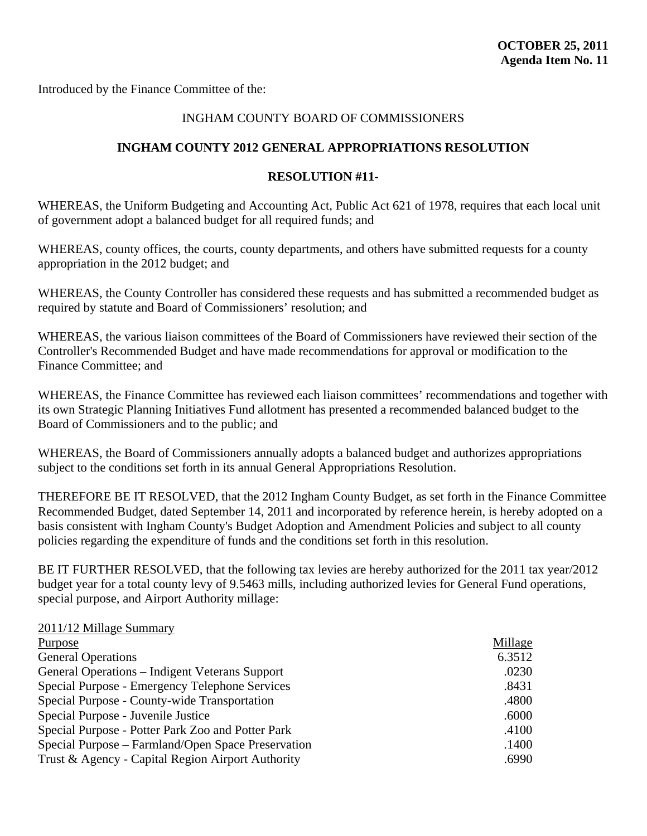<span id="page-54-0"></span>Introduced by the Finance Committee of the:

 $2011/12 350$ 

# INGHAM COUNTY BOARD OF COMMISSIONERS

# **INGHAM COUNTY 2012 GENERAL APPROPRIATIONS RESOLUTION**

# **RESOLUTION #11-**

WHEREAS, the Uniform Budgeting and Accounting Act, Public Act 621 of 1978, requires that each local unit of government adopt a balanced budget for all required funds; and

WHEREAS, county offices, the courts, county departments, and others have submitted requests for a county appropriation in the 2012 budget; and

WHEREAS, the County Controller has considered these requests and has submitted a recommended budget as required by statute and Board of Commissioners' resolution; and

WHEREAS, the various liaison committees of the Board of Commissioners have reviewed their section of the Controller's Recommended Budget and have made recommendations for approval or modification to the Finance Committee; and

WHEREAS, the Finance Committee has reviewed each liaison committees' recommendations and together with its own Strategic Planning Initiatives Fund allotment has presented a recommended balanced budget to the Board of Commissioners and to the public; and

WHEREAS, the Board of Commissioners annually adopts a balanced budget and authorizes appropriations subject to the conditions set forth in its annual General Appropriations Resolution.

THEREFORE BE IT RESOLVED, that the 2012 Ingham County Budget, as set forth in the Finance Committee Recommended Budget, dated September 14, 2011 and incorporated by reference herein, is hereby adopted on a basis consistent with Ingham County's Budget Adoption and Amendment Policies and subject to all county policies regarding the expenditure of funds and the conditions set forth in this resolution.

BE IT FURTHER RESOLVED, that the following tax levies are hereby authorized for the 2011 tax year/2012 budget year for a total county levy of 9.5463 mills, including authorized levies for General Fund operations, special purpose, and Airport Authority millage:

| 2011/12 Millage Summary                            |         |
|----------------------------------------------------|---------|
| Purpose                                            | Millage |
| <b>General Operations</b>                          | 6.3512  |
| General Operations – Indigent Veterans Support     | .0230   |
| Special Purpose - Emergency Telephone Services     | .8431   |
| Special Purpose - County-wide Transportation       | .4800   |
| Special Purpose - Juvenile Justice                 | .6000   |
| Special Purpose - Potter Park Zoo and Potter Park  | .4100   |
| Special Purpose – Farmland/Open Space Preservation | .1400   |
| Trust & Agency - Capital Region Airport Authority  | .6990   |
|                                                    |         |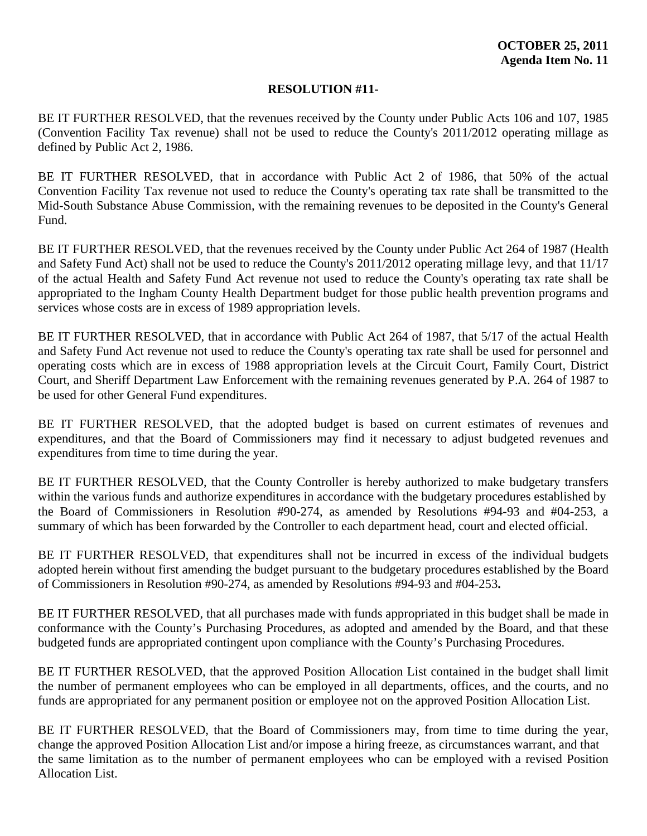BE IT FURTHER RESOLVED, that the revenues received by the County under Public Acts 106 and 107, 1985 (Convention Facility Tax revenue) shall not be used to reduce the County's 2011/2012 operating millage as defined by Public Act 2, 1986.

BE IT FURTHER RESOLVED, that in accordance with Public Act 2 of 1986, that 50% of the actual Convention Facility Tax revenue not used to reduce the County's operating tax rate shall be transmitted to the Mid-South Substance Abuse Commission, with the remaining revenues to be deposited in the County's General Fund.

BE IT FURTHER RESOLVED, that the revenues received by the County under Public Act 264 of 1987 (Health and Safety Fund Act) shall not be used to reduce the County's 2011/2012 operating millage levy, and that 11/17 of the actual Health and Safety Fund Act revenue not used to reduce the County's operating tax rate shall be appropriated to the Ingham County Health Department budget for those public health prevention programs and services whose costs are in excess of 1989 appropriation levels.

BE IT FURTHER RESOLVED, that in accordance with Public Act 264 of 1987, that 5/17 of the actual Health and Safety Fund Act revenue not used to reduce the County's operating tax rate shall be used for personnel and operating costs which are in excess of 1988 appropriation levels at the Circuit Court, Family Court, District Court, and Sheriff Department Law Enforcement with the remaining revenues generated by P.A. 264 of 1987 to be used for other General Fund expenditures.

BE IT FURTHER RESOLVED, that the adopted budget is based on current estimates of revenues and expenditures, and that the Board of Commissioners may find it necessary to adjust budgeted revenues and expenditures from time to time during the year.

BE IT FURTHER RESOLVED, that the County Controller is hereby authorized to make budgetary transfers within the various funds and authorize expenditures in accordance with the budgetary procedures established by the Board of Commissioners in Resolution #90-274, as amended by Resolutions #94-93 and #04-253, a summary of which has been forwarded by the Controller to each department head, court and elected official.

BE IT FURTHER RESOLVED, that expenditures shall not be incurred in excess of the individual budgets adopted herein without first amending the budget pursuant to the budgetary procedures established by the Board of Commissioners in Resolution #90-274, as amended by Resolutions #94-93 and #04-253**.** 

BE IT FURTHER RESOLVED, that all purchases made with funds appropriated in this budget shall be made in conformance with the County's Purchasing Procedures, as adopted and amended by the Board, and that these budgeted funds are appropriated contingent upon compliance with the County's Purchasing Procedures.

BE IT FURTHER RESOLVED, that the approved Position Allocation List contained in the budget shall limit the number of permanent employees who can be employed in all departments, offices, and the courts, and no funds are appropriated for any permanent position or employee not on the approved Position Allocation List.

BE IT FURTHER RESOLVED, that the Board of Commissioners may, from time to time during the year, change the approved Position Allocation List and/or impose a hiring freeze, as circumstances warrant, and that the same limitation as to the number of permanent employees who can be employed with a revised Position Allocation List.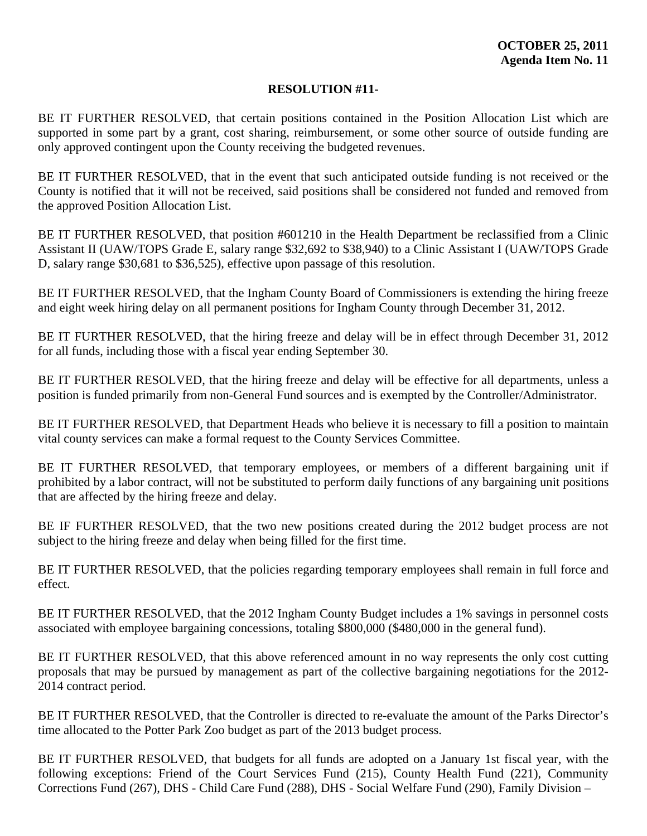BE IT FURTHER RESOLVED, that certain positions contained in the Position Allocation List which are supported in some part by a grant, cost sharing, reimbursement, or some other source of outside funding are only approved contingent upon the County receiving the budgeted revenues.

BE IT FURTHER RESOLVED, that in the event that such anticipated outside funding is not received or the County is notified that it will not be received, said positions shall be considered not funded and removed from the approved Position Allocation List.

BE IT FURTHER RESOLVED, that position #601210 in the Health Department be reclassified from a Clinic Assistant II (UAW/TOPS Grade E, salary range \$32,692 to \$38,940) to a Clinic Assistant I (UAW/TOPS Grade D, salary range \$30,681 to \$36,525), effective upon passage of this resolution.

BE IT FURTHER RESOLVED, that the Ingham County Board of Commissioners is extending the hiring freeze and eight week hiring delay on all permanent positions for Ingham County through December 31, 2012.

BE IT FURTHER RESOLVED, that the hiring freeze and delay will be in effect through December 31, 2012 for all funds, including those with a fiscal year ending September 30.

BE IT FURTHER RESOLVED, that the hiring freeze and delay will be effective for all departments, unless a position is funded primarily from non-General Fund sources and is exempted by the Controller/Administrator.

BE IT FURTHER RESOLVED, that Department Heads who believe it is necessary to fill a position to maintain vital county services can make a formal request to the County Services Committee.

BE IT FURTHER RESOLVED, that temporary employees, or members of a different bargaining unit if prohibited by a labor contract, will not be substituted to perform daily functions of any bargaining unit positions that are affected by the hiring freeze and delay.

BE IF FURTHER RESOLVED, that the two new positions created during the 2012 budget process are not subject to the hiring freeze and delay when being filled for the first time.

BE IT FURTHER RESOLVED, that the policies regarding temporary employees shall remain in full force and effect.

BE IT FURTHER RESOLVED, that the 2012 Ingham County Budget includes a 1% savings in personnel costs associated with employee bargaining concessions, totaling \$800,000 (\$480,000 in the general fund).

BE IT FURTHER RESOLVED, that this above referenced amount in no way represents the only cost cutting proposals that may be pursued by management as part of the collective bargaining negotiations for the 2012- 2014 contract period.

BE IT FURTHER RESOLVED, that the Controller is directed to re-evaluate the amount of the Parks Director's time allocated to the Potter Park Zoo budget as part of the 2013 budget process.

BE IT FURTHER RESOLVED, that budgets for all funds are adopted on a January 1st fiscal year, with the following exceptions: Friend of the Court Services Fund (215), County Health Fund (221), Community Corrections Fund (267), DHS - Child Care Fund (288), DHS - Social Welfare Fund (290), Family Division –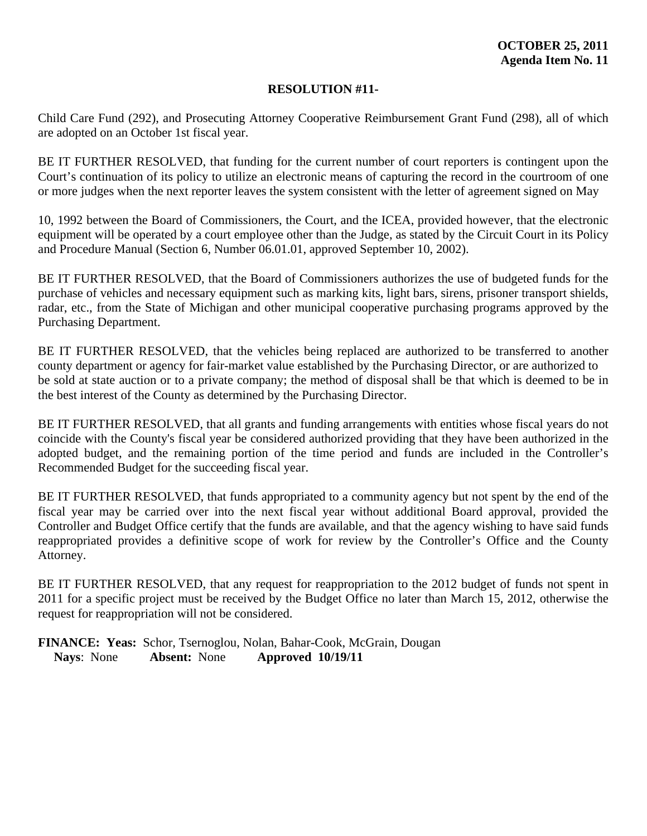Child Care Fund (292), and Prosecuting Attorney Cooperative Reimbursement Grant Fund (298), all of which are adopted on an October 1st fiscal year.

BE IT FURTHER RESOLVED, that funding for the current number of court reporters is contingent upon the Court's continuation of its policy to utilize an electronic means of capturing the record in the courtroom of one or more judges when the next reporter leaves the system consistent with the letter of agreement signed on May

10, 1992 between the Board of Commissioners, the Court, and the ICEA, provided however, that the electronic equipment will be operated by a court employee other than the Judge, as stated by the Circuit Court in its Policy and Procedure Manual (Section 6, Number 06.01.01, approved September 10, 2002).

BE IT FURTHER RESOLVED, that the Board of Commissioners authorizes the use of budgeted funds for the purchase of vehicles and necessary equipment such as marking kits, light bars, sirens, prisoner transport shields, radar, etc., from the State of Michigan and other municipal cooperative purchasing programs approved by the Purchasing Department.

BE IT FURTHER RESOLVED, that the vehicles being replaced are authorized to be transferred to another county department or agency for fair-market value established by the Purchasing Director, or are authorized to be sold at state auction or to a private company; the method of disposal shall be that which is deemed to be in the best interest of the County as determined by the Purchasing Director.

BE IT FURTHER RESOLVED, that all grants and funding arrangements with entities whose fiscal years do not coincide with the County's fiscal year be considered authorized providing that they have been authorized in the adopted budget, and the remaining portion of the time period and funds are included in the Controller's Recommended Budget for the succeeding fiscal year.

BE IT FURTHER RESOLVED, that funds appropriated to a community agency but not spent by the end of the fiscal year may be carried over into the next fiscal year without additional Board approval, provided the Controller and Budget Office certify that the funds are available, and that the agency wishing to have said funds reappropriated provides a definitive scope of work for review by the Controller's Office and the County Attorney.

BE IT FURTHER RESOLVED, that any request for reappropriation to the 2012 budget of funds not spent in 2011 for a specific project must be received by the Budget Office no later than March 15, 2012, otherwise the request for reappropriation will not be considered.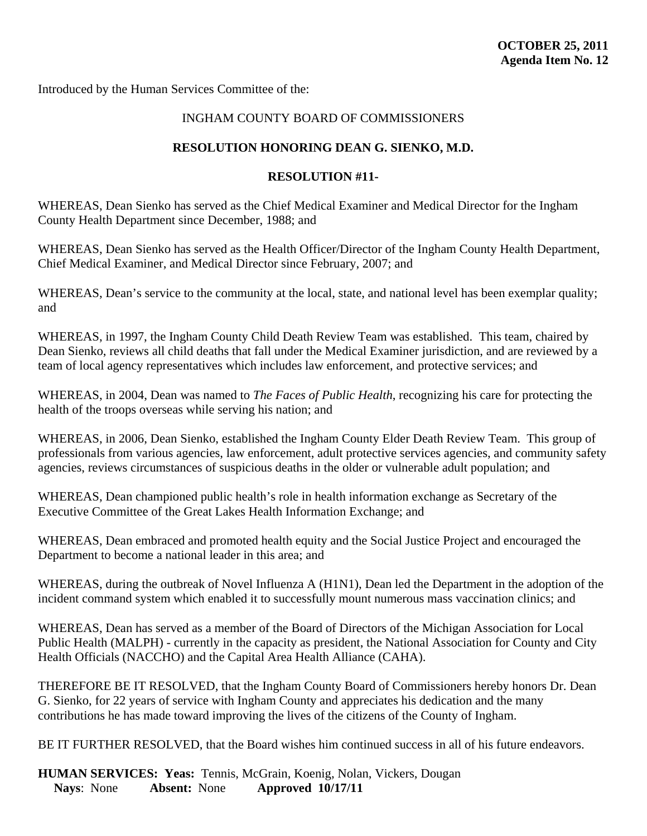<span id="page-58-0"></span>Introduced by the Human Services Committee of the:

# INGHAM COUNTY BOARD OF COMMISSIONERS

# **RESOLUTION HONORING DEAN G. SIENKO, M.D.**

# **RESOLUTION #11-**

WHEREAS, Dean Sienko has served as the Chief Medical Examiner and Medical Director for the Ingham County Health Department since December, 1988; and

WHEREAS, Dean Sienko has served as the Health Officer/Director of the Ingham County Health Department, Chief Medical Examiner, and Medical Director since February, 2007; and

WHEREAS, Dean's service to the community at the local, state, and national level has been exemplar quality; and

WHEREAS, in 1997, the Ingham County Child Death Review Team was established. This team, chaired by Dean Sienko, reviews all child deaths that fall under the Medical Examiner jurisdiction, and are reviewed by a team of local agency representatives which includes law enforcement, and protective services; and

WHEREAS, in 2004, Dean was named to *The Faces of Public Health*, recognizing his care for protecting the health of the troops overseas while serving his nation; and

WHEREAS, in 2006, Dean Sienko, established the Ingham County Elder Death Review Team. This group of professionals from various agencies, law enforcement, adult protective services agencies, and community safety agencies, reviews circumstances of suspicious deaths in the older or vulnerable adult population; and

WHEREAS, Dean championed public health's role in health information exchange as Secretary of the Executive Committee of the Great Lakes Health Information Exchange; and

WHEREAS, Dean embraced and promoted health equity and the Social Justice Project and encouraged the Department to become a national leader in this area; and

WHEREAS, during the outbreak of Novel Influenza A (H1N1), Dean led the Department in the adoption of the incident command system which enabled it to successfully mount numerous mass vaccination clinics; and

WHEREAS, Dean has served as a member of the Board of Directors of the Michigan Association for Local Public Health (MALPH) - currently in the capacity as president, the National Association for County and City Health Officials (NACCHO) and the Capital Area Health Alliance (CAHA).

THEREFORE BE IT RESOLVED, that the Ingham County Board of Commissioners hereby honors Dr. Dean G. Sienko, for 22 years of service with Ingham County and appreciates his dedication and the many contributions he has made toward improving the lives of the citizens of the County of Ingham.

BE IT FURTHER RESOLVED, that the Board wishes him continued success in all of his future endeavors.

**HUMAN SERVICES: Yeas:** Tennis, McGrain, Koenig, Nolan, Vickers, Dougan  **Nays**: None **Absent:** None **Approved 10/17/11**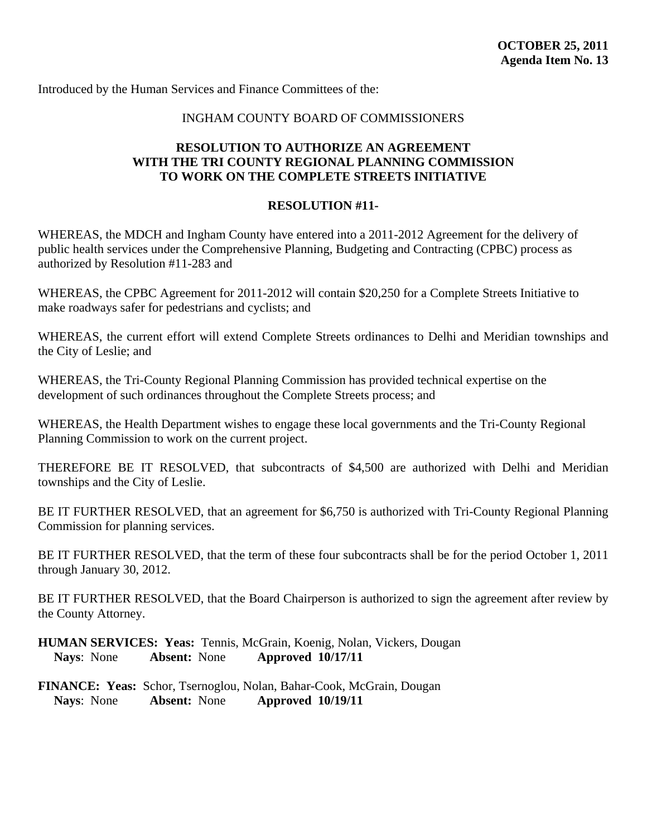## INGHAM COUNTY BOARD OF COMMISSIONERS

# <span id="page-59-0"></span>**RESOLUTION TO AUTHORIZE AN AGREEMENT WITH THE TRI COUNTY REGIONAL PLANNING COMMISSION TO WORK ON THE COMPLETE STREETS INITIATIVE**

# **RESOLUTION #11-**

WHEREAS, the MDCH and Ingham County have entered into a 2011-2012 Agreement for the delivery of public health services under the Comprehensive Planning, Budgeting and Contracting (CPBC) process as authorized by Resolution #11-283 and

WHEREAS, the CPBC Agreement for 2011-2012 will contain \$20,250 for a Complete Streets Initiative to make roadways safer for pedestrians and cyclists; and

WHEREAS, the current effort will extend Complete Streets ordinances to Delhi and Meridian townships and the City of Leslie; and

WHEREAS, the Tri-County Regional Planning Commission has provided technical expertise on the development of such ordinances throughout the Complete Streets process; and

WHEREAS, the Health Department wishes to engage these local governments and the Tri-County Regional Planning Commission to work on the current project.

THEREFORE BE IT RESOLVED, that subcontracts of \$4,500 are authorized with Delhi and Meridian townships and the City of Leslie.

BE IT FURTHER RESOLVED, that an agreement for \$6,750 is authorized with Tri-County Regional Planning Commission for planning services.

BE IT FURTHER RESOLVED, that the term of these four subcontracts shall be for the period October 1, 2011 through January 30, 2012.

BE IT FURTHER RESOLVED, that the Board Chairperson is authorized to sign the agreement after review by the County Attorney.

**HUMAN SERVICES: Yeas:** Tennis, McGrain, Koenig, Nolan, Vickers, Dougan  **Nays**: None **Absent:** None **Approved 10/17/11**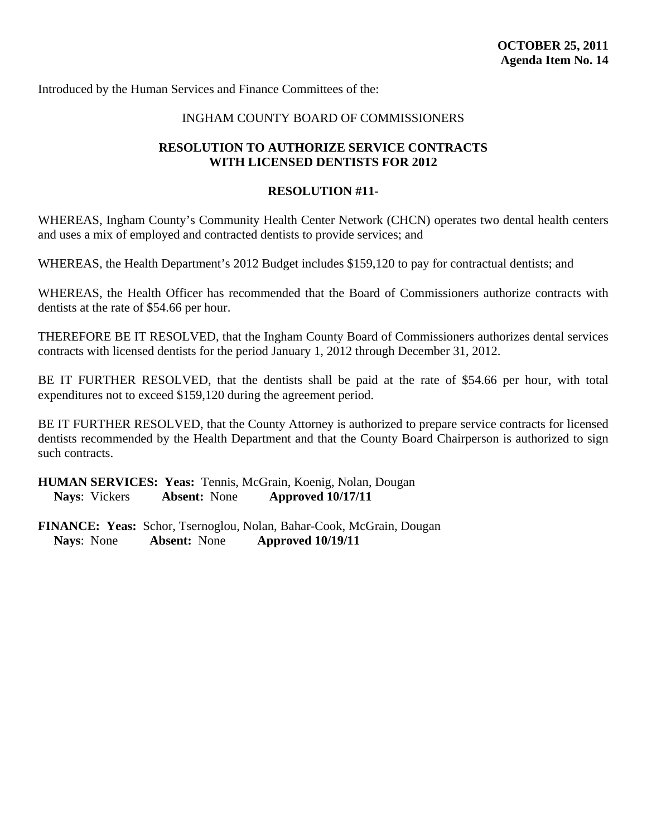## INGHAM COUNTY BOARD OF COMMISSIONERS

## <span id="page-60-0"></span>**RESOLUTION TO AUTHORIZE SERVICE CONTRACTS WITH LICENSED DENTISTS FOR 2012**

#### **RESOLUTION #11-**

WHEREAS, Ingham County's Community Health Center Network (CHCN) operates two dental health centers and uses a mix of employed and contracted dentists to provide services; and

WHEREAS, the Health Department's 2012 Budget includes \$159,120 to pay for contractual dentists; and

WHEREAS, the Health Officer has recommended that the Board of Commissioners authorize contracts with dentists at the rate of \$54.66 per hour.

THEREFORE BE IT RESOLVED, that the Ingham County Board of Commissioners authorizes dental services contracts with licensed dentists for the period January 1, 2012 through December 31, 2012.

BE IT FURTHER RESOLVED, that the dentists shall be paid at the rate of \$54.66 per hour, with total expenditures not to exceed \$159,120 during the agreement period.

BE IT FURTHER RESOLVED, that the County Attorney is authorized to prepare service contracts for licensed dentists recommended by the Health Department and that the County Board Chairperson is authorized to sign such contracts.

**HUMAN SERVICES: Yeas:** Tennis, McGrain, Koenig, Nolan, Dougan  **Nays**: Vickers **Absent:** None **Approved 10/17/11**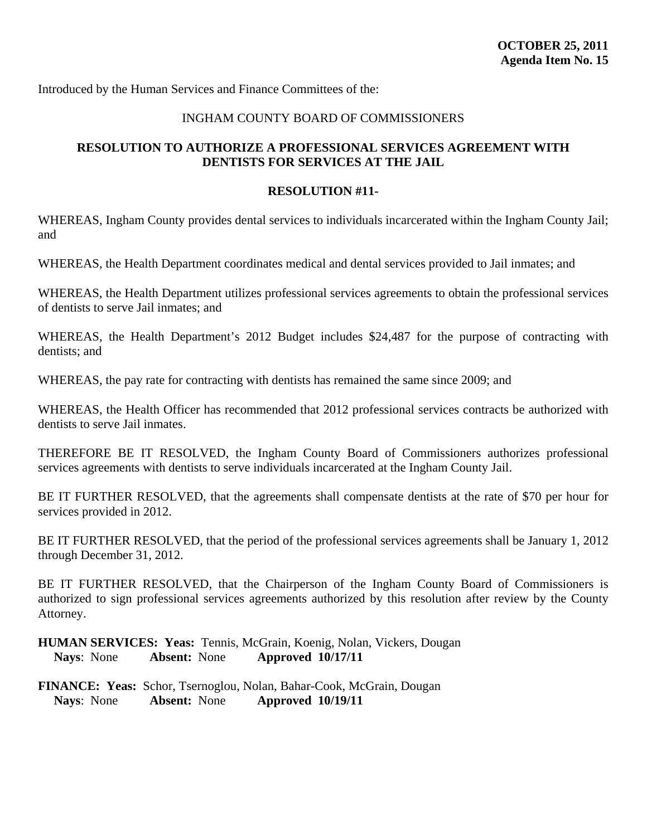## INGHAM COUNTY BOARD OF COMMISSIONERS

# <span id="page-61-0"></span>**RESOLUTION TO AUTHORIZE A PROFESSIONAL SERVICES AGREEMENT WITH DENTISTS FOR SERVICES AT THE JAIL**

#### **RESOLUTION #11-**

WHEREAS, Ingham County provides dental services to individuals incarcerated within the Ingham County Jail; and

WHEREAS, the Health Department coordinates medical and dental services provided to Jail inmates; and

WHEREAS, the Health Department utilizes professional services agreements to obtain the professional services of dentists to serve Jail inmates; and

WHEREAS, the Health Department's 2012 Budget includes \$24,487 for the purpose of contracting with dentists; and

WHEREAS, the pay rate for contracting with dentists has remained the same since 2009; and

WHEREAS, the Health Officer has recommended that 2012 professional services contracts be authorized with dentists to serve Jail inmates.

THEREFORE BE IT RESOLVED, the Ingham County Board of Commissioners authorizes professional services agreements with dentists to serve individuals incarcerated at the Ingham County Jail.

BE IT FURTHER RESOLVED, that the agreements shall compensate dentists at the rate of \$70 per hour for services provided in 2012.

BE IT FURTHER RESOLVED, that the period of the professional services agreements shall be January 1, 2012 through December 31, 2012.

BE IT FURTHER RESOLVED, that the Chairperson of the Ingham County Board of Commissioners is authorized to sign professional services agreements authorized by this resolution after review by the County Attorney.

**HUMAN SERVICES: Yeas:** Tennis, McGrain, Koenig, Nolan, Vickers, Dougan  **Nays**: None **Absent:** None **Approved 10/17/11**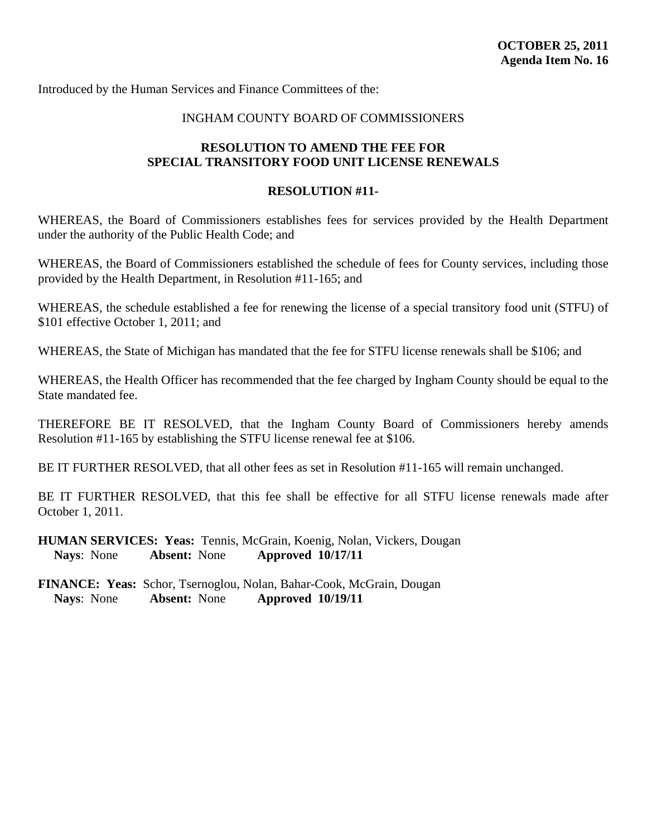# INGHAM COUNTY BOARD OF COMMISSIONERS

# <span id="page-62-0"></span>**RESOLUTION TO AMEND THE FEE FOR SPECIAL TRANSITORY FOOD UNIT LICENSE RENEWALS**

#### **RESOLUTION #11-**

WHEREAS, the Board of Commissioners establishes fees for services provided by the Health Department under the authority of the Public Health Code; and

WHEREAS, the Board of Commissioners established the schedule of fees for County services, including those provided by the Health Department, in Resolution #11-165; and

WHEREAS, the schedule established a fee for renewing the license of a special transitory food unit (STFU) of \$101 effective October 1, 2011; and

WHEREAS, the State of Michigan has mandated that the fee for STFU license renewals shall be \$106; and

WHEREAS, the Health Officer has recommended that the fee charged by Ingham County should be equal to the State mandated fee.

THEREFORE BE IT RESOLVED, that the Ingham County Board of Commissioners hereby amends Resolution #11-165 by establishing the STFU license renewal fee at \$106.

BE IT FURTHER RESOLVED, that all other fees as set in Resolution #11-165 will remain unchanged.

BE IT FURTHER RESOLVED, that this fee shall be effective for all STFU license renewals made after October 1, 2011.

**HUMAN SERVICES: Yeas:** Tennis, McGrain, Koenig, Nolan, Vickers, Dougan  **Nays**: None **Absent:** None **Approved 10/17/11**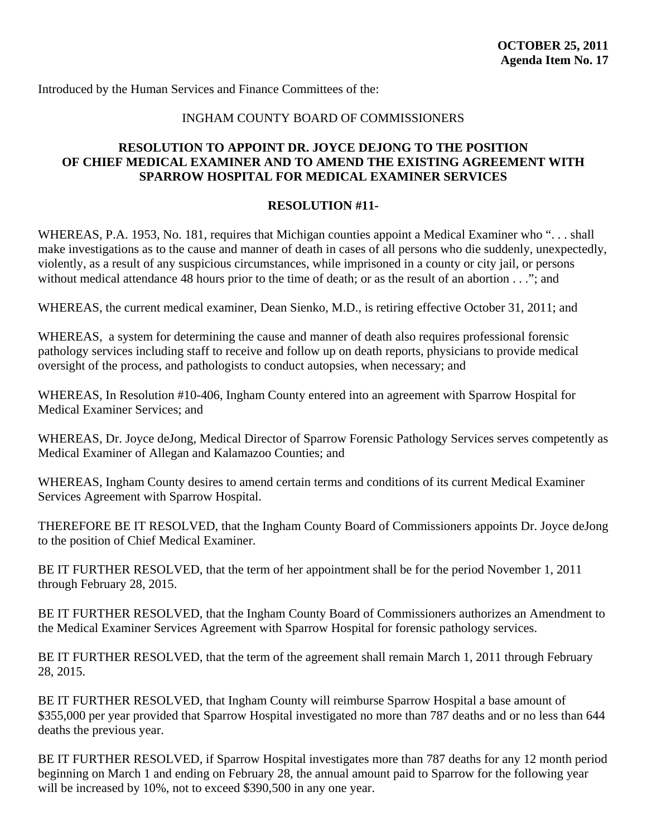## INGHAM COUNTY BOARD OF COMMISSIONERS

# <span id="page-63-0"></span>**RESOLUTION TO APPOINT DR. JOYCE DEJONG TO THE POSITION OF CHIEF MEDICAL EXAMINER AND TO AMEND THE EXISTING AGREEMENT WITH SPARROW HOSPITAL FOR MEDICAL EXAMINER SERVICES**

## **RESOLUTION #11-**

WHEREAS, P.A. 1953, No. 181, requires that Michigan counties appoint a Medical Examiner who "... shall make investigations as to the cause and manner of death in cases of all persons who die suddenly, unexpectedly, violently, as a result of any suspicious circumstances, while imprisoned in a county or city jail, or persons without medical attendance 48 hours prior to the time of death; or as the result of an abortion . . ."; and

WHEREAS, the current medical examiner, Dean Sienko, M.D., is retiring effective October 31, 2011; and

WHEREAS, a system for determining the cause and manner of death also requires professional forensic pathology services including staff to receive and follow up on death reports, physicians to provide medical oversight of the process, and pathologists to conduct autopsies, when necessary; and

WHEREAS, In Resolution #10-406, Ingham County entered into an agreement with Sparrow Hospital for Medical Examiner Services; and

WHEREAS, Dr. Joyce deJong, Medical Director of Sparrow Forensic Pathology Services serves competently as Medical Examiner of Allegan and Kalamazoo Counties; and

WHEREAS, Ingham County desires to amend certain terms and conditions of its current Medical Examiner Services Agreement with Sparrow Hospital.

THEREFORE BE IT RESOLVED, that the Ingham County Board of Commissioners appoints Dr. Joyce deJong to the position of Chief Medical Examiner.

BE IT FURTHER RESOLVED, that the term of her appointment shall be for the period November 1, 2011 through February 28, 2015.

BE IT FURTHER RESOLVED, that the Ingham County Board of Commissioners authorizes an Amendment to the Medical Examiner Services Agreement with Sparrow Hospital for forensic pathology services.

BE IT FURTHER RESOLVED, that the term of the agreement shall remain March 1, 2011 through February 28, 2015.

BE IT FURTHER RESOLVED, that Ingham County will reimburse Sparrow Hospital a base amount of \$355,000 per year provided that Sparrow Hospital investigated no more than 787 deaths and or no less than 644 deaths the previous year.

BE IT FURTHER RESOLVED, if Sparrow Hospital investigates more than 787 deaths for any 12 month period beginning on March 1 and ending on February 28, the annual amount paid to Sparrow for the following year will be increased by 10%, not to exceed \$390,500 in any one year.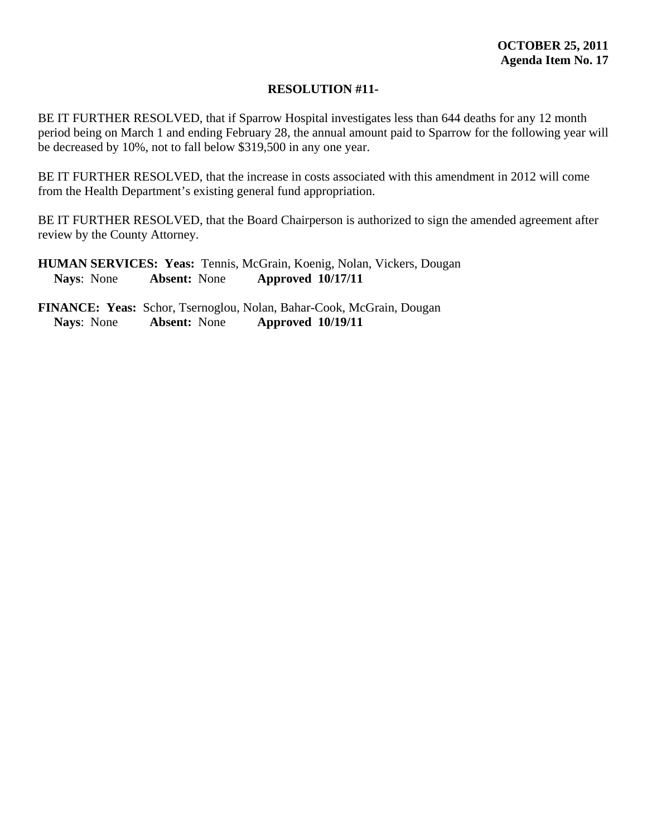BE IT FURTHER RESOLVED, that if Sparrow Hospital investigates less than 644 deaths for any 12 month period being on March 1 and ending February 28, the annual amount paid to Sparrow for the following year will be decreased by 10%, not to fall below \$319,500 in any one year.

BE IT FURTHER RESOLVED, that the increase in costs associated with this amendment in 2012 will come from the Health Department's existing general fund appropriation.

BE IT FURTHER RESOLVED, that the Board Chairperson is authorized to sign the amended agreement after review by the County Attorney.

**HUMAN SERVICES: Yeas:** Tennis, McGrain, Koenig, Nolan, Vickers, Dougan  **Nays**: None **Absent:** None **Approved 10/17/11**